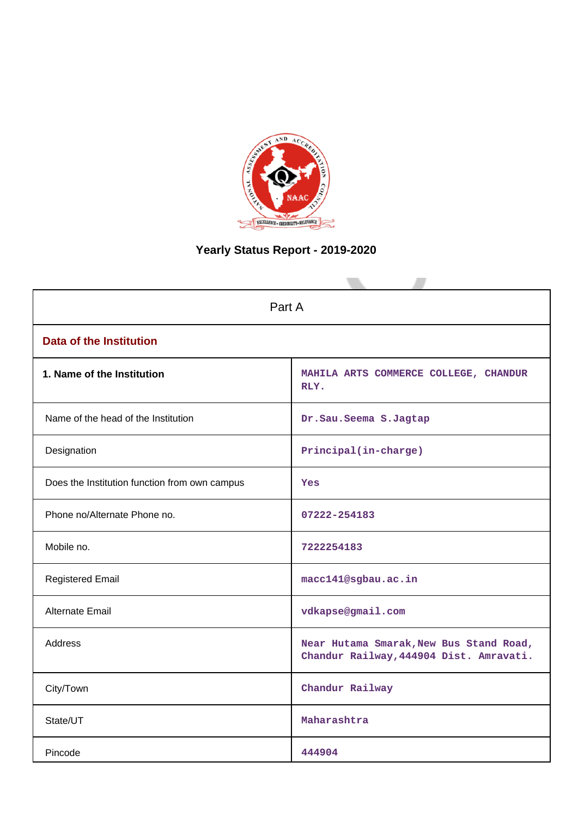

# **Yearly Status Report - 2019-2020**

| Part A                                        |                                                                                    |  |  |  |  |
|-----------------------------------------------|------------------------------------------------------------------------------------|--|--|--|--|
| <b>Data of the Institution</b>                |                                                                                    |  |  |  |  |
| 1. Name of the Institution                    | MAHILA ARTS COMMERCE COLLEGE, CHANDUR<br>RLY.                                      |  |  |  |  |
| Name of the head of the Institution           | Dr. Sau. Seema S. Jagtap                                                           |  |  |  |  |
| Designation                                   | Principal(in-charge)                                                               |  |  |  |  |
| Does the Institution function from own campus | Yes                                                                                |  |  |  |  |
| Phone no/Alternate Phone no.                  | 07222-254183                                                                       |  |  |  |  |
| Mobile no.                                    | 7222254183                                                                         |  |  |  |  |
| <b>Registered Email</b>                       | macc141@sgbau.ac.in                                                                |  |  |  |  |
| Alternate Email                               | vdkapse@gmail.com                                                                  |  |  |  |  |
| <b>Address</b>                                | Near Hutama Smarak, New Bus Stand Road,<br>Chandur Railway, 444904 Dist. Amravati. |  |  |  |  |
| City/Town                                     | Chandur Railway                                                                    |  |  |  |  |
| State/UT                                      | Maharashtra                                                                        |  |  |  |  |
| Pincode                                       | 444904                                                                             |  |  |  |  |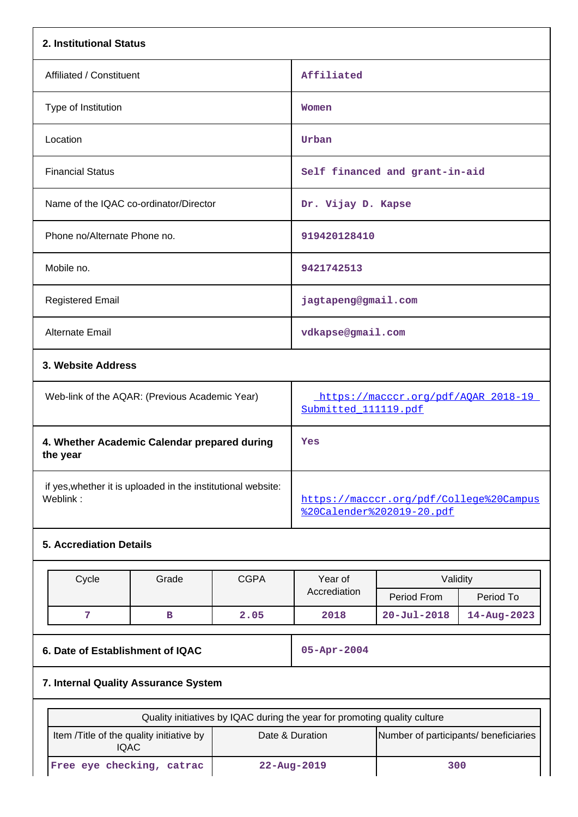| 2. Institutional Status                                                  |                     |                                                                           |                                |             |  |
|--------------------------------------------------------------------------|---------------------|---------------------------------------------------------------------------|--------------------------------|-------------|--|
| Affiliated / Constituent                                                 |                     | Affiliated                                                                |                                |             |  |
| Type of Institution                                                      |                     | Women                                                                     |                                |             |  |
| Location                                                                 |                     | Urban                                                                     |                                |             |  |
| <b>Financial Status</b>                                                  |                     |                                                                           | Self financed and grant-in-aid |             |  |
| Name of the IQAC co-ordinator/Director                                   |                     | Dr. Vijay D. Kapse                                                        |                                |             |  |
| Phone no/Alternate Phone no.                                             |                     | 919420128410                                                              |                                |             |  |
| Mobile no.                                                               |                     | 9421742513                                                                |                                |             |  |
| <b>Registered Email</b>                                                  | jagtapeng@gmail.com |                                                                           |                                |             |  |
| Alternate Email                                                          |                     | vdkapse@gmail.com                                                         |                                |             |  |
| 3. Website Address                                                       |                     |                                                                           |                                |             |  |
| Web-link of the AQAR: (Previous Academic Year)                           |                     | https://macccr.org/pdf/AQAR_2018-19<br>Submitted 111119.pdf               |                                |             |  |
| 4. Whether Academic Calendar prepared during<br>the year                 |                     | Yes                                                                       |                                |             |  |
| if yes, whether it is uploaded in the institutional website:<br>Weblink: |                     | https://macccr.org/pdf/College%20Campus<br>%20Calender%202019-20.pdf      |                                |             |  |
| <b>5. Accrediation Details</b>                                           |                     |                                                                           |                                |             |  |
| Cycle<br>Grade                                                           | <b>CGPA</b>         | Year of<br>Accrediation                                                   | Validity<br>Period From        | Period To   |  |
| 7<br>в                                                                   | 2.05                | 2018                                                                      | $20 - Ju1 - 2018$              | 14-Aug-2023 |  |
| 6. Date of Establishment of IQAC                                         | 05-Apr-2004         |                                                                           |                                |             |  |
| 7. Internal Quality Assurance System                                     |                     |                                                                           |                                |             |  |
|                                                                          |                     | Quality initiatives by IQAC during the year for promoting quality culture |                                |             |  |
| Item /Title of the quality initiative by<br><b>IQAC</b>                  |                     | Date & Duration<br>Number of participants/ beneficiaries                  |                                |             |  |
| Free eye checking, catrac                                                | 22-Aug-2019         | 300                                                                       |                                |             |  |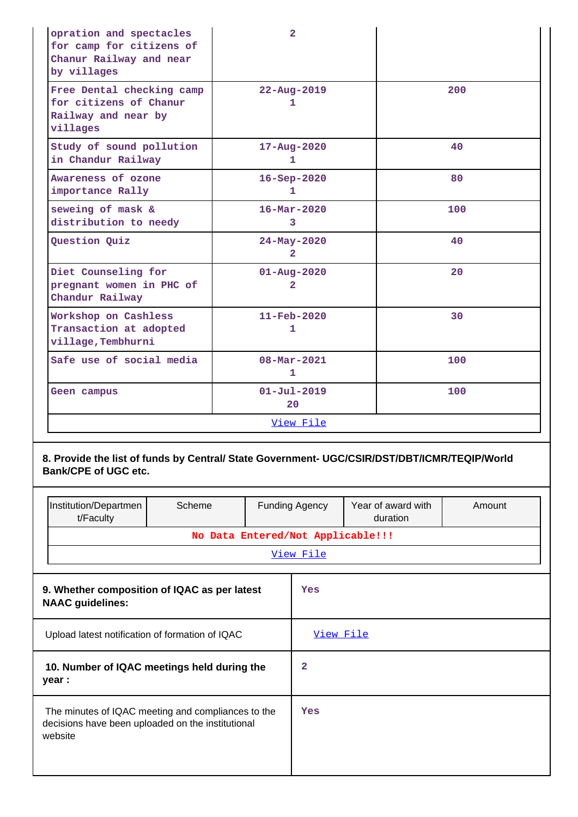| opration and spectacles<br>for camp for citizens of<br>Chanur Railway and near<br>by villages | $\overline{2}$                           |     |
|-----------------------------------------------------------------------------------------------|------------------------------------------|-----|
| Free Dental checking camp<br>for citizens of Chanur<br>Railway and near by<br>villages        | $22 - Aug - 2019$<br>1                   | 200 |
| Study of sound pollution<br>in Chandur Railway                                                | $17 - Aug - 2020$<br>1                   | 40  |
| Awareness of ozone<br>importance Rally                                                        | $16 - Sep-2020$<br>1.                    | 80  |
| seweing of mask &<br>distribution to needy                                                    | $16 - \text{Mar} - 2020$<br>3            | 100 |
| Question Quiz                                                                                 | 24-May-2020<br>$\overline{2}$            | 40  |
| Diet Counseling for<br>pregnant women in PHC of<br>Chandur Railway                            | $01 - Aug - 2020$<br>$\overline{2}$      | 20  |
| Workshop on Cashless<br>Transaction at adopted<br>village, Tembhurni                          | $11 - \text{Feb} - 2020$<br>$\mathbf{1}$ | 30  |
| Safe use of social media                                                                      | $08 - \text{Mar} - 2021$<br>$\mathbf{1}$ | 100 |
| Geen campus                                                                                   | $01 - Ju1 - 2019$<br>20                  | 100 |
|                                                                                               | <u>View File</u>                         |     |

## **8. Provide the list of funds by Central/ State Government- UGC/CSIR/DST/DBT/ICMR/TEQIP/World Bank/CPE of UGC etc.**

|                                                                         | Institution/Departmen<br>t/Faculty                                                                                 | Scheme                            |  | <b>Funding Agency</b>   | Year of award with<br>duration | Amount |  |  |
|-------------------------------------------------------------------------|--------------------------------------------------------------------------------------------------------------------|-----------------------------------|--|-------------------------|--------------------------------|--------|--|--|
|                                                                         |                                                                                                                    | No Data Entered/Not Applicable!!! |  |                         |                                |        |  |  |
|                                                                         |                                                                                                                    |                                   |  | <u>View File</u>        |                                |        |  |  |
| 9. Whether composition of IQAC as per latest<br><b>NAAC</b> guidelines: |                                                                                                                    |                                   |  | Yes                     |                                |        |  |  |
|                                                                         | Upload latest notification of formation of IQAC                                                                    |                                   |  | View File               |                                |        |  |  |
|                                                                         | 10. Number of IQAC meetings held during the<br>year :                                                              |                                   |  | $\overline{\mathbf{2}}$ |                                |        |  |  |
|                                                                         | The minutes of IQAC meeting and compliances to the<br>decisions have been uploaded on the institutional<br>website |                                   |  | Yes                     |                                |        |  |  |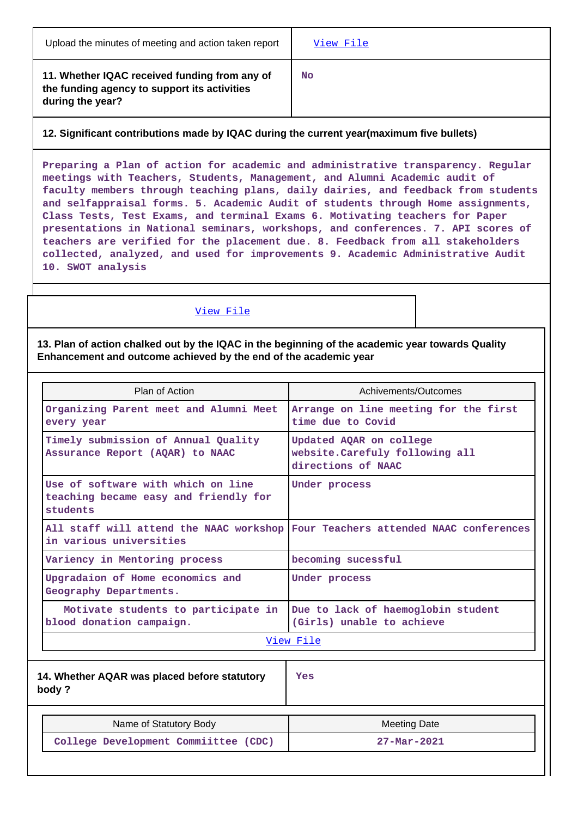**11. Whether IQAC received funding from any of the funding agency to support its activities during the year?**

**No**

## **12. Significant contributions made by IQAC during the current year(maximum five bullets)**

**Preparing a Plan of action for academic and administrative transparency. Regular meetings with Teachers, Students, Management, and Alumni Academic audit of faculty members through teaching plans, daily dairies, and feedback from students and selfappraisal forms. 5. Academic Audit of students through Home assignments, Class Tests, Test Exams, and terminal Exams 6. Motivating teachers for Paper presentations in National seminars, workshops, and conferences. 7. API scores of teachers are verified for the placement due. 8. Feedback from all stakeholders collected, analyzed, and used for improvements 9. Academic Administrative Audit 10. SWOT analysis**

### [View File](https://assessmentonline.naac.gov.in/public/Postacc/Contribution/9784_Contribution.xlsx)

### **13. Plan of action chalked out by the IQAC in the beginning of the academic year towards Quality Enhancement and outcome achieved by the end of the academic year**

| Plan of Action                                                                          | Achivements/Outcomes                                                             |  |  |  |
|-----------------------------------------------------------------------------------------|----------------------------------------------------------------------------------|--|--|--|
| Organizing Parent meet and Alumni Meet<br>every year                                    | Arrange on line meeting for the first<br>time due to Covid                       |  |  |  |
| Timely submission of Annual Quality<br>Assurance Report (AQAR) to NAAC                  | Updated AQAR on college<br>website. Carefuly following all<br>directions of NAAC |  |  |  |
| Use of software with which on line<br>teaching became easy and friendly for<br>students | Under process                                                                    |  |  |  |
| All staff will attend the NAAC workshop<br>in various universities                      | Four Teachers attended NAAC conferences                                          |  |  |  |
| Variency in Mentoring process                                                           | becoming sucessful                                                               |  |  |  |
| Upgradaion of Home economics and<br>Geography Departments.                              | Under process                                                                    |  |  |  |
| Motivate students to participate in<br>blood donation campaign.                         | Due to lack of haemoglobin student<br>(Girls) unable to achieve                  |  |  |  |
|                                                                                         | View File                                                                        |  |  |  |
| 14. Whether AQAR was placed before statutory<br>body?                                   | Yes                                                                              |  |  |  |
| Name of Statutory Body                                                                  | <b>Meeting Date</b>                                                              |  |  |  |
| College Development Commiittee (CDC)                                                    | $27 - Mar - 2021$                                                                |  |  |  |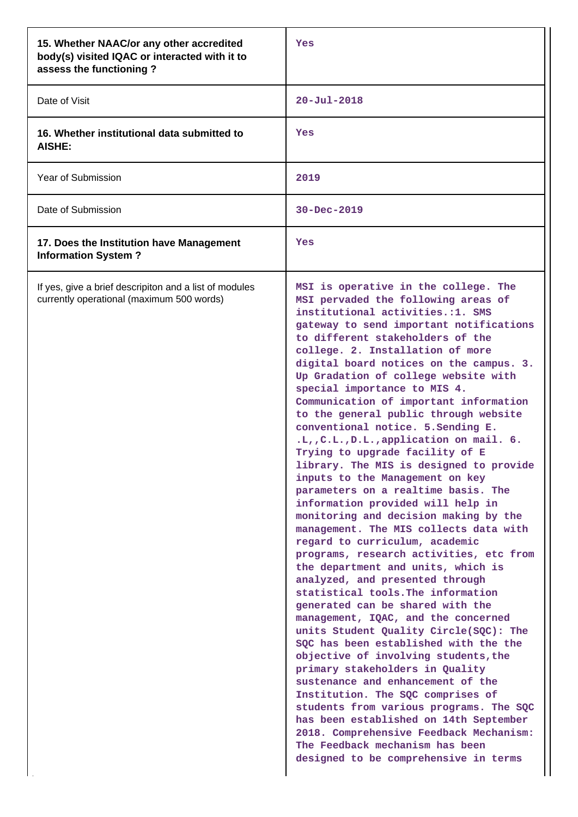| 15. Whether NAAC/or any other accredited<br>body(s) visited IQAC or interacted with it to<br>assess the functioning? | Yes                                                                                                                                                                                                                                                                                                                                                                                                                                                                                                                                                                                                                                                                                                                                                                                                                                                                                                                                                                                                                                                                                                                                                                                                                                                                                                                                                                                                                                                                                                                                   |
|----------------------------------------------------------------------------------------------------------------------|---------------------------------------------------------------------------------------------------------------------------------------------------------------------------------------------------------------------------------------------------------------------------------------------------------------------------------------------------------------------------------------------------------------------------------------------------------------------------------------------------------------------------------------------------------------------------------------------------------------------------------------------------------------------------------------------------------------------------------------------------------------------------------------------------------------------------------------------------------------------------------------------------------------------------------------------------------------------------------------------------------------------------------------------------------------------------------------------------------------------------------------------------------------------------------------------------------------------------------------------------------------------------------------------------------------------------------------------------------------------------------------------------------------------------------------------------------------------------------------------------------------------------------------|
| Date of Visit                                                                                                        | $20 - Ju1 - 2018$                                                                                                                                                                                                                                                                                                                                                                                                                                                                                                                                                                                                                                                                                                                                                                                                                                                                                                                                                                                                                                                                                                                                                                                                                                                                                                                                                                                                                                                                                                                     |
| 16. Whether institutional data submitted to<br><b>AISHE:</b>                                                         | Yes                                                                                                                                                                                                                                                                                                                                                                                                                                                                                                                                                                                                                                                                                                                                                                                                                                                                                                                                                                                                                                                                                                                                                                                                                                                                                                                                                                                                                                                                                                                                   |
| <b>Year of Submission</b>                                                                                            | 2019                                                                                                                                                                                                                                                                                                                                                                                                                                                                                                                                                                                                                                                                                                                                                                                                                                                                                                                                                                                                                                                                                                                                                                                                                                                                                                                                                                                                                                                                                                                                  |
| Date of Submission                                                                                                   | 30-Dec-2019                                                                                                                                                                                                                                                                                                                                                                                                                                                                                                                                                                                                                                                                                                                                                                                                                                                                                                                                                                                                                                                                                                                                                                                                                                                                                                                                                                                                                                                                                                                           |
| 17. Does the Institution have Management<br><b>Information System?</b>                                               | Yes                                                                                                                                                                                                                                                                                                                                                                                                                                                                                                                                                                                                                                                                                                                                                                                                                                                                                                                                                                                                                                                                                                                                                                                                                                                                                                                                                                                                                                                                                                                                   |
| If yes, give a brief descripiton and a list of modules<br>currently operational (maximum 500 words)                  | MSI is operative in the college. The<br>MSI pervaded the following areas of<br>institutional activities.:1. SMS<br>gateway to send important notifications<br>to different stakeholders of the<br>college. 2. Installation of more<br>digital board notices on the campus. 3.<br>Up Gradation of college website with<br>special importance to MIS 4.<br>Communication of important information<br>to the general public through website<br>conventional notice. 5. Sending E.<br>.L., C.L., D.L., application on mail. 6.<br>Trying to upgrade facility of E<br>library. The MIS is designed to provide<br>inputs to the Management on key<br>parameters on a realtime basis. The<br>information provided will help in<br>monitoring and decision making by the<br>management. The MIS collects data with<br>regard to curriculum, academic<br>programs, research activities, etc from<br>the department and units, which is<br>analyzed, and presented through<br>statistical tools. The information<br>generated can be shared with the<br>management, IQAC, and the concerned<br>units Student Quality Circle(SQC): The<br>SQC has been established with the the<br>objective of involving students, the<br>primary stakeholders in Quality<br>sustenance and enhancement of the<br>Institution. The SQC comprises of<br>students from various programs. The SQC<br>has been established on 14th September<br>2018. Comprehensive Feedback Mechanism:<br>The Feedback mechanism has been<br>designed to be comprehensive in terms |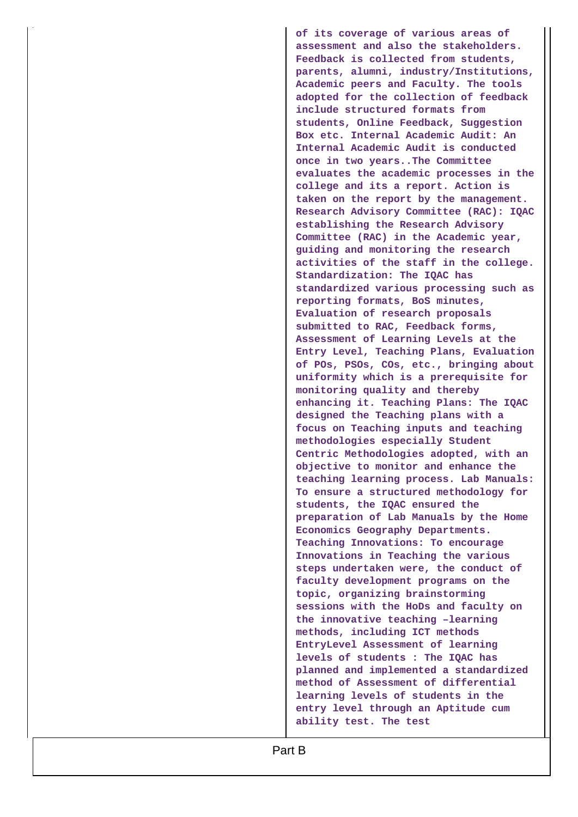**of its coverage of various areas of assessment and also the stakeholders. Feedback is collected from students, parents, alumni, industry/Institutions, Academic peers and Faculty. The tools adopted for the collection of feedback include structured formats from students, Online Feedback, Suggestion Box etc. Internal Academic Audit: An Internal Academic Audit is conducted once in two years..The Committee evaluates the academic processes in the college and its a report. Action is taken on the report by the management. Research Advisory Committee (RAC): IQAC establishing the Research Advisory Committee (RAC) in the Academic year, guiding and monitoring the research activities of the staff in the college. Standardization: The IQAC has standardized various processing such as reporting formats, BoS minutes, Evaluation of research proposals submitted to RAC, Feedback forms, Assessment of Learning Levels at the Entry Level, Teaching Plans, Evaluation of POs, PSOs, COs, etc., bringing about uniformity which is a prerequisite for monitoring quality and thereby enhancing it. Teaching Plans: The IQAC designed the Teaching plans with a focus on Teaching inputs and teaching methodologies especially Student Centric Methodologies adopted, with an objective to monitor and enhance the teaching learning process. Lab Manuals: To ensure a structured methodology for students, the IQAC ensured the preparation of Lab Manuals by the Home Economics Geography Departments. Teaching Innovations: To encourage Innovations in Teaching the various steps undertaken were, the conduct of faculty development programs on the topic, organizing brainstorming sessions with the HoDs and faculty on the innovative teaching –learning methods, including ICT methods EntryLevel Assessment of learning levels of students : The IQAC has planned and implemented a standardized method of Assessment of differential learning levels of students in the entry level through an Aptitude cum ability test. The test**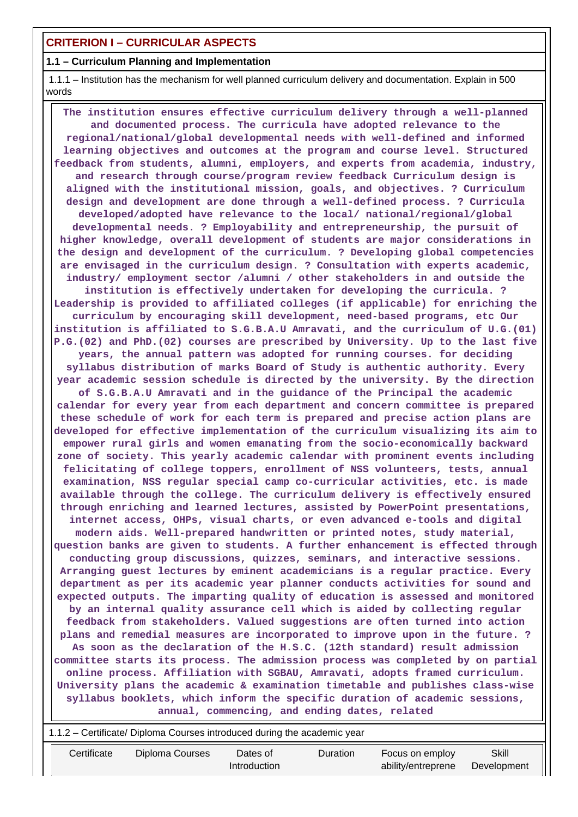## **CRITERION I – CURRICULAR ASPECTS**

### **1.1 – Curriculum Planning and Implementation**

 1.1.1 – Institution has the mechanism for well planned curriculum delivery and documentation. Explain in 500 words

 **The institution ensures effective curriculum delivery through a well-planned and documented process. The curricula have adopted relevance to the regional/national/global developmental needs with well-defined and informed learning objectives and outcomes at the program and course level. Structured feedback from students, alumni, employers, and experts from academia, industry, and research through course/program review feedback Curriculum design is aligned with the institutional mission, goals, and objectives. ? Curriculum design and development are done through a well-defined process. ? Curricula developed/adopted have relevance to the local/ national/regional/global developmental needs. ? Employability and entrepreneurship, the pursuit of higher knowledge, overall development of students are major considerations in the design and development of the curriculum. ? Developing global competencies are envisaged in the curriculum design. ? Consultation with experts academic, industry/ employment sector /alumni / other stakeholders in and outside the institution is effectively undertaken for developing the curricula. ? Leadership is provided to affiliated colleges (if applicable) for enriching the curriculum by encouraging skill development, need-based programs, etc Our institution is affiliated to S.G.B.A.U Amravati, and the curriculum of U.G.(01) P.G.(02) and PhD.(02) courses are prescribed by University. Up to the last five years, the annual pattern was adopted for running courses. for deciding syllabus distribution of marks Board of Study is authentic authority. Every year academic session schedule is directed by the university. By the direction of S.G.B.A.U Amravati and in the guidance of the Principal the academic calendar for every year from each department and concern committee is prepared these schedule of work for each term is prepared and precise action plans are developed for effective implementation of the curriculum visualizing its aim to empower rural girls and women emanating from the socio-economically backward zone of society. This yearly academic calendar with prominent events including felicitating of college toppers, enrollment of NSS volunteers, tests, annual examination, NSS regular special camp co-curricular activities, etc. is made available through the college. The curriculum delivery is effectively ensured through enriching and learned lectures, assisted by PowerPoint presentations, internet access, OHPs, visual charts, or even advanced e-tools and digital modern aids. Well-prepared handwritten or printed notes, study material, question banks are given to students. A further enhancement is effected through conducting group discussions, quizzes, seminars, and interactive sessions. Arranging guest lectures by eminent academicians is a regular practice. Every department as per its academic year planner conducts activities for sound and expected outputs. The imparting quality of education is assessed and monitored by an internal quality assurance cell which is aided by collecting regular feedback from stakeholders. Valued suggestions are often turned into action plans and remedial measures are incorporated to improve upon in the future. ? As soon as the declaration of the H.S.C. (12th standard) result admission committee starts its process. The admission process was completed by on partial online process. Affiliation with SGBAU, Amravati, adopts framed curriculum. University plans the academic & examination timetable and publishes class-wise syllabus booklets, which inform the specific duration of academic sessions, annual, commencing, and ending dates, related**

|                                                                                    | 1.1.2 – Certificate/ Diploma Courses introduced during the academic year |  |              |  |                    |             |  |  |  |
|------------------------------------------------------------------------------------|--------------------------------------------------------------------------|--|--------------|--|--------------------|-------------|--|--|--|
| Certificate<br>Skill<br>Diploma Courses<br>Duration<br>Focus on employ<br>Dates of |                                                                          |  |              |  |                    |             |  |  |  |
|                                                                                    |                                                                          |  | Introduction |  | ability/entreprene | Development |  |  |  |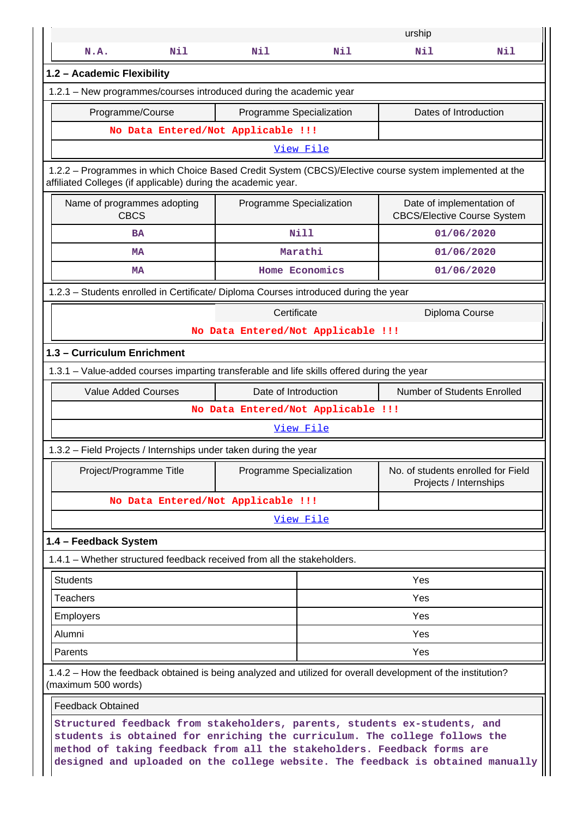|                                                                                                                                                                                                                                                                                                                       |                                    |                  | urship                                                          |     |  |  |  |  |
|-----------------------------------------------------------------------------------------------------------------------------------------------------------------------------------------------------------------------------------------------------------------------------------------------------------------------|------------------------------------|------------------|-----------------------------------------------------------------|-----|--|--|--|--|
| N.A.<br>Nil                                                                                                                                                                                                                                                                                                           | Nil                                | Nil              | Nil                                                             | Nil |  |  |  |  |
| 1.2 - Academic Flexibility                                                                                                                                                                                                                                                                                            |                                    |                  |                                                                 |     |  |  |  |  |
| 1.2.1 - New programmes/courses introduced during the academic year                                                                                                                                                                                                                                                    |                                    |                  |                                                                 |     |  |  |  |  |
| Programme/Course                                                                                                                                                                                                                                                                                                      | Programme Specialization           |                  | Dates of Introduction                                           |     |  |  |  |  |
|                                                                                                                                                                                                                                                                                                                       | No Data Entered/Not Applicable !!! |                  |                                                                 |     |  |  |  |  |
|                                                                                                                                                                                                                                                                                                                       |                                    | View File        |                                                                 |     |  |  |  |  |
| 1.2.2 - Programmes in which Choice Based Credit System (CBCS)/Elective course system implemented at the<br>affiliated Colleges (if applicable) during the academic year.                                                                                                                                              |                                    |                  |                                                                 |     |  |  |  |  |
| Name of programmes adopting<br><b>CBCS</b>                                                                                                                                                                                                                                                                            | Programme Specialization           |                  | Date of implementation of<br><b>CBCS/Elective Course System</b> |     |  |  |  |  |
| <b>BA</b>                                                                                                                                                                                                                                                                                                             |                                    | <b>Nill</b>      | 01/06/2020                                                      |     |  |  |  |  |
| <b>MA</b>                                                                                                                                                                                                                                                                                                             |                                    | Marathi          | 01/06/2020                                                      |     |  |  |  |  |
| MA                                                                                                                                                                                                                                                                                                                    |                                    | Home Economics   | 01/06/2020                                                      |     |  |  |  |  |
| 1.2.3 - Students enrolled in Certificate/ Diploma Courses introduced during the year                                                                                                                                                                                                                                  |                                    |                  |                                                                 |     |  |  |  |  |
|                                                                                                                                                                                                                                                                                                                       | Certificate                        |                  | Diploma Course                                                  |     |  |  |  |  |
|                                                                                                                                                                                                                                                                                                                       | No Data Entered/Not Applicable !!! |                  |                                                                 |     |  |  |  |  |
| 1.3 - Curriculum Enrichment                                                                                                                                                                                                                                                                                           |                                    |                  |                                                                 |     |  |  |  |  |
| 1.3.1 – Value-added courses imparting transferable and life skills offered during the year                                                                                                                                                                                                                            |                                    |                  |                                                                 |     |  |  |  |  |
| <b>Value Added Courses</b>                                                                                                                                                                                                                                                                                            | Date of Introduction               |                  | Number of Students Enrolled                                     |     |  |  |  |  |
|                                                                                                                                                                                                                                                                                                                       | No Data Entered/Not Applicable !!! |                  |                                                                 |     |  |  |  |  |
|                                                                                                                                                                                                                                                                                                                       |                                    | View File        |                                                                 |     |  |  |  |  |
| 1.3.2 – Field Projects / Internships under taken during the year                                                                                                                                                                                                                                                      |                                    |                  |                                                                 |     |  |  |  |  |
| Project/Programme Title                                                                                                                                                                                                                                                                                               | Programme Specialization           |                  | No. of students enrolled for Field<br>Projects / Internships    |     |  |  |  |  |
|                                                                                                                                                                                                                                                                                                                       | No Data Entered/Not Applicable !!! |                  |                                                                 |     |  |  |  |  |
|                                                                                                                                                                                                                                                                                                                       |                                    | <u>View File</u> |                                                                 |     |  |  |  |  |
| 1.4 - Feedback System                                                                                                                                                                                                                                                                                                 |                                    |                  |                                                                 |     |  |  |  |  |
| 1.4.1 – Whether structured feedback received from all the stakeholders.                                                                                                                                                                                                                                               |                                    |                  |                                                                 |     |  |  |  |  |
| <b>Students</b>                                                                                                                                                                                                                                                                                                       |                                    |                  | Yes                                                             |     |  |  |  |  |
| <b>Teachers</b>                                                                                                                                                                                                                                                                                                       |                                    |                  | Yes                                                             |     |  |  |  |  |
| Employers                                                                                                                                                                                                                                                                                                             |                                    |                  | Yes                                                             |     |  |  |  |  |
| Alumni                                                                                                                                                                                                                                                                                                                |                                    |                  | Yes                                                             |     |  |  |  |  |
| Parents                                                                                                                                                                                                                                                                                                               |                                    |                  | Yes                                                             |     |  |  |  |  |
| 1.4.2 – How the feedback obtained is being analyzed and utilized for overall development of the institution?<br>(maximum 500 words)                                                                                                                                                                                   |                                    |                  |                                                                 |     |  |  |  |  |
| <b>Feedback Obtained</b>                                                                                                                                                                                                                                                                                              |                                    |                  |                                                                 |     |  |  |  |  |
| Structured feedback from stakeholders, parents, students ex-students, and<br>students is obtained for enriching the curriculum. The college follows the<br>method of taking feedback from all the stakeholders. Feedback forms are<br>designed and uploaded on the college website. The feedback is obtained manually |                                    |                  |                                                                 |     |  |  |  |  |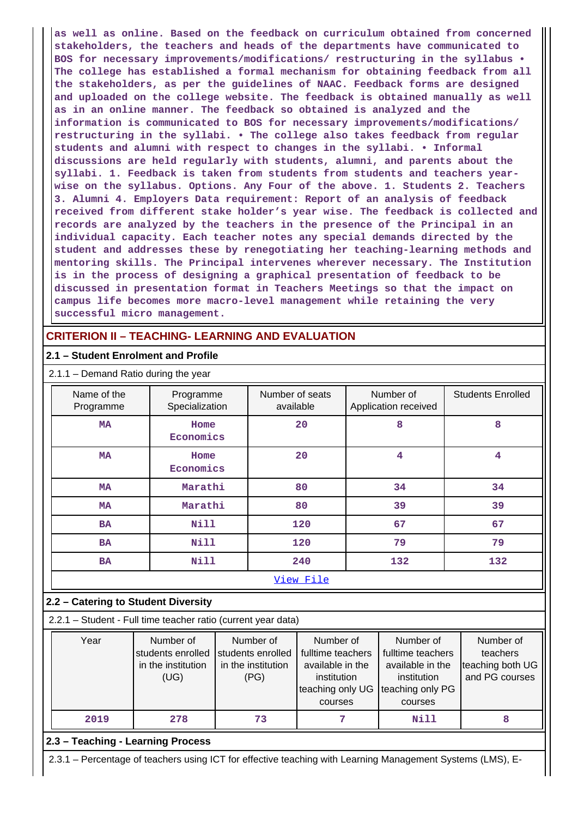**as well as online. Based on the feedback on curriculum obtained from concerned stakeholders, the teachers and heads of the departments have communicated to BOS for necessary improvements/modifications/ restructuring in the syllabus • The college has established a formal mechanism for obtaining feedback from all the stakeholders, as per the guidelines of NAAC. Feedback forms are designed and uploaded on the college website. The feedback is obtained manually as well as in an online manner. The feedback so obtained is analyzed and the information is communicated to BOS for necessary improvements/modifications/ restructuring in the syllabi. • The college also takes feedback from regular students and alumni with respect to changes in the syllabi. • Informal discussions are held regularly with students, alumni, and parents about the syllabi. 1. Feedback is taken from students from students and teachers yearwise on the syllabus. Options. Any Four of the above. 1. Students 2. Teachers 3. Alumni 4. Employers Data requirement: Report of an analysis of feedback received from different stake holder's year wise. The feedback is collected and records are analyzed by the teachers in the presence of the Principal in an individual capacity. Each teacher notes any special demands directed by the student and addresses these by renegotiating her teaching-learning methods and mentoring skills. The Principal intervenes wherever necessary. The Institution is in the process of designing a graphical presentation of feedback to be discussed in presentation format in Teachers Meetings so that the impact on campus life becomes more macro-level management while retaining the very successful micro management.**

### **CRITERION II – TEACHING- LEARNING AND EVALUATION**

### **2.1 – Student Enrolment and Profile**

| Name of the<br>Programme | Programme<br>Specialization | Number of seats<br>available | Number of<br>Application received | <b>Students Enrolled</b> |
|--------------------------|-----------------------------|------------------------------|-----------------------------------|--------------------------|
| <b>MA</b>                | Home<br>Economics           | 20                           | 8                                 | 8                        |
| <b>MA</b>                | Home<br>Economics           | 20                           | 4                                 | 4                        |
| <b>MA</b>                | Marathi                     | 80                           | 34                                | 34                       |
| <b>MA</b>                | Marathi                     | 80                           | 39                                | 39                       |
| <b>BA</b>                | <b>Nill</b>                 | 120                          | 67                                | 67                       |
| <b>BA</b>                | <b>Nill</b>                 | 120                          | 79                                | 79                       |
| <b>BA</b>                | Nill                        | 240                          | 132                               | 132                      |
|                          |                             | View File                    |                                   |                          |

#### **2.2 – Catering to Student Diversity**

2.2.1 – Student - Full time teacher ratio (current year data)

| Year | Number of<br>students enrolled<br>in the institution<br>(UG) | Number of<br>students enrolled<br>in the institution<br>(PG) | Number of<br>fulltime teachers<br>available in the<br>institution<br>teaching only UG<br>courses | Number of<br>fulltime teachers<br>available in the<br>institution<br>teaching only PG<br>courses | Number of<br>teachers<br>teaching both UG<br>and PG courses |
|------|--------------------------------------------------------------|--------------------------------------------------------------|--------------------------------------------------------------------------------------------------|--------------------------------------------------------------------------------------------------|-------------------------------------------------------------|
| 2019 | 278                                                          | 73                                                           |                                                                                                  | Nill                                                                                             |                                                             |

### **2.3 – Teaching - Learning Process**

2.3.1 – Percentage of teachers using ICT for effective teaching with Learning Management Systems (LMS), E-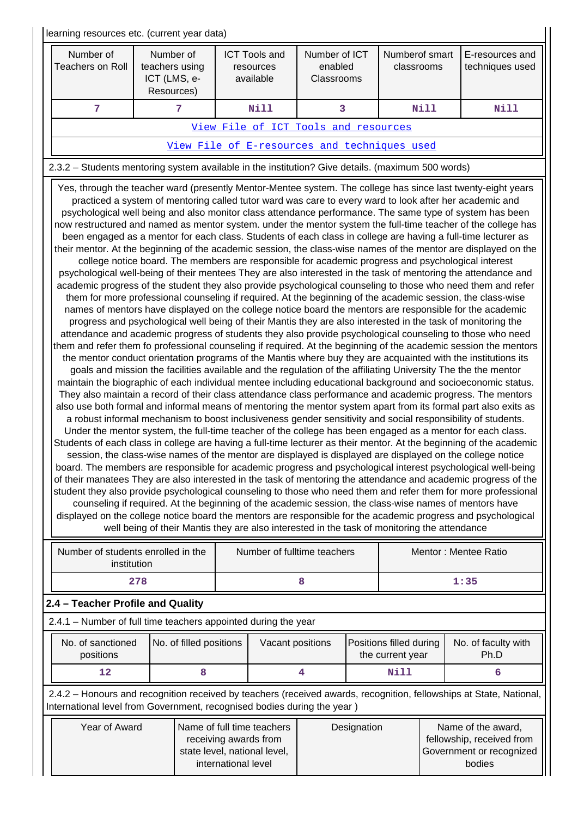| learning resources etc. (current year data)                                                       |                                                                                                                                                                                                                                                                                                                                                                                                                                                                                                                                                                                                                                                                                                                                                                                                                                                                                                                                                                                                                                                                                                                                                                                                                                                                                                                                                                                                                                                                                                                                                                                                                                                                                                                                                                                                                                                                                                                                                                                                                                                                                                                                                                                                                                                                                                                                                                                                                                                                                                                                                                                                                                                                                                                                                                                                                                                                                                                                                                                                                                                                                                                                                                                                                                                                                                                                                     |                                                                                                                                                                                                                    |                                        |  |                                             |                                                                                                                     |  |  |  |
|---------------------------------------------------------------------------------------------------|-----------------------------------------------------------------------------------------------------------------------------------------------------------------------------------------------------------------------------------------------------------------------------------------------------------------------------------------------------------------------------------------------------------------------------------------------------------------------------------------------------------------------------------------------------------------------------------------------------------------------------------------------------------------------------------------------------------------------------------------------------------------------------------------------------------------------------------------------------------------------------------------------------------------------------------------------------------------------------------------------------------------------------------------------------------------------------------------------------------------------------------------------------------------------------------------------------------------------------------------------------------------------------------------------------------------------------------------------------------------------------------------------------------------------------------------------------------------------------------------------------------------------------------------------------------------------------------------------------------------------------------------------------------------------------------------------------------------------------------------------------------------------------------------------------------------------------------------------------------------------------------------------------------------------------------------------------------------------------------------------------------------------------------------------------------------------------------------------------------------------------------------------------------------------------------------------------------------------------------------------------------------------------------------------------------------------------------------------------------------------------------------------------------------------------------------------------------------------------------------------------------------------------------------------------------------------------------------------------------------------------------------------------------------------------------------------------------------------------------------------------------------------------------------------------------------------------------------------------------------------------------------------------------------------------------------------------------------------------------------------------------------------------------------------------------------------------------------------------------------------------------------------------------------------------------------------------------------------------------------------------------------------------------------------------------------------------------------------------|--------------------------------------------------------------------------------------------------------------------------------------------------------------------------------------------------------------------|----------------------------------------|--|---------------------------------------------|---------------------------------------------------------------------------------------------------------------------|--|--|--|
| Number of<br><b>Teachers on Roll</b>                                                              | Number of<br>teachers using<br>ICT (LMS, e-<br>Resources)                                                                                                                                                                                                                                                                                                                                                                                                                                                                                                                                                                                                                                                                                                                                                                                                                                                                                                                                                                                                                                                                                                                                                                                                                                                                                                                                                                                                                                                                                                                                                                                                                                                                                                                                                                                                                                                                                                                                                                                                                                                                                                                                                                                                                                                                                                                                                                                                                                                                                                                                                                                                                                                                                                                                                                                                                                                                                                                                                                                                                                                                                                                                                                                                                                                                                           | <b>ICT Tools and</b><br>resources<br>available                                                                                                                                                                     | Number of ICT<br>enabled<br>Classrooms |  | Numberof smart<br>classrooms                | E-resources and<br>techniques used                                                                                  |  |  |  |
| $\overline{7}$                                                                                    | $7\phantom{.}7$                                                                                                                                                                                                                                                                                                                                                                                                                                                                                                                                                                                                                                                                                                                                                                                                                                                                                                                                                                                                                                                                                                                                                                                                                                                                                                                                                                                                                                                                                                                                                                                                                                                                                                                                                                                                                                                                                                                                                                                                                                                                                                                                                                                                                                                                                                                                                                                                                                                                                                                                                                                                                                                                                                                                                                                                                                                                                                                                                                                                                                                                                                                                                                                                                                                                                                                                     | <b>Nill</b>                                                                                                                                                                                                        | 3                                      |  | <b>Nill</b>                                 | Nill                                                                                                                |  |  |  |
|                                                                                                   |                                                                                                                                                                                                                                                                                                                                                                                                                                                                                                                                                                                                                                                                                                                                                                                                                                                                                                                                                                                                                                                                                                                                                                                                                                                                                                                                                                                                                                                                                                                                                                                                                                                                                                                                                                                                                                                                                                                                                                                                                                                                                                                                                                                                                                                                                                                                                                                                                                                                                                                                                                                                                                                                                                                                                                                                                                                                                                                                                                                                                                                                                                                                                                                                                                                                                                                                                     | View File of ICT Tools and resources                                                                                                                                                                               |                                        |  |                                             |                                                                                                                     |  |  |  |
|                                                                                                   |                                                                                                                                                                                                                                                                                                                                                                                                                                                                                                                                                                                                                                                                                                                                                                                                                                                                                                                                                                                                                                                                                                                                                                                                                                                                                                                                                                                                                                                                                                                                                                                                                                                                                                                                                                                                                                                                                                                                                                                                                                                                                                                                                                                                                                                                                                                                                                                                                                                                                                                                                                                                                                                                                                                                                                                                                                                                                                                                                                                                                                                                                                                                                                                                                                                                                                                                                     | View File of E-resources and techniques used                                                                                                                                                                       |                                        |  |                                             |                                                                                                                     |  |  |  |
| 2.3.2 - Students mentoring system available in the institution? Give details. (maximum 500 words) |                                                                                                                                                                                                                                                                                                                                                                                                                                                                                                                                                                                                                                                                                                                                                                                                                                                                                                                                                                                                                                                                                                                                                                                                                                                                                                                                                                                                                                                                                                                                                                                                                                                                                                                                                                                                                                                                                                                                                                                                                                                                                                                                                                                                                                                                                                                                                                                                                                                                                                                                                                                                                                                                                                                                                                                                                                                                                                                                                                                                                                                                                                                                                                                                                                                                                                                                                     |                                                                                                                                                                                                                    |                                        |  |                                             |                                                                                                                     |  |  |  |
| Number of students enrolled in the                                                                | Yes, through the teacher ward (presently Mentor-Mentee system. The college has since last twenty-eight years<br>practiced a system of mentoring called tutor ward was care to every ward to look after her academic and<br>psychological well being and also monitor class attendance performance. The same type of system has been<br>now restructured and named as mentor system. under the mentor system the full-time teacher of the college has<br>been engaged as a mentor for each class. Students of each class in college are having a full-time lecturer as<br>their mentor. At the beginning of the academic session, the class-wise names of the mentor are displayed on the<br>college notice board. The members are responsible for academic progress and psychological interest<br>psychological well-being of their mentees They are also interested in the task of mentoring the attendance and<br>academic progress of the student they also provide psychological counseling to those who need them and refer<br>them for more professional counseling if required. At the beginning of the academic session, the class-wise<br>names of mentors have displayed on the college notice board the mentors are responsible for the academic<br>progress and psychological well being of their Mantis they are also interested in the task of monitoring the<br>attendance and academic progress of students they also provide psychological counseling to those who need<br>them and refer them fo professional counseling if required. At the beginning of the academic session the mentors<br>the mentor conduct orientation programs of the Mantis where buy they are acquainted with the institutions its<br>goals and mission the facilities available and the regulation of the affiliating University The the the mentor<br>maintain the biographic of each individual mentee including educational background and socioeconomic status.<br>They also maintain a record of their class attendance class performance and academic progress. The mentors<br>also use both formal and informal means of mentoring the mentor system apart from its formal part also exits as<br>a robust informal mechanism to boost inclusiveness gender sensitivity and social responsibility of students.<br>Under the mentor system, the full-time teacher of the college has been engaged as a mentor for each class.<br>Students of each class in college are having a full-time lecturer as their mentor. At the beginning of the academic<br>session, the class-wise names of the mentor are displayed is displayed are displayed on the college notice<br>board. The members are responsible for academic progress and psychological interest psychological well-being<br>of their manatees They are also interested in the task of mentoring the attendance and academic progress of the<br>student they also provide psychological counseling to those who need them and refer them for more professional<br>counseling if required. At the beginning of the academic session, the class-wise names of mentors have<br>displayed on the college notice board the mentors are responsible for the academic progress and psychological<br>well being of their Mantis they are also interested in the task of monitoring the attendance |                                                                                                                                                                                                                    |                                        |  |                                             |                                                                                                                     |  |  |  |
| institution                                                                                       |                                                                                                                                                                                                                                                                                                                                                                                                                                                                                                                                                                                                                                                                                                                                                                                                                                                                                                                                                                                                                                                                                                                                                                                                                                                                                                                                                                                                                                                                                                                                                                                                                                                                                                                                                                                                                                                                                                                                                                                                                                                                                                                                                                                                                                                                                                                                                                                                                                                                                                                                                                                                                                                                                                                                                                                                                                                                                                                                                                                                                                                                                                                                                                                                                                                                                                                                                     |                                                                                                                                                                                                                    | Number of fulltime teachers            |  |                                             | Mentor: Mentee Ratio                                                                                                |  |  |  |
|                                                                                                   | 278                                                                                                                                                                                                                                                                                                                                                                                                                                                                                                                                                                                                                                                                                                                                                                                                                                                                                                                                                                                                                                                                                                                                                                                                                                                                                                                                                                                                                                                                                                                                                                                                                                                                                                                                                                                                                                                                                                                                                                                                                                                                                                                                                                                                                                                                                                                                                                                                                                                                                                                                                                                                                                                                                                                                                                                                                                                                                                                                                                                                                                                                                                                                                                                                                                                                                                                                                 |                                                                                                                                                                                                                    | 8                                      |  |                                             | 1:35                                                                                                                |  |  |  |
| 2.4 - Teacher Profile and Quality                                                                 |                                                                                                                                                                                                                                                                                                                                                                                                                                                                                                                                                                                                                                                                                                                                                                                                                                                                                                                                                                                                                                                                                                                                                                                                                                                                                                                                                                                                                                                                                                                                                                                                                                                                                                                                                                                                                                                                                                                                                                                                                                                                                                                                                                                                                                                                                                                                                                                                                                                                                                                                                                                                                                                                                                                                                                                                                                                                                                                                                                                                                                                                                                                                                                                                                                                                                                                                                     |                                                                                                                                                                                                                    |                                        |  |                                             |                                                                                                                     |  |  |  |
| 2.4.1 - Number of full time teachers appointed during the year                                    |                                                                                                                                                                                                                                                                                                                                                                                                                                                                                                                                                                                                                                                                                                                                                                                                                                                                                                                                                                                                                                                                                                                                                                                                                                                                                                                                                                                                                                                                                                                                                                                                                                                                                                                                                                                                                                                                                                                                                                                                                                                                                                                                                                                                                                                                                                                                                                                                                                                                                                                                                                                                                                                                                                                                                                                                                                                                                                                                                                                                                                                                                                                                                                                                                                                                                                                                                     |                                                                                                                                                                                                                    |                                        |  |                                             |                                                                                                                     |  |  |  |
| No. of sanctioned<br>positions                                                                    | No. of filled positions                                                                                                                                                                                                                                                                                                                                                                                                                                                                                                                                                                                                                                                                                                                                                                                                                                                                                                                                                                                                                                                                                                                                                                                                                                                                                                                                                                                                                                                                                                                                                                                                                                                                                                                                                                                                                                                                                                                                                                                                                                                                                                                                                                                                                                                                                                                                                                                                                                                                                                                                                                                                                                                                                                                                                                                                                                                                                                                                                                                                                                                                                                                                                                                                                                                                                                                             |                                                                                                                                                                                                                    | Vacant positions                       |  | Positions filled during<br>the current year | No. of faculty with<br>Ph.D                                                                                         |  |  |  |
| 12                                                                                                | 8                                                                                                                                                                                                                                                                                                                                                                                                                                                                                                                                                                                                                                                                                                                                                                                                                                                                                                                                                                                                                                                                                                                                                                                                                                                                                                                                                                                                                                                                                                                                                                                                                                                                                                                                                                                                                                                                                                                                                                                                                                                                                                                                                                                                                                                                                                                                                                                                                                                                                                                                                                                                                                                                                                                                                                                                                                                                                                                                                                                                                                                                                                                                                                                                                                                                                                                                                   |                                                                                                                                                                                                                    | 4                                      |  | <b>Nill</b>                                 | 6                                                                                                                   |  |  |  |
| International level from Government, recognised bodies during the year)                           |                                                                                                                                                                                                                                                                                                                                                                                                                                                                                                                                                                                                                                                                                                                                                                                                                                                                                                                                                                                                                                                                                                                                                                                                                                                                                                                                                                                                                                                                                                                                                                                                                                                                                                                                                                                                                                                                                                                                                                                                                                                                                                                                                                                                                                                                                                                                                                                                                                                                                                                                                                                                                                                                                                                                                                                                                                                                                                                                                                                                                                                                                                                                                                                                                                                                                                                                                     |                                                                                                                                                                                                                    |                                        |  |                                             | 2.4.2 - Honours and recognition received by teachers (received awards, recognition, fellowships at State, National, |  |  |  |
| Year of Award                                                                                     |                                                                                                                                                                                                                                                                                                                                                                                                                                                                                                                                                                                                                                                                                                                                                                                                                                                                                                                                                                                                                                                                                                                                                                                                                                                                                                                                                                                                                                                                                                                                                                                                                                                                                                                                                                                                                                                                                                                                                                                                                                                                                                                                                                                                                                                                                                                                                                                                                                                                                                                                                                                                                                                                                                                                                                                                                                                                                                                                                                                                                                                                                                                                                                                                                                                                                                                                                     | Name of full time teachers<br>Designation<br>Name of the award,<br>fellowship, received from<br>receiving awards from<br>Government or recognized<br>state level, national level,<br>international level<br>bodies |                                        |  |                                             |                                                                                                                     |  |  |  |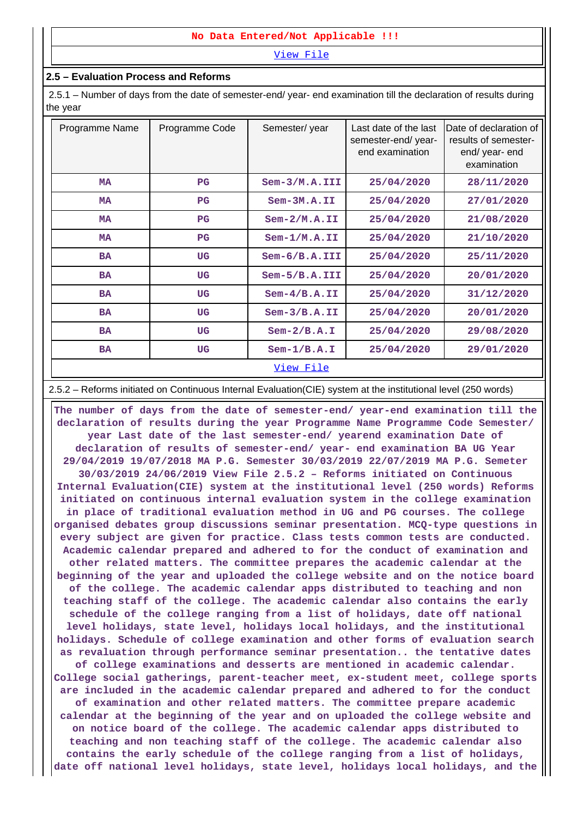#### **No Data Entered/Not Applicable !!!**

[View File](https://assessmentonline.naac.gov.in/public/Postacc/Honours_recieved/9784_Honours_recieved_1620172834.xlsx)

#### **2.5 – Evaluation Process and Reforms**

 2.5.1 – Number of days from the date of semester-end/ year- end examination till the declaration of results during the year

| Programme Name | Programme Code | Semester/year    | Last date of the last<br>semester-end/year-<br>end examination | Date of declaration of<br>results of semester-<br>end/ year- end<br>examination |
|----------------|----------------|------------------|----------------------------------------------------------------|---------------------------------------------------------------------------------|
| <b>MA</b>      | $_{\rm PG}$    | $Sem-3/M.A. III$ | 25/04/2020                                                     | 28/11/2020                                                                      |
| <b>MA</b>      | $_{\rm PG}$    | $Sem-3M.A.II$    | 25/04/2020                                                     | 27/01/2020                                                                      |
| <b>MA</b>      | $_{\rm PG}$    | $Sem-2/M.A. II$  | 25/04/2020                                                     | 21/08/2020                                                                      |
| <b>MA</b>      | $_{\rm PG}$    | $Sem-1/M.A. II$  | 25/04/2020                                                     | 21/10/2020                                                                      |
| <b>BA</b>      | UG             | $Sem-6/B.A. III$ | 25/04/2020                                                     | 25/11/2020                                                                      |
| <b>BA</b>      | UG             | $Sem-5/B.A. III$ | 25/04/2020                                                     | 20/01/2020                                                                      |
| <b>BA</b>      | UG             | $Sem-4/B.A.II$   | 25/04/2020                                                     | 31/12/2020                                                                      |
| <b>BA</b>      | UG             | $Sem-3/B.A. II$  | 25/04/2020                                                     | 20/01/2020                                                                      |
| <b>BA</b>      | UG             | $Sem-2/B.A.I$    | 25/04/2020                                                     | 29/08/2020                                                                      |
| <b>BA</b>      | UG             | $Sem-1/B.A.I$    | 25/04/2020                                                     | 29/01/2020                                                                      |
|                |                | <u>View File</u> |                                                                |                                                                                 |

2.5.2 – Reforms initiated on Continuous Internal Evaluation(CIE) system at the institutional level (250 words)

 **The number of days from the date of semester-end/ year-end examination till the declaration of results during the year Programme Name Programme Code Semester/ year Last date of the last semester-end/ yearend examination Date of declaration of results of semester-end/ year- end examination BA UG Year 29/04/2019 19/07/2018 MA P.G. Semester 30/03/2019 22/07/2019 MA P.G. Semeter 30/03/2019 24/06/2019 View File 2.5.2 – Reforms initiated on Continuous Internal Evaluation(CIE) system at the institutional level (250 words) Reforms initiated on continuous internal evaluation system in the college examination in place of traditional evaluation method in UG and PG courses. The college organised debates group discussions seminar presentation. MCQ-type questions in every subject are given for practice. Class tests common tests are conducted. Academic calendar prepared and adhered to for the conduct of examination and other related matters. The committee prepares the academic calendar at the beginning of the year and uploaded the college website and on the notice board of the college. The academic calendar apps distributed to teaching and non teaching staff of the college. The academic calendar also contains the early schedule of the college ranging from a list of holidays, date off national level holidays, state level, holidays local holidays, and the institutional holidays. Schedule of college examination and other forms of evaluation search as revaluation through performance seminar presentation.. the tentative dates of college examinations and desserts are mentioned in academic calendar. College social gatherings, parent-teacher meet, ex-student meet, college sports are included in the academic calendar prepared and adhered to for the conduct of examination and other related matters. The committee prepare academic calendar at the beginning of the year and on uploaded the college website and on notice board of the college. The academic calendar apps distributed to teaching and non teaching staff of the college. The academic calendar also contains the early schedule of the college ranging from a list of holidays, date off national level holidays, state level, holidays local holidays, and the**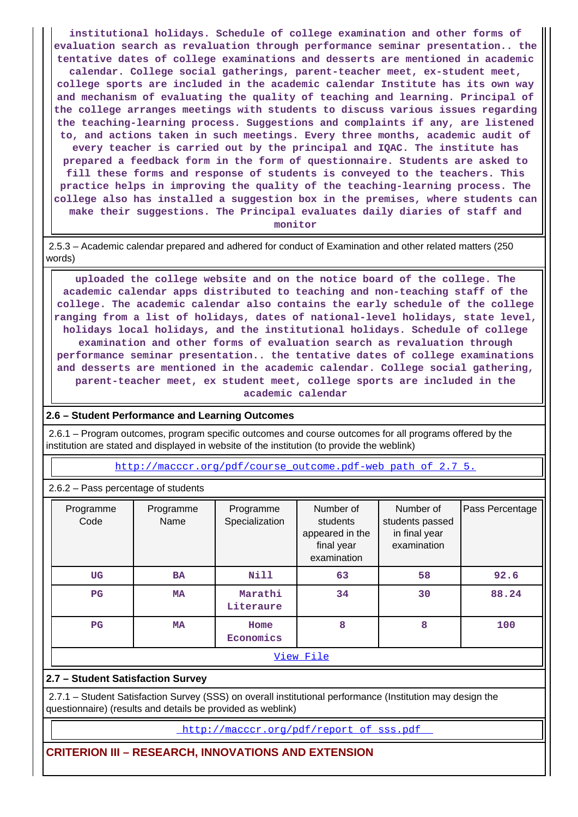**institutional holidays. Schedule of college examination and other forms of evaluation search as revaluation through performance seminar presentation.. the tentative dates of college examinations and desserts are mentioned in academic calendar. College social gatherings, parent-teacher meet, ex-student meet, college sports are included in the academic calendar Institute has its own way and mechanism of evaluating the quality of teaching and learning. Principal of the college arranges meetings with students to discuss various issues regarding the teaching-learning process. Suggestions and complaints if any, are listened to, and actions taken in such meetings. Every three months, academic audit of every teacher is carried out by the principal and IQAC. The institute has prepared a feedback form in the form of questionnaire. Students are asked to fill these forms and response of students is conveyed to the teachers. This practice helps in improving the quality of the teaching-learning process. The college also has installed a suggestion box in the premises, where students can make their suggestions. The Principal evaluates daily diaries of staff and monitor**

 2.5.3 – Academic calendar prepared and adhered for conduct of Examination and other related matters (250 words)

 **uploaded the college website and on the notice board of the college. The academic calendar apps distributed to teaching and non-teaching staff of the college. The academic calendar also contains the early schedule of the college ranging from a list of holidays, dates of national-level holidays, state level, holidays local holidays, and the institutional holidays. Schedule of college examination and other forms of evaluation search as revaluation through performance seminar presentation.. the tentative dates of college examinations and desserts are mentioned in the academic calendar. College social gathering, parent-teacher meet, ex student meet, college sports are included in the academic calendar**

#### **2.6 – Student Performance and Learning Outcomes**

 2.6.1 – Program outcomes, program specific outcomes and course outcomes for all programs offered by the institution are stated and displayed in website of the institution (to provide the weblink)

[http://macccr.org/pdf/course\\_outcome.pdf-web path of 2.7 5.](http://macccr.org/pdf/course_outcome.pdf-web path of 2.7 5.)

2.6.2 – Pass percentage of students

| Programme<br>Code | Programme<br>Name | Programme<br>Specialization | Number of<br>students<br>appeared in the<br>final year<br>examination | Number of<br>students passed<br>in final year<br>examination | Pass Percentage |  |  |  |
|-------------------|-------------------|-----------------------------|-----------------------------------------------------------------------|--------------------------------------------------------------|-----------------|--|--|--|
| <b>UG</b>         | <b>BA</b>         | Nill                        | 63                                                                    | 58                                                           | 92.6            |  |  |  |
| $_{\rm PG}$       | <b>MA</b>         | Marathi<br>Literaure        | 34                                                                    | 30                                                           | 88.24           |  |  |  |
| $_{\rm PG}$       | <b>MA</b>         | Home<br>Economics           | 8                                                                     | 8                                                            | 100             |  |  |  |
|                   | View File         |                             |                                                                       |                                                              |                 |  |  |  |

### **2.7 – Student Satisfaction Survey**

 2.7.1 – Student Satisfaction Survey (SSS) on overall institutional performance (Institution may design the questionnaire) (results and details be provided as weblink)

[http://macccr.org/pdf/report\\_of\\_sss.pdf](http://macccr.org/pdf/report_of_sss.pdf) 

### **CRITERION III – RESEARCH, INNOVATIONS AND EXTENSION**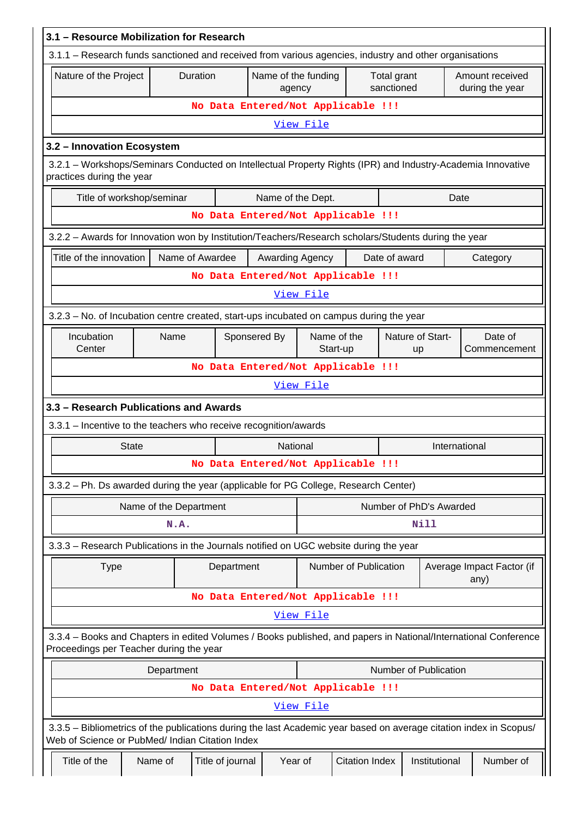| 3.1 - Resource Mobilization for Research                                                                                                                              |                        |                                    |                 |           |                                                  |               |                         |                                    |  |
|-----------------------------------------------------------------------------------------------------------------------------------------------------------------------|------------------------|------------------------------------|-----------------|-----------|--------------------------------------------------|---------------|-------------------------|------------------------------------|--|
| 3.1.1 - Research funds sanctioned and received from various agencies, industry and other organisations                                                                |                        |                                    |                 |           |                                                  |               |                         |                                    |  |
| Nature of the Project                                                                                                                                                 |                        | Duration                           | agency          |           | Name of the funding<br>Total grant<br>sanctioned |               |                         | Amount received<br>during the year |  |
|                                                                                                                                                                       |                        | No Data Entered/Not Applicable !!! |                 |           |                                                  |               |                         |                                    |  |
|                                                                                                                                                                       |                        |                                    |                 | View File |                                                  |               |                         |                                    |  |
| 3.2 - Innovation Ecosystem                                                                                                                                            |                        |                                    |                 |           |                                                  |               |                         |                                    |  |
| 3.2.1 - Workshops/Seminars Conducted on Intellectual Property Rights (IPR) and Industry-Academia Innovative<br>practices during the year                              |                        |                                    |                 |           |                                                  |               |                         |                                    |  |
| Title of workshop/seminar<br>Name of the Dept.<br>Date                                                                                                                |                        |                                    |                 |           |                                                  |               |                         |                                    |  |
|                                                                                                                                                                       |                        | No Data Entered/Not Applicable !!! |                 |           |                                                  |               |                         |                                    |  |
| 3.2.2 - Awards for Innovation won by Institution/Teachers/Research scholars/Students during the year                                                                  |                        |                                    |                 |           |                                                  |               |                         |                                    |  |
| Title of the innovation                                                                                                                                               |                        | Name of Awardee                    | Awarding Agency |           |                                                  | Date of award |                         | Category                           |  |
|                                                                                                                                                                       |                        | No Data Entered/Not Applicable !!! |                 |           |                                                  |               |                         |                                    |  |
|                                                                                                                                                                       |                        |                                    |                 | View File |                                                  |               |                         |                                    |  |
| 3.2.3 - No. of Incubation centre created, start-ups incubated on campus during the year                                                                               |                        |                                    |                 |           |                                                  |               |                         |                                    |  |
| Incubation<br>Center                                                                                                                                                  | Name                   | Sponsered By                       |                 |           | Name of the<br>Start-up                          |               | Nature of Start-<br>up  | Date of<br>Commencement            |  |
| No Data Entered/Not Applicable !!!                                                                                                                                    |                        |                                    |                 |           |                                                  |               |                         |                                    |  |
| View File                                                                                                                                                             |                        |                                    |                 |           |                                                  |               |                         |                                    |  |
| 3.3 - Research Publications and Awards                                                                                                                                |                        |                                    |                 |           |                                                  |               |                         |                                    |  |
| 3.3.1 - Incentive to the teachers who receive recognition/awards                                                                                                      |                        |                                    |                 |           |                                                  |               |                         |                                    |  |
| <b>State</b>                                                                                                                                                          |                        |                                    | National        |           |                                                  |               |                         | International                      |  |
|                                                                                                                                                                       |                        | No Data Entered/Not Applicable !!! |                 |           |                                                  |               |                         |                                    |  |
| 3.3.2 - Ph. Ds awarded during the year (applicable for PG College, Research Center)                                                                                   |                        |                                    |                 |           |                                                  |               |                         |                                    |  |
|                                                                                                                                                                       | Name of the Department |                                    |                 |           |                                                  |               | Number of PhD's Awarded |                                    |  |
|                                                                                                                                                                       | N.A.                   |                                    |                 |           |                                                  |               | Nill                    |                                    |  |
| 3.3.3 - Research Publications in the Journals notified on UGC website during the year                                                                                 |                        |                                    |                 |           |                                                  |               |                         |                                    |  |
| <b>Type</b>                                                                                                                                                           |                        | Department                         |                 |           | Number of Publication                            |               |                         | Average Impact Factor (if<br>any)  |  |
|                                                                                                                                                                       |                        | No Data Entered/Not Applicable !!! |                 |           |                                                  |               |                         |                                    |  |
|                                                                                                                                                                       |                        |                                    |                 | View File |                                                  |               |                         |                                    |  |
| 3.3.4 - Books and Chapters in edited Volumes / Books published, and papers in National/International Conference<br>Proceedings per Teacher during the year            |                        |                                    |                 |           |                                                  |               |                         |                                    |  |
|                                                                                                                                                                       | Department             |                                    |                 |           |                                                  |               | Number of Publication   |                                    |  |
|                                                                                                                                                                       |                        | No Data Entered/Not Applicable !!! |                 |           |                                                  |               |                         |                                    |  |
|                                                                                                                                                                       |                        |                                    |                 | View File |                                                  |               |                         |                                    |  |
| 3.3.5 - Bibliometrics of the publications during the last Academic year based on average citation index in Scopus/<br>Web of Science or PubMed/ Indian Citation Index |                        |                                    |                 |           |                                                  |               |                         |                                    |  |
| Title of the                                                                                                                                                          | Name of                | Title of journal                   | Year of         |           | <b>Citation Index</b>                            |               | Institutional           | Number of                          |  |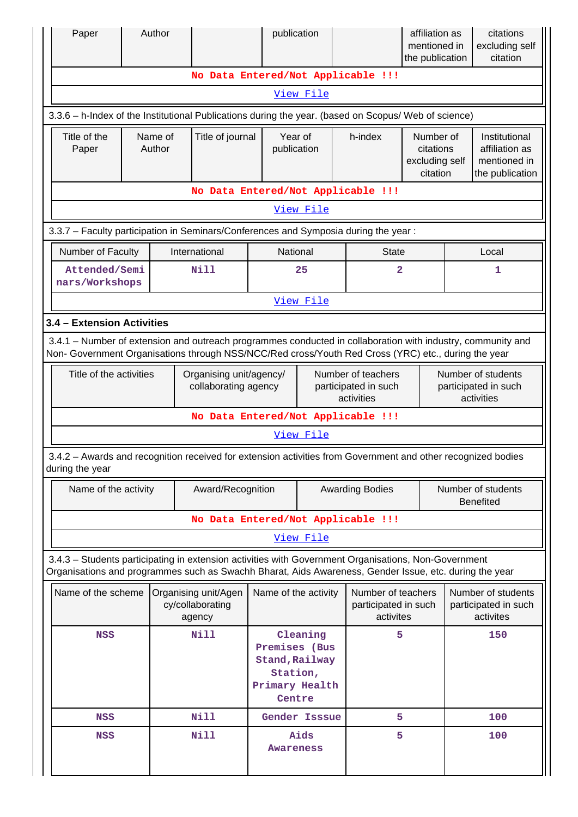| Paper                                                                                                                                                                                                              |  | Author            |                                                          |                                                                                     | publication                                                                                                                                                                                                    |                                                          |                                                                 | affiliation as<br>mentioned in<br>the publication |                                                                    | citations<br>excluding self<br>citation                 |  |
|--------------------------------------------------------------------------------------------------------------------------------------------------------------------------------------------------------------------|--|-------------------|----------------------------------------------------------|-------------------------------------------------------------------------------------|----------------------------------------------------------------------------------------------------------------------------------------------------------------------------------------------------------------|----------------------------------------------------------|-----------------------------------------------------------------|---------------------------------------------------|--------------------------------------------------------------------|---------------------------------------------------------|--|
| No Data Entered/Not Applicable !!!                                                                                                                                                                                 |  |                   |                                                          |                                                                                     |                                                                                                                                                                                                                |                                                          |                                                                 |                                                   |                                                                    |                                                         |  |
|                                                                                                                                                                                                                    |  |                   |                                                          |                                                                                     | View File                                                                                                                                                                                                      |                                                          |                                                                 |                                                   |                                                                    |                                                         |  |
|                                                                                                                                                                                                                    |  |                   |                                                          |                                                                                     | 3.3.6 - h-Index of the Institutional Publications during the year. (based on Scopus/ Web of science)                                                                                                           |                                                          |                                                                 |                                                   |                                                                    |                                                         |  |
| Title of the<br>Paper                                                                                                                                                                                              |  | Name of<br>Author | Title of journal                                         |                                                                                     | Year of<br>publication                                                                                                                                                                                         |                                                          | h-index<br>Number of<br>citations<br>excluding self<br>citation |                                                   | Institutional<br>affiliation as<br>mentioned in<br>the publication |                                                         |  |
| No Data Entered/Not Applicable !!!                                                                                                                                                                                 |  |                   |                                                          |                                                                                     |                                                                                                                                                                                                                |                                                          |                                                                 |                                                   |                                                                    |                                                         |  |
| View File                                                                                                                                                                                                          |  |                   |                                                          |                                                                                     |                                                                                                                                                                                                                |                                                          |                                                                 |                                                   |                                                                    |                                                         |  |
|                                                                                                                                                                                                                    |  |                   |                                                          |                                                                                     | 3.3.7 - Faculty participation in Seminars/Conferences and Symposia during the year:                                                                                                                            |                                                          |                                                                 |                                                   |                                                                    |                                                         |  |
| Number of Faculty                                                                                                                                                                                                  |  |                   | International                                            |                                                                                     | National                                                                                                                                                                                                       |                                                          | <b>State</b>                                                    |                                                   |                                                                    | Local                                                   |  |
| Attended/Semi<br>nars/Workshops                                                                                                                                                                                    |  |                   | <b>Nill</b>                                              |                                                                                     | 25                                                                                                                                                                                                             |                                                          | $\overline{\mathbf{2}}$                                         |                                                   |                                                                    | 1                                                       |  |
|                                                                                                                                                                                                                    |  |                   |                                                          |                                                                                     | View File                                                                                                                                                                                                      |                                                          |                                                                 |                                                   |                                                                    |                                                         |  |
| 3.4 - Extension Activities                                                                                                                                                                                         |  |                   |                                                          |                                                                                     |                                                                                                                                                                                                                |                                                          |                                                                 |                                                   |                                                                    |                                                         |  |
| 3.4.1 – Number of extension and outreach programmes conducted in collaboration with industry, community and<br>Non- Government Organisations through NSS/NCC/Red cross/Youth Red Cross (YRC) etc., during the year |  |                   |                                                          |                                                                                     |                                                                                                                                                                                                                |                                                          |                                                                 |                                                   |                                                                    |                                                         |  |
| Title of the activities<br>Organising unit/agency/<br>collaborating agency                                                                                                                                         |  |                   | Number of teachers<br>participated in such<br>activities |                                                                                     |                                                                                                                                                                                                                | Number of students<br>participated in such<br>activities |                                                                 |                                                   |                                                                    |                                                         |  |
|                                                                                                                                                                                                                    |  |                   |                                                          |                                                                                     | No Data Entered/Not Applicable !!!                                                                                                                                                                             |                                                          |                                                                 |                                                   |                                                                    |                                                         |  |
|                                                                                                                                                                                                                    |  |                   |                                                          |                                                                                     | View File                                                                                                                                                                                                      |                                                          |                                                                 |                                                   |                                                                    |                                                         |  |
| during the year                                                                                                                                                                                                    |  |                   |                                                          |                                                                                     | 3.4.2 - Awards and recognition received for extension activities from Government and other recognized bodies                                                                                                   |                                                          |                                                                 |                                                   |                                                                    |                                                         |  |
| Name of the activity                                                                                                                                                                                               |  |                   | Award/Recognition                                        |                                                                                     |                                                                                                                                                                                                                |                                                          | <b>Awarding Bodies</b>                                          | Number of students<br><b>Benefited</b>            |                                                                    |                                                         |  |
|                                                                                                                                                                                                                    |  |                   |                                                          |                                                                                     | No Data Entered/Not Applicable !!!                                                                                                                                                                             |                                                          |                                                                 |                                                   |                                                                    |                                                         |  |
|                                                                                                                                                                                                                    |  |                   |                                                          |                                                                                     | <u>View File</u>                                                                                                                                                                                               |                                                          |                                                                 |                                                   |                                                                    |                                                         |  |
|                                                                                                                                                                                                                    |  |                   |                                                          |                                                                                     | 3.4.3 - Students participating in extension activities with Government Organisations, Non-Government<br>Organisations and programmes such as Swachh Bharat, Aids Awareness, Gender Issue, etc. during the year |                                                          |                                                                 |                                                   |                                                                    |                                                         |  |
| Name of the scheme                                                                                                                                                                                                 |  |                   | Organising unit/Agen<br>cy/collaborating<br>agency       |                                                                                     | Name of the activity                                                                                                                                                                                           |                                                          | Number of teachers<br>participated in such<br>activites         |                                                   |                                                                    | Number of students<br>participated in such<br>activites |  |
| <b>NSS</b>                                                                                                                                                                                                         |  |                   | <b>Nill</b>                                              | Cleaning<br>Premises (Bus<br>Stand, Railway<br>Station,<br>Primary Health<br>Centre |                                                                                                                                                                                                                |                                                          | 5                                                               |                                                   |                                                                    | 150                                                     |  |
| <b>NSS</b>                                                                                                                                                                                                         |  |                   | <b>Nill</b>                                              |                                                                                     | Gender Isssue                                                                                                                                                                                                  |                                                          | 5                                                               |                                                   |                                                                    | 100                                                     |  |
| <b>NSS</b>                                                                                                                                                                                                         |  |                   | <b>Nill</b>                                              |                                                                                     | Aids<br>Awareness                                                                                                                                                                                              |                                                          |                                                                 | 5                                                 |                                                                    | 100                                                     |  |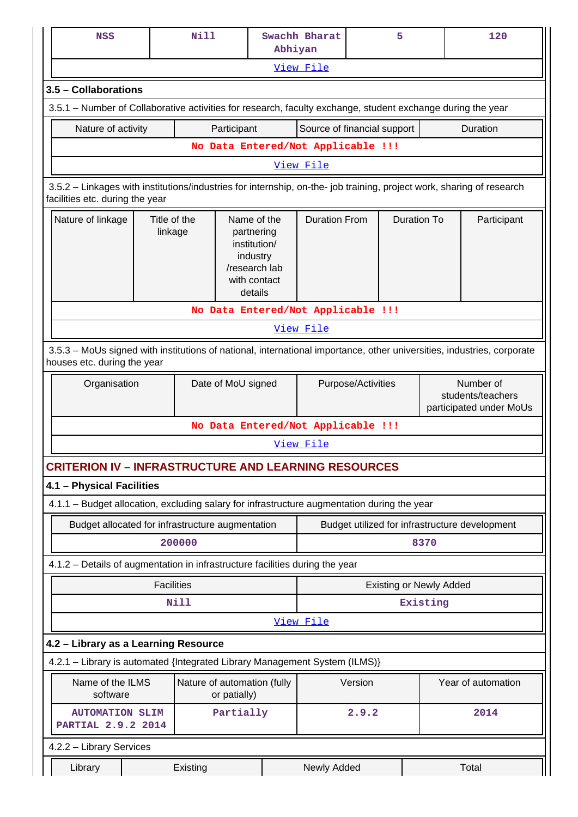| <b>NSS</b>                                                                                                                                               |                                    | <b>Nill</b>                                                                                       |                                             | Swachh Bharat<br>Abhiyan |                    |                                    | 5                              | 120                                                       |  |
|----------------------------------------------------------------------------------------------------------------------------------------------------------|------------------------------------|---------------------------------------------------------------------------------------------------|---------------------------------------------|--------------------------|--------------------|------------------------------------|--------------------------------|-----------------------------------------------------------|--|
|                                                                                                                                                          |                                    |                                                                                                   |                                             |                          | View File          |                                    |                                |                                                           |  |
| 3.5 - Collaborations                                                                                                                                     |                                    |                                                                                                   |                                             |                          |                    |                                    |                                |                                                           |  |
| 3.5.1 – Number of Collaborative activities for research, faculty exchange, student exchange during the year                                              |                                    |                                                                                                   |                                             |                          |                    |                                    |                                |                                                           |  |
| Nature of activity                                                                                                                                       |                                    |                                                                                                   | Participant                                 |                          |                    | Source of financial support        |                                | Duration                                                  |  |
|                                                                                                                                                          |                                    |                                                                                                   |                                             |                          |                    | No Data Entered/Not Applicable !!! |                                |                                                           |  |
| View File                                                                                                                                                |                                    |                                                                                                   |                                             |                          |                    |                                    |                                |                                                           |  |
| 3.5.2 - Linkages with institutions/industries for internship, on-the- job training, project work, sharing of research<br>facilities etc. during the year |                                    |                                                                                                   |                                             |                          |                    |                                    |                                |                                                           |  |
| Nature of linkage<br>Title of the<br>linkage                                                                                                             |                                    | Name of the<br>partnering<br>institution/<br>industry<br>/research lab<br>with contact<br>details |                                             | <b>Duration From</b>     |                    | <b>Duration To</b>                 | Participant                    |                                                           |  |
| No Data Entered/Not Applicable !!!                                                                                                                       |                                    |                                                                                                   |                                             |                          |                    |                                    |                                |                                                           |  |
| View File                                                                                                                                                |                                    |                                                                                                   |                                             |                          |                    |                                    |                                |                                                           |  |
| 3.5.3 - MoUs signed with institutions of national, international importance, other universities, industries, corporate<br>houses etc. during the year    |                                    |                                                                                                   |                                             |                          |                    |                                    |                                |                                                           |  |
|                                                                                                                                                          | Date of MoU signed<br>Organisation |                                                                                                   |                                             |                          | Purpose/Activities |                                    |                                | Number of<br>students/teachers<br>participated under MoUs |  |
|                                                                                                                                                          |                                    |                                                                                                   |                                             |                          |                    | No Data Entered/Not Applicable !!! |                                |                                                           |  |
|                                                                                                                                                          |                                    |                                                                                                   |                                             |                          | View File          |                                    |                                |                                                           |  |
| <b>CRITERION IV - INFRASTRUCTURE AND LEARNING RESOURCES</b>                                                                                              |                                    |                                                                                                   |                                             |                          |                    |                                    |                                |                                                           |  |
| 4.1 - Physical Facilities                                                                                                                                |                                    |                                                                                                   |                                             |                          |                    |                                    |                                |                                                           |  |
| 4.1.1 - Budget allocation, excluding salary for infrastructure augmentation during the year                                                              |                                    |                                                                                                   |                                             |                          |                    |                                    |                                |                                                           |  |
| Budget allocated for infrastructure augmentation                                                                                                         |                                    |                                                                                                   |                                             |                          |                    |                                    |                                | Budget utilized for infrastructure development            |  |
|                                                                                                                                                          |                                    | 200000                                                                                            |                                             |                          |                    |                                    | 8370                           |                                                           |  |
| 4.1.2 - Details of augmentation in infrastructure facilities during the year                                                                             |                                    |                                                                                                   |                                             |                          |                    |                                    |                                |                                                           |  |
|                                                                                                                                                          | <b>Facilities</b>                  |                                                                                                   |                                             |                          |                    |                                    | <b>Existing or Newly Added</b> |                                                           |  |
|                                                                                                                                                          |                                    | Nill                                                                                              |                                             |                          |                    |                                    | Existing                       |                                                           |  |
|                                                                                                                                                          |                                    |                                                                                                   |                                             |                          | View File          |                                    |                                |                                                           |  |
| 4.2 - Library as a Learning Resource                                                                                                                     |                                    |                                                                                                   |                                             |                          |                    |                                    |                                |                                                           |  |
| 4.2.1 - Library is automated {Integrated Library Management System (ILMS)}                                                                               |                                    |                                                                                                   |                                             |                          |                    |                                    |                                |                                                           |  |
| Name of the ILMS<br>software                                                                                                                             |                                    |                                                                                                   | Nature of automation (fully<br>or patially) |                          | Version            |                                    |                                | Year of automation                                        |  |
| <b>AUTOMATION SLIM</b><br>PARTIAL 2.9.2 2014                                                                                                             |                                    |                                                                                                   | Partially                                   |                          | 2.9.2              |                                    |                                | 2014                                                      |  |
| 4.2.2 - Library Services                                                                                                                                 |                                    |                                                                                                   |                                             |                          |                    |                                    |                                |                                                           |  |
| Library<br>Existing                                                                                                                                      |                                    |                                                                                                   |                                             | Newly Added              |                    |                                    | Total                          |                                                           |  |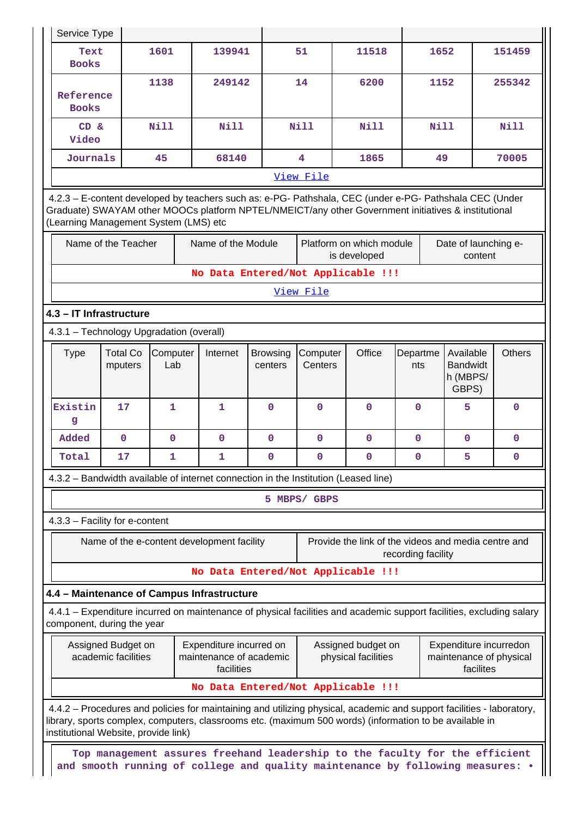| Service Type                                                                                                                                                                                                                                                             |                                          |                 |                                            |                            |                     |                                                                                                                      |                    |             |                                                   |  |               |
|--------------------------------------------------------------------------------------------------------------------------------------------------------------------------------------------------------------------------------------------------------------------------|------------------------------------------|-----------------|--------------------------------------------|----------------------------|---------------------|----------------------------------------------------------------------------------------------------------------------|--------------------|-------------|---------------------------------------------------|--|---------------|
| Text<br><b>Books</b>                                                                                                                                                                                                                                                     |                                          | 1601            | 139941                                     |                            | 51                  | 11518                                                                                                                |                    | 1652        |                                                   |  | 151459        |
| Reference<br><b>Books</b>                                                                                                                                                                                                                                                |                                          | 1138            | 249142                                     |                            | 14                  | 6200                                                                                                                 |                    | 1152        |                                                   |  | 255342        |
| CD &<br>Video                                                                                                                                                                                                                                                            |                                          | Nill            | Nill                                       |                            | <b>Nill</b>         | <b>Nill</b>                                                                                                          |                    | <b>Nill</b> |                                                   |  | <b>Nill</b>   |
| Journals<br>45<br>68140<br>$\overline{\mathbf{4}}$<br>49<br>70005<br>1865                                                                                                                                                                                                |                                          |                 |                                            |                            |                     |                                                                                                                      |                    |             |                                                   |  |               |
|                                                                                                                                                                                                                                                                          |                                          |                 |                                            |                            | View File           |                                                                                                                      |                    |             |                                                   |  |               |
| 4.2.3 - E-content developed by teachers such as: e-PG- Pathshala, CEC (under e-PG- Pathshala CEC (Under<br>Graduate) SWAYAM other MOOCs platform NPTEL/NMEICT/any other Government initiatives & institutional<br>(Learning Management System (LMS) etc                  |                                          |                 |                                            |                            |                     |                                                                                                                      |                    |             |                                                   |  |               |
|                                                                                                                                                                                                                                                                          | Name of the Teacher                      |                 | Name of the Module                         |                            |                     | Platform on which module<br>is developed                                                                             |                    |             | Date of launching e-<br>content                   |  |               |
|                                                                                                                                                                                                                                                                          |                                          |                 |                                            |                            |                     | No Data Entered/Not Applicable !!!                                                                                   |                    |             |                                                   |  |               |
|                                                                                                                                                                                                                                                                          |                                          |                 |                                            |                            | View File           |                                                                                                                      |                    |             |                                                   |  |               |
|                                                                                                                                                                                                                                                                          | 4.3 - IT Infrastructure                  |                 |                                            |                            |                     |                                                                                                                      |                    |             |                                                   |  |               |
|                                                                                                                                                                                                                                                                          | 4.3.1 - Technology Upgradation (overall) |                 |                                            |                            |                     |                                                                                                                      |                    |             |                                                   |  |               |
| <b>Type</b>                                                                                                                                                                                                                                                              | <b>Total Co</b><br>mputers               | Computer<br>Lab | Internet                                   | <b>Browsing</b><br>centers | Computer<br>Centers | Office                                                                                                               | Departme<br>nts    |             | Available<br><b>Bandwidt</b><br>h (MBPS/<br>GBPS) |  | <b>Others</b> |
| Existin<br>g                                                                                                                                                                                                                                                             | 17                                       | $\mathbf{1}$    | 1                                          | $\mathbf{0}$               | $\mathbf 0$         | $\mathbf 0$                                                                                                          | $\Omega$           |             | 5                                                 |  | $\mathbf 0$   |
| Added                                                                                                                                                                                                                                                                    | $\mathbf 0$                              | $\mathbf 0$     | $\mathbf{0}$                               | $\mathbf{0}$               | $\mathbf{0}$        | $\mathbf{0}$                                                                                                         | $\mathbf{0}$       |             | $\mathbf 0$                                       |  | $\mathbf{0}$  |
| Total                                                                                                                                                                                                                                                                    | 17                                       | 1               | 1                                          | $\mathbf{0}$               | $\mathbf 0$         | $\mathbf 0$                                                                                                          | 0                  |             | 5                                                 |  | $\mathbf 0$   |
|                                                                                                                                                                                                                                                                          |                                          |                 |                                            |                            |                     | 4.3.2 - Bandwidth available of internet connection in the Institution (Leased line)                                  |                    |             |                                                   |  |               |
|                                                                                                                                                                                                                                                                          |                                          |                 |                                            |                            | 5 MBPS/ GBPS        |                                                                                                                      |                    |             |                                                   |  |               |
|                                                                                                                                                                                                                                                                          | 4.3.3 - Facility for e-content           |                 |                                            |                            |                     |                                                                                                                      |                    |             |                                                   |  |               |
|                                                                                                                                                                                                                                                                          |                                          |                 | Name of the e-content development facility |                            |                     | Provide the link of the videos and media centre and                                                                  | recording facility |             |                                                   |  |               |
|                                                                                                                                                                                                                                                                          |                                          |                 |                                            |                            |                     | No Data Entered/Not Applicable !!!                                                                                   |                    |             |                                                   |  |               |
|                                                                                                                                                                                                                                                                          |                                          |                 | 4.4 - Maintenance of Campus Infrastructure |                            |                     |                                                                                                                      |                    |             |                                                   |  |               |
|                                                                                                                                                                                                                                                                          | component, during the year               |                 |                                            |                            |                     | 4.4.1 – Expenditure incurred on maintenance of physical facilities and academic support facilities, excluding salary |                    |             |                                                   |  |               |
| Assigned Budget on<br>Expenditure incurred on<br>Assigned budget on<br>Expenditure incurredon<br>academic facilities<br>maintenance of academic<br>physical facilities<br>maintenance of physical<br>facilities<br>facilites                                             |                                          |                 |                                            |                            |                     |                                                                                                                      |                    |             |                                                   |  |               |
|                                                                                                                                                                                                                                                                          |                                          |                 |                                            |                            |                     | No Data Entered/Not Applicable !!!                                                                                   |                    |             |                                                   |  |               |
| 4.4.2 – Procedures and policies for maintaining and utilizing physical, academic and support facilities - laboratory,<br>library, sports complex, computers, classrooms etc. (maximum 500 words) (information to be available in<br>institutional Website, provide link) |                                          |                 |                                            |                            |                     |                                                                                                                      |                    |             |                                                   |  |               |
| Top management assures freehand leadership to the faculty for the efficient<br>and smooth running of college and quality maintenance by following measures:                                                                                                              |                                          |                 |                                            |                            |                     |                                                                                                                      |                    |             |                                                   |  |               |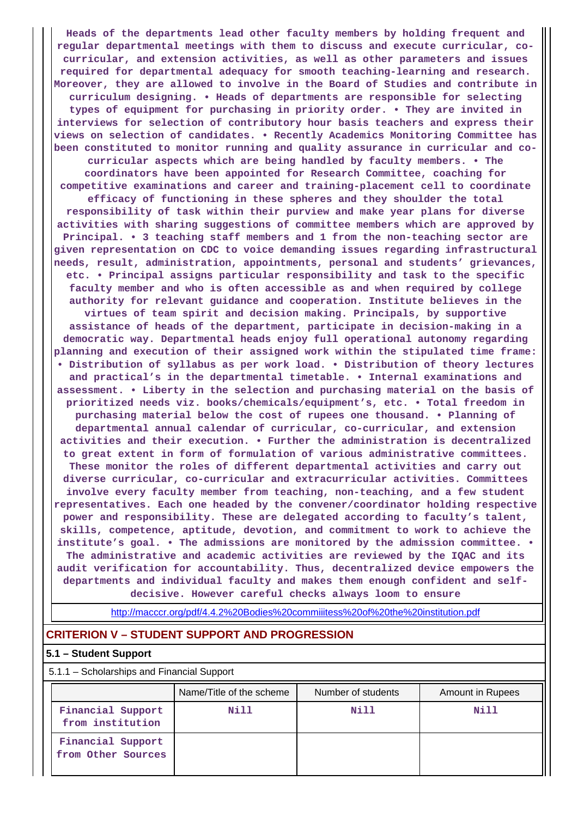**Heads of the departments lead other faculty members by holding frequent and regular departmental meetings with them to discuss and execute curricular, cocurricular, and extension activities, as well as other parameters and issues required for departmental adequacy for smooth teaching-learning and research. Moreover, they are allowed to involve in the Board of Studies and contribute in curriculum designing. • Heads of departments are responsible for selecting types of equipment for purchasing in priority order. • They are invited in interviews for selection of contributory hour basis teachers and express their views on selection of candidates. • Recently Academics Monitoring Committee has been constituted to monitor running and quality assurance in curricular and cocurricular aspects which are being handled by faculty members. • The coordinators have been appointed for Research Committee, coaching for competitive examinations and career and training-placement cell to coordinate efficacy of functioning in these spheres and they shoulder the total responsibility of task within their purview and make year plans for diverse activities with sharing suggestions of committee members which are approved by Principal. • 3 teaching staff members and 1 from the non-teaching sector are given representation on CDC to voice demanding issues regarding infrastructural needs, result, administration, appointments, personal and students' grievances, etc. • Principal assigns particular responsibility and task to the specific faculty member and who is often accessible as and when required by college authority for relevant guidance and cooperation. Institute believes in the virtues of team spirit and decision making. Principals, by supportive assistance of heads of the department, participate in decision-making in a democratic way. Departmental heads enjoy full operational autonomy regarding planning and execution of their assigned work within the stipulated time frame: • Distribution of syllabus as per work load. • Distribution of theory lectures and practical's in the departmental timetable. • Internal examinations and assessment. • Liberty in the selection and purchasing material on the basis of prioritized needs viz. books/chemicals/equipment's, etc. • Total freedom in purchasing material below the cost of rupees one thousand. • Planning of departmental annual calendar of curricular, co-curricular, and extension activities and their execution. • Further the administration is decentralized to great extent in form of formulation of various administrative committees. These monitor the roles of different departmental activities and carry out diverse curricular, co-curricular and extracurricular activities. Committees involve every faculty member from teaching, non-teaching, and a few student representatives. Each one headed by the convener/coordinator holding respective power and responsibility. These are delegated according to faculty's talent, skills, competence, aptitude, devotion, and commitment to work to achieve the institute's goal. • The admissions are monitored by the admission committee. • The administrative and academic activities are reviewed by the IQAC and its audit verification for accountability. Thus, decentralized device empowers the departments and individual faculty and makes them enough confident and selfdecisive. However careful checks always loom to ensure**

<http://macccr.org/pdf/4.4.2%20Bodies%20commiiitess%20of%20the%20institution.pdf>

## **CRITERION V – STUDENT SUPPORT AND PROGRESSION**

### **5.1 – Student Support**

5.1.1 – Scholarships and Financial Support

|                                         | Name/Title of the scheme | Number of students | Amount in Rupees |
|-----------------------------------------|--------------------------|--------------------|------------------|
| Financial Support<br>from institution   | Nill                     | Nill               | Nill             |
| Financial Support<br>from Other Sources |                          |                    |                  |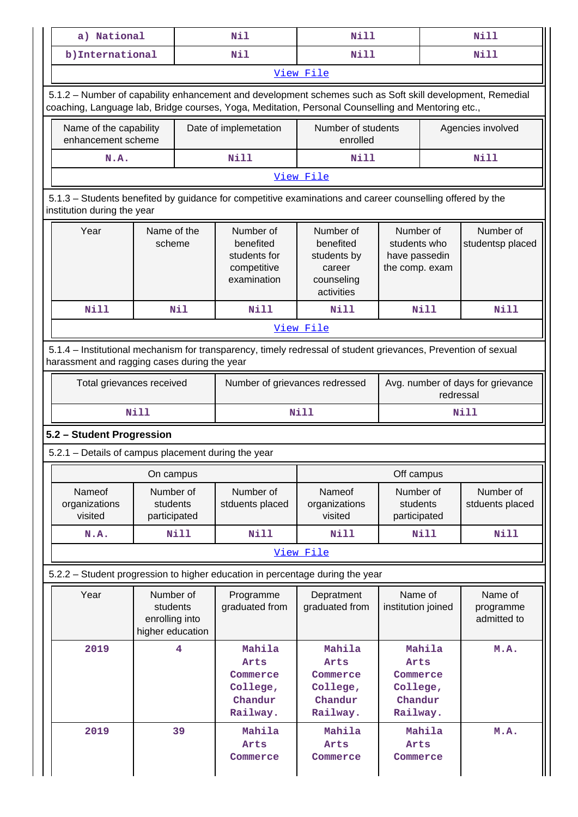| a) National                                                                                                                                                    |                                                             | Nil                                                                                                                                                                                                             | <b>Nill</b>                                                                 |                                                              | <b>Nill</b> |                                                |  |  |
|----------------------------------------------------------------------------------------------------------------------------------------------------------------|-------------------------------------------------------------|-----------------------------------------------------------------------------------------------------------------------------------------------------------------------------------------------------------------|-----------------------------------------------------------------------------|--------------------------------------------------------------|-------------|------------------------------------------------|--|--|
| b) International                                                                                                                                               |                                                             | Nil                                                                                                                                                                                                             | Nill                                                                        |                                                              | <b>Nill</b> |                                                |  |  |
|                                                                                                                                                                |                                                             |                                                                                                                                                                                                                 | View File                                                                   |                                                              |             |                                                |  |  |
|                                                                                                                                                                |                                                             | 5.1.2 - Number of capability enhancement and development schemes such as Soft skill development, Remedial<br>coaching, Language lab, Bridge courses, Yoga, Meditation, Personal Counselling and Mentoring etc., |                                                                             |                                                              |             |                                                |  |  |
| Name of the capability<br>enhancement scheme                                                                                                                   |                                                             | Date of implemetation                                                                                                                                                                                           | Number of students<br>enrolled                                              |                                                              |             | Agencies involved                              |  |  |
| N.A.                                                                                                                                                           |                                                             | Nill                                                                                                                                                                                                            | Nill                                                                        |                                                              |             | <b>Nill</b>                                    |  |  |
| View File                                                                                                                                                      |                                                             |                                                                                                                                                                                                                 |                                                                             |                                                              |             |                                                |  |  |
| 5.1.3 - Students benefited by guidance for competitive examinations and career counselling offered by the<br>institution during the year                       |                                                             |                                                                                                                                                                                                                 |                                                                             |                                                              |             |                                                |  |  |
| Name of the<br>Year<br>scheme                                                                                                                                  |                                                             | Number of<br>benefited<br>students for<br>competitive<br>examination                                                                                                                                            | Number of<br>benefited<br>students by<br>career<br>counseling<br>activities | Number of<br>students who<br>have passedin<br>the comp. exam |             | Number of<br>studentsp placed                  |  |  |
| Nill                                                                                                                                                           | Nil                                                         | Nill                                                                                                                                                                                                            | Nill                                                                        |                                                              | <b>Nill</b> | Nill                                           |  |  |
|                                                                                                                                                                |                                                             |                                                                                                                                                                                                                 | View File                                                                   |                                                              |             |                                                |  |  |
| 5.1.4 – Institutional mechanism for transparency, timely redressal of student grievances, Prevention of sexual<br>harassment and ragging cases during the year |                                                             |                                                                                                                                                                                                                 |                                                                             |                                                              |             |                                                |  |  |
| Total grievances received                                                                                                                                      |                                                             |                                                                                                                                                                                                                 | Number of grievances redressed                                              |                                                              |             | Avg. number of days for grievance<br>redressal |  |  |
|                                                                                                                                                                | <b>Nill</b>                                                 |                                                                                                                                                                                                                 | <b>Nill</b>                                                                 |                                                              |             | <b>Nill</b>                                    |  |  |
| 5.2 - Student Progression                                                                                                                                      |                                                             |                                                                                                                                                                                                                 |                                                                             |                                                              |             |                                                |  |  |
| 5.2.1 - Details of campus placement during the year                                                                                                            |                                                             |                                                                                                                                                                                                                 |                                                                             |                                                              |             |                                                |  |  |
|                                                                                                                                                                | On campus                                                   |                                                                                                                                                                                                                 |                                                                             |                                                              | Off campus  |                                                |  |  |
| Nameof<br>organizations<br>visited                                                                                                                             | Number of<br>students<br>participated                       | Number of<br>stduents placed                                                                                                                                                                                    | Nameof<br>organizations<br>visited                                          | Number of<br>students<br>participated                        |             | Number of<br>stduents placed                   |  |  |
| N.A.                                                                                                                                                           | Nill                                                        | <b>Nill</b>                                                                                                                                                                                                     | Nill                                                                        |                                                              | <b>Nill</b> | <b>Nill</b>                                    |  |  |
|                                                                                                                                                                |                                                             |                                                                                                                                                                                                                 | View File                                                                   |                                                              |             |                                                |  |  |
|                                                                                                                                                                |                                                             | 5.2.2 – Student progression to higher education in percentage during the year                                                                                                                                   |                                                                             |                                                              |             |                                                |  |  |
| Year                                                                                                                                                           | Number of<br>students<br>enrolling into<br>higher education | Programme<br>graduated from                                                                                                                                                                                     | Depratment<br>graduated from                                                | Name of<br>institution joined                                |             | Name of<br>programme<br>admitted to            |  |  |
| 2019                                                                                                                                                           | $\overline{\mathbf{4}}$                                     | Mahila<br>Arts<br>Commerce<br>College,<br>Chandur<br>Railway.                                                                                                                                                   | Mahila<br>Arts<br>Commerce<br>College,<br>Chandur<br>Railway.               | Arts<br>Commerce<br>College,<br>Chandur<br>Railway.          | Mahila      | M.A.                                           |  |  |
| 2019                                                                                                                                                           | 39                                                          | Mahila<br>Arts<br>Commerce                                                                                                                                                                                      |                                                                             | Mahila<br>Arts<br>Commerce                                   |             | M.A.                                           |  |  |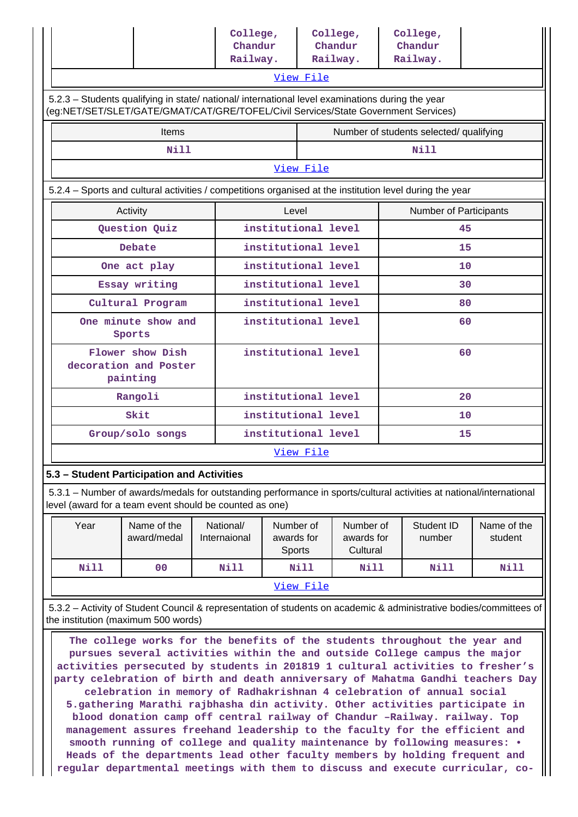|                                                                                                                                                                                                                                                                                                                                                                                                                                                                                                                              |                                                                                                                                                                                |  | College,<br>Chandur       |                                   |           | College,<br>Chandur                 |    | College,<br>Chandur                     |                        |  |
|------------------------------------------------------------------------------------------------------------------------------------------------------------------------------------------------------------------------------------------------------------------------------------------------------------------------------------------------------------------------------------------------------------------------------------------------------------------------------------------------------------------------------|--------------------------------------------------------------------------------------------------------------------------------------------------------------------------------|--|---------------------------|-----------------------------------|-----------|-------------------------------------|----|-----------------------------------------|------------------------|--|
|                                                                                                                                                                                                                                                                                                                                                                                                                                                                                                                              |                                                                                                                                                                                |  | Railway.                  |                                   |           | Railway.                            |    | Railway.                                |                        |  |
| View File                                                                                                                                                                                                                                                                                                                                                                                                                                                                                                                    |                                                                                                                                                                                |  |                           |                                   |           |                                     |    |                                         |                        |  |
| 5.2.3 - Students qualifying in state/ national/ international level examinations during the year<br>(eg:NET/SET/SLET/GATE/GMAT/CAT/GRE/TOFEL/Civil Services/State Government Services)                                                                                                                                                                                                                                                                                                                                       |                                                                                                                                                                                |  |                           |                                   |           |                                     |    |                                         |                        |  |
|                                                                                                                                                                                                                                                                                                                                                                                                                                                                                                                              | <b>Items</b>                                                                                                                                                                   |  |                           |                                   |           |                                     |    | Number of students selected/ qualifying |                        |  |
|                                                                                                                                                                                                                                                                                                                                                                                                                                                                                                                              | <b>Nill</b>                                                                                                                                                                    |  |                           |                                   |           |                                     |    | Nill                                    |                        |  |
|                                                                                                                                                                                                                                                                                                                                                                                                                                                                                                                              |                                                                                                                                                                                |  |                           |                                   | View File |                                     |    |                                         |                        |  |
|                                                                                                                                                                                                                                                                                                                                                                                                                                                                                                                              | 5.2.4 – Sports and cultural activities / competitions organised at the institution level during the year                                                                       |  |                           |                                   |           |                                     |    |                                         |                        |  |
|                                                                                                                                                                                                                                                                                                                                                                                                                                                                                                                              | Activity                                                                                                                                                                       |  |                           | Level                             |           |                                     |    | Number of Participants                  |                        |  |
|                                                                                                                                                                                                                                                                                                                                                                                                                                                                                                                              | Question Quiz                                                                                                                                                                  |  |                           | institutional level               |           |                                     |    | 45                                      |                        |  |
|                                                                                                                                                                                                                                                                                                                                                                                                                                                                                                                              | Debate                                                                                                                                                                         |  |                           | institutional level               |           |                                     |    | 15                                      |                        |  |
|                                                                                                                                                                                                                                                                                                                                                                                                                                                                                                                              | One act play                                                                                                                                                                   |  |                           | institutional level               |           |                                     |    | 10                                      |                        |  |
|                                                                                                                                                                                                                                                                                                                                                                                                                                                                                                                              | Essay writing                                                                                                                                                                  |  |                           | institutional level               |           |                                     |    | 30                                      |                        |  |
|                                                                                                                                                                                                                                                                                                                                                                                                                                                                                                                              | Cultural Program                                                                                                                                                               |  |                           | institutional level               |           |                                     |    |                                         | 80                     |  |
| institutional level<br>One minute show and<br>Sports                                                                                                                                                                                                                                                                                                                                                                                                                                                                         |                                                                                                                                                                                |  |                           |                                   |           |                                     |    | 60                                      |                        |  |
|                                                                                                                                                                                                                                                                                                                                                                                                                                                                                                                              | Flower show Dish<br>decoration and Poster<br>painting                                                                                                                          |  |                           | institutional level               |           |                                     |    | 60                                      |                        |  |
|                                                                                                                                                                                                                                                                                                                                                                                                                                                                                                                              | Rangoli                                                                                                                                                                        |  |                           | institutional level               |           |                                     |    | 20                                      |                        |  |
|                                                                                                                                                                                                                                                                                                                                                                                                                                                                                                                              | Skit                                                                                                                                                                           |  |                           | institutional level               |           |                                     | 10 |                                         |                        |  |
|                                                                                                                                                                                                                                                                                                                                                                                                                                                                                                                              | Group/solo songs                                                                                                                                                               |  |                           | institutional level               |           |                                     | 15 |                                         |                        |  |
|                                                                                                                                                                                                                                                                                                                                                                                                                                                                                                                              |                                                                                                                                                                                |  |                           |                                   | View File |                                     |    |                                         |                        |  |
|                                                                                                                                                                                                                                                                                                                                                                                                                                                                                                                              | 5.3 - Student Participation and Activities                                                                                                                                     |  |                           |                                   |           |                                     |    |                                         |                        |  |
|                                                                                                                                                                                                                                                                                                                                                                                                                                                                                                                              | 5.3.1 – Number of awards/medals for outstanding performance in sports/cultural activities at national/international<br>level (award for a team event should be counted as one) |  |                           |                                   |           |                                     |    |                                         |                        |  |
| Year                                                                                                                                                                                                                                                                                                                                                                                                                                                                                                                         | Name of the<br>award/medal                                                                                                                                                     |  | National/<br>Internaional | Number of<br>awards for<br>Sports |           | Number of<br>awards for<br>Cultural |    | Student ID<br>number                    | Name of the<br>student |  |
| <b>Nill</b>                                                                                                                                                                                                                                                                                                                                                                                                                                                                                                                  | 0 <sub>0</sub>                                                                                                                                                                 |  | <b>Nill</b>               |                                   | Nill      | <b>Nill</b>                         |    | <b>Nill</b>                             | Nill                   |  |
|                                                                                                                                                                                                                                                                                                                                                                                                                                                                                                                              |                                                                                                                                                                                |  |                           |                                   | View File |                                     |    |                                         |                        |  |
|                                                                                                                                                                                                                                                                                                                                                                                                                                                                                                                              | 5.3.2 - Activity of Student Council & representation of students on academic & administrative bodies/committees of                                                             |  |                           |                                   |           |                                     |    |                                         |                        |  |
| the institution (maximum 500 words)<br>The college works for the benefits of the students throughout the year and<br>pursues several activities within the and outside College campus the major<br>activities persecuted by students in 201819 1 cultural activities to fresher's<br>party celebration of birth and death anniversary of Mahatma Gandhi teachers Day<br>celebration in memory of Radhakrishnan 4 celebration of annual social<br>5.gathering Marathi rajbhasha din activity. Other activities participate in |                                                                                                                                                                                |  |                           |                                   |           |                                     |    |                                         |                        |  |

**blood donation camp off central railway of Chandur –Railway. railway. Top management assures freehand leadership to the faculty for the efficient and smooth running of college and quality maintenance by following measures: • Heads of the departments lead other faculty members by holding frequent and regular departmental meetings with them to discuss and execute curricular, co-**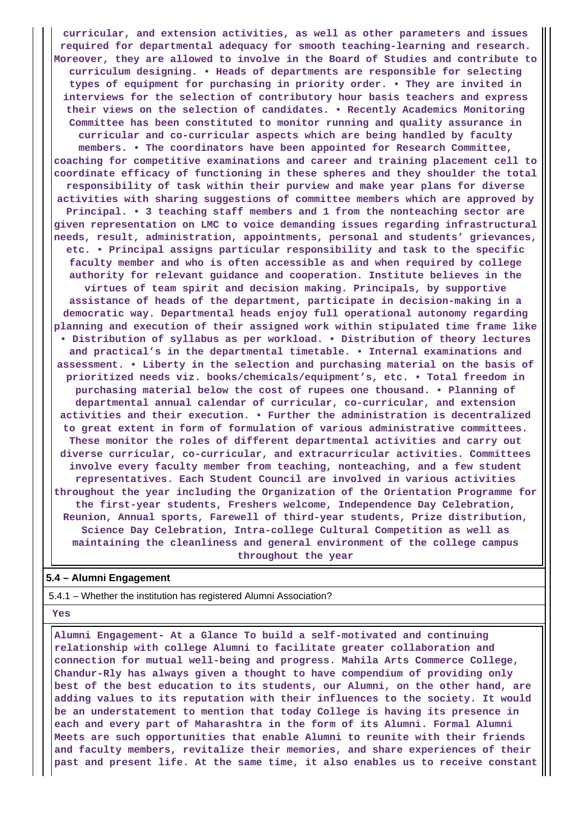**curricular, and extension activities, as well as other parameters and issues required for departmental adequacy for smooth teaching-learning and research. Moreover, they are allowed to involve in the Board of Studies and contribute to curriculum designing. • Heads of departments are responsible for selecting types of equipment for purchasing in priority order. • They are invited in interviews for the selection of contributory hour basis teachers and express their views on the selection of candidates. • Recently Academics Monitoring Committee has been constituted to monitor running and quality assurance in curricular and co-curricular aspects which are being handled by faculty members. • The coordinators have been appointed for Research Committee, coaching for competitive examinations and career and training placement cell to coordinate efficacy of functioning in these spheres and they shoulder the total responsibility of task within their purview and make year plans for diverse activities with sharing suggestions of committee members which are approved by Principal. • 3 teaching staff members and 1 from the nonteaching sector are given representation on LMC to voice demanding issues regarding infrastructural needs, result, administration, appointments, personal and students' grievances, etc. • Principal assigns particular responsibility and task to the specific faculty member and who is often accessible as and when required by college authority for relevant guidance and cooperation. Institute believes in the virtues of team spirit and decision making. Principals, by supportive assistance of heads of the department, participate in decision-making in a democratic way. Departmental heads enjoy full operational autonomy regarding planning and execution of their assigned work within stipulated time frame like • Distribution of syllabus as per workload. • Distribution of theory lectures and practical's in the departmental timetable. • Internal examinations and assessment. • Liberty in the selection and purchasing material on the basis of prioritized needs viz. books/chemicals/equipment's, etc. • Total freedom in purchasing material below the cost of rupees one thousand. • Planning of departmental annual calendar of curricular, co-curricular, and extension activities and their execution. • Further the administration is decentralized to great extent in form of formulation of various administrative committees. These monitor the roles of different departmental activities and carry out diverse curricular, co-curricular, and extracurricular activities. Committees involve every faculty member from teaching, nonteaching, and a few student representatives. Each Student Council are involved in various activities throughout the year including the Organization of the Orientation Programme for the first-year students, Freshers welcome, Independence Day Celebration, Reunion, Annual sports, Farewell of third-year students, Prize distribution, Science Day Celebration, Intra-college Cultural Competition as well as maintaining the cleanliness and general environment of the college campus throughout the year**

### **5.4 – Alumni Engagement**

5.4.1 – Whether the institution has registered Alumni Association?

#### **Yes**

 **Alumni Engagement- At a Glance To build a self-motivated and continuing relationship with college Alumni to facilitate greater collaboration and connection for mutual well-being and progress. Mahila Arts Commerce College, Chandur-Rly has always given a thought to have compendium of providing only best of the best education to its students, our Alumni, on the other hand, are adding values to its reputation with their influences to the society. It would be an understatement to mention that today College is having its presence in each and every part of Maharashtra in the form of its Alumni. Formal Alumni Meets are such opportunities that enable Alumni to reunite with their friends and faculty members, revitalize their memories, and share experiences of their past and present life. At the same time, it also enables us to receive constant**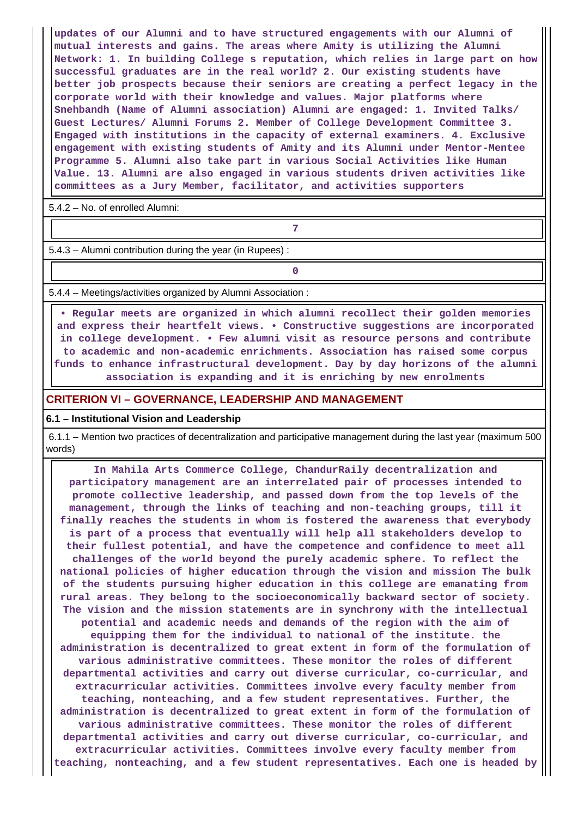**updates of our Alumni and to have structured engagements with our Alumni of mutual interests and gains. The areas where Amity is utilizing the Alumni Network: 1. In building College s reputation, which relies in large part on how successful graduates are in the real world? 2. Our existing students have better job prospects because their seniors are creating a perfect legacy in the corporate world with their knowledge and values. Major platforms where Snehbandh (Name of Alumni association) Alumni are engaged: 1. Invited Talks/ Guest Lectures/ Alumni Forums 2. Member of College Development Committee 3. Engaged with institutions in the capacity of external examiners. 4. Exclusive engagement with existing students of Amity and its Alumni under Mentor-Mentee Programme 5. Alumni also take part in various Social Activities like Human Value. 13. Alumni are also engaged in various students driven activities like committees as a Jury Member, facilitator, and activities supporters**

5.4.2 – No. of enrolled Alumni:

**7**

5.4.3 – Alumni contribution during the year (in Rupees) :

**0**

5.4.4 – Meetings/activities organized by Alumni Association :

 **• Regular meets are organized in which alumni recollect their golden memories and express their heartfelt views. • Constructive suggestions are incorporated in college development. • Few alumni visit as resource persons and contribute to academic and non-academic enrichments. Association has raised some corpus funds to enhance infrastructural development. Day by day horizons of the alumni association is expanding and it is enriching by new enrolments**

#### **CRITERION VI – GOVERNANCE, LEADERSHIP AND MANAGEMENT**

#### **6.1 – Institutional Vision and Leadership**

 6.1.1 – Mention two practices of decentralization and participative management during the last year (maximum 500 words)

 **In Mahila Arts Commerce College, ChandurRaily decentralization and participatory management are an interrelated pair of processes intended to promote collective leadership, and passed down from the top levels of the management, through the links of teaching and non-teaching groups, till it finally reaches the students in whom is fostered the awareness that everybody is part of a process that eventually will help all stakeholders develop to their fullest potential, and have the competence and confidence to meet all challenges of the world beyond the purely academic sphere. To reflect the national policies of higher education through the vision and mission The bulk of the students pursuing higher education in this college are emanating from rural areas. They belong to the socioeconomically backward sector of society. The vision and the mission statements are in synchrony with the intellectual potential and academic needs and demands of the region with the aim of equipping them for the individual to national of the institute. the administration is decentralized to great extent in form of the formulation of various administrative committees. These monitor the roles of different departmental activities and carry out diverse curricular, co-curricular, and extracurricular activities. Committees involve every faculty member from teaching, nonteaching, and a few student representatives. Further, the administration is decentralized to great extent in form of the formulation of various administrative committees. These monitor the roles of different departmental activities and carry out diverse curricular, co-curricular, and extracurricular activities. Committees involve every faculty member from teaching, nonteaching, and a few student representatives. Each one is headed by**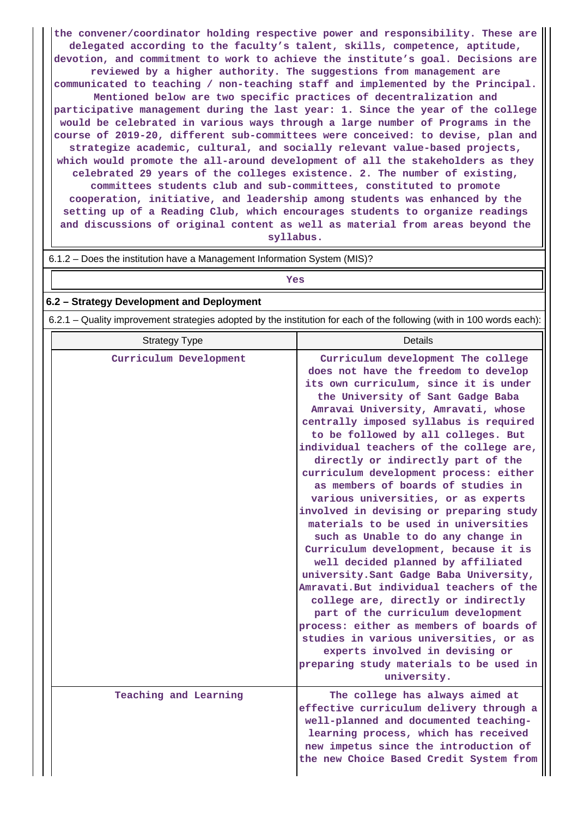**the convener/coordinator holding respective power and responsibility. These are delegated according to the faculty's talent, skills, competence, aptitude, devotion, and commitment to work to achieve the institute's goal. Decisions are reviewed by a higher authority. The suggestions from management are communicated to teaching / non-teaching staff and implemented by the Principal. Mentioned below are two specific practices of decentralization and participative management during the last year: 1. Since the year of the college would be celebrated in various ways through a large number of Programs in the course of 2019-20, different sub-committees were conceived: to devise, plan and strategize academic, cultural, and socially relevant value-based projects, which would promote the all-around development of all the stakeholders as they celebrated 29 years of the colleges existence. 2. The number of existing, committees students club and sub-committees, constituted to promote cooperation, initiative, and leadership among students was enhanced by the setting up of a Reading Club, which encourages students to organize readings and discussions of original content as well as material from areas beyond the syllabus.**

## *Yes*

### **6.2 – Strategy Development and Deployment**

6.2.1 – Quality improvement strategies adopted by the institution for each of the following (with in 100 words each):

| <b>Strategy Type</b>   | <b>Details</b>                                                                                                                                                                                                                                                                                                                                                                                                                                                                                                                                                                                                                                                                                                                                                                                                                                                                                                                                                                                                                                         |
|------------------------|--------------------------------------------------------------------------------------------------------------------------------------------------------------------------------------------------------------------------------------------------------------------------------------------------------------------------------------------------------------------------------------------------------------------------------------------------------------------------------------------------------------------------------------------------------------------------------------------------------------------------------------------------------------------------------------------------------------------------------------------------------------------------------------------------------------------------------------------------------------------------------------------------------------------------------------------------------------------------------------------------------------------------------------------------------|
| Curriculum Development | Curriculum development The college<br>does not have the freedom to develop<br>its own curriculum, since it is under<br>the University of Sant Gadge Baba<br>Amravai University, Amravati, whose<br>centrally imposed syllabus is required<br>to be followed by all colleges. But<br>individual teachers of the college are,<br>directly or indirectly part of the<br>curriculum development process: either<br>as members of boards of studies in<br>various universities, or as experts<br>involved in devising or preparing study<br>materials to be used in universities<br>such as Unable to do any change in<br>Curriculum development, because it is<br>well decided planned by affiliated<br>university. Sant Gadge Baba University,<br>Amravati. But individual teachers of the<br>college are, directly or indirectly<br>part of the curriculum development<br>process: either as members of boards of<br>studies in various universities, or as<br>experts involved in devising or<br>preparing study materials to be used in<br>university. |
| Teaching and Learning  | The college has always aimed at<br>effective curriculum delivery through a<br>well-planned and documented teaching-<br>learning process, which has received<br>new impetus since the introduction of<br>the new Choice Based Credit System from                                                                                                                                                                                                                                                                                                                                                                                                                                                                                                                                                                                                                                                                                                                                                                                                        |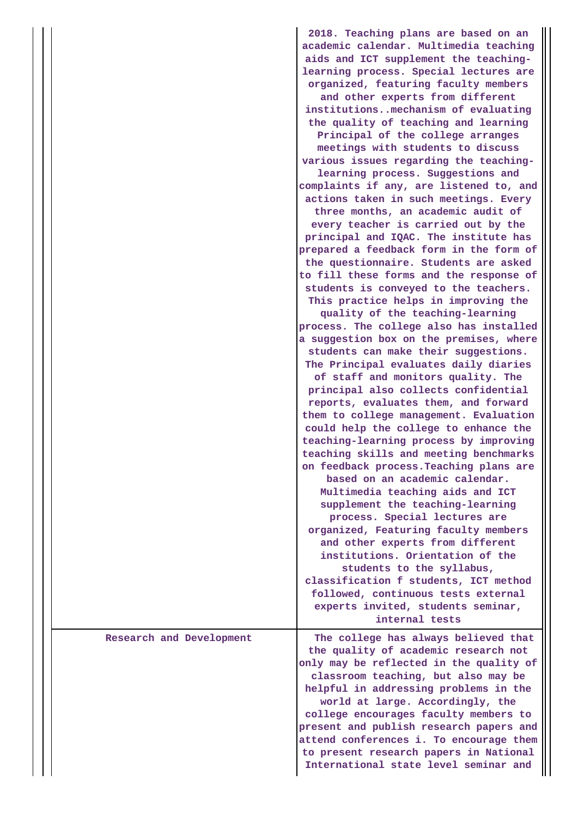|                          | 2018. Teaching plans are based on an<br>academic calendar. Multimedia teaching<br>aids and ICT supplement the teaching-<br>learning process. Special lectures are<br>organized, featuring faculty members<br>and other experts from different<br>institutionsmechanism of evaluating<br>the quality of teaching and learning<br>Principal of the college arranges<br>meetings with students to discuss<br>various issues regarding the teaching-<br>learning process. Suggestions and<br>complaints if any, are listened to, and<br>actions taken in such meetings. Every<br>three months, an academic audit of<br>every teacher is carried out by the<br>principal and IQAC. The institute has<br>prepared a feedback form in the form of<br>the questionnaire. Students are asked<br>to fill these forms and the response of<br>students is conveyed to the teachers.<br>This practice helps in improving the<br>quality of the teaching-learning<br>process. The college also has installed<br>a suggestion box on the premises, where<br>students can make their suggestions.<br>The Principal evaluates daily diaries<br>of staff and monitors quality. The<br>principal also collects confidential<br>reports, evaluates them, and forward<br>them to college management. Evaluation<br>could help the college to enhance the<br>teaching-learning process by improving<br>teaching skills and meeting benchmarks<br>on feedback process. Teaching plans are<br>based on an academic calendar.<br>Multimedia teaching aids and ICT<br>supplement the teaching-learning<br>process. Special lectures are<br>organized, Featuring faculty members<br>and other experts from different<br>institutions. Orientation of the<br>students to the syllabus,<br>classification f students, ICT method |
|--------------------------|-----------------------------------------------------------------------------------------------------------------------------------------------------------------------------------------------------------------------------------------------------------------------------------------------------------------------------------------------------------------------------------------------------------------------------------------------------------------------------------------------------------------------------------------------------------------------------------------------------------------------------------------------------------------------------------------------------------------------------------------------------------------------------------------------------------------------------------------------------------------------------------------------------------------------------------------------------------------------------------------------------------------------------------------------------------------------------------------------------------------------------------------------------------------------------------------------------------------------------------------------------------------------------------------------------------------------------------------------------------------------------------------------------------------------------------------------------------------------------------------------------------------------------------------------------------------------------------------------------------------------------------------------------------------------------------------------------------------------------------------------------------------------------------------------------|
|                          | followed, continuous tests external<br>experts invited, students seminar,<br>internal tests                                                                                                                                                                                                                                                                                                                                                                                                                                                                                                                                                                                                                                                                                                                                                                                                                                                                                                                                                                                                                                                                                                                                                                                                                                                                                                                                                                                                                                                                                                                                                                                                                                                                                                         |
| Research and Development | The college has always believed that<br>the quality of academic research not<br>only may be reflected in the quality of<br>classroom teaching, but also may be<br>helpful in addressing problems in the<br>world at large. Accordingly, the<br>college encourages faculty members to<br>present and publish research papers and<br>attend conferences i. To encourage them<br>to present research papers in National<br>International state level seminar and                                                                                                                                                                                                                                                                                                                                                                                                                                                                                                                                                                                                                                                                                                                                                                                                                                                                                                                                                                                                                                                                                                                                                                                                                                                                                                                                       |

 $\mathbf{I}$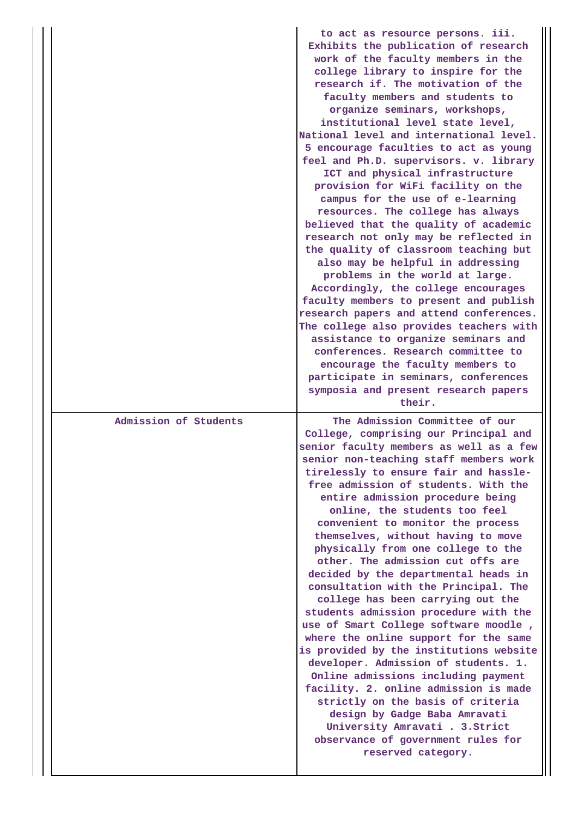|                       | to act as resource persons. iii.<br>Exhibits the publication of research<br>work of the faculty members in the<br>college library to inspire for the<br>research if. The motivation of the<br>faculty members and students to<br>organize seminars, workshops,<br>institutional level state level,<br>National level and international level.<br>5 encourage faculties to act as young<br>feel and Ph.D. supervisors. v. library<br>ICT and physical infrastructure<br>provision for WiFi facility on the<br>campus for the use of e-learning<br>resources. The college has always<br>believed that the quality of academic<br>research not only may be reflected in<br>the quality of classroom teaching but<br>also may be helpful in addressing<br>problems in the world at large.<br>Accordingly, the college encourages<br>faculty members to present and publish<br>research papers and attend conferences.<br>The college also provides teachers with<br>assistance to organize seminars and<br>conferences. Research committee to<br>encourage the faculty members to |
|-----------------------|-------------------------------------------------------------------------------------------------------------------------------------------------------------------------------------------------------------------------------------------------------------------------------------------------------------------------------------------------------------------------------------------------------------------------------------------------------------------------------------------------------------------------------------------------------------------------------------------------------------------------------------------------------------------------------------------------------------------------------------------------------------------------------------------------------------------------------------------------------------------------------------------------------------------------------------------------------------------------------------------------------------------------------------------------------------------------------|
|                       | participate in seminars, conferences<br>symposia and present research papers<br>their.                                                                                                                                                                                                                                                                                                                                                                                                                                                                                                                                                                                                                                                                                                                                                                                                                                                                                                                                                                                        |
| Admission of Students | The Admission Committee of our<br>College, comprising our Principal and<br>senior faculty members as well as a few<br>senior non-teaching staff members work<br>tirelessly to ensure fair and hassle-<br>free admission of students. With the<br>entire admission procedure being<br>online, the students too feel<br>convenient to monitor the process<br>themselves, without having to move<br>physically from one college to the<br>other. The admission cut offs are<br>decided by the departmental heads in<br>consultation with the Principal. The<br>college has been carrying out the<br>students admission procedure with the<br>use of Smart College software moodle,<br>where the online support for the same<br>is provided by the institutions website<br>developer. Admission of students. 1.<br>Online admissions including payment<br>facility. 2. online admission is made<br>strictly on the basis of criteria<br>design by Gadge Baba Amravati<br>University Amravati . 3. Strict<br>observance of government rules for<br>reserved category.              |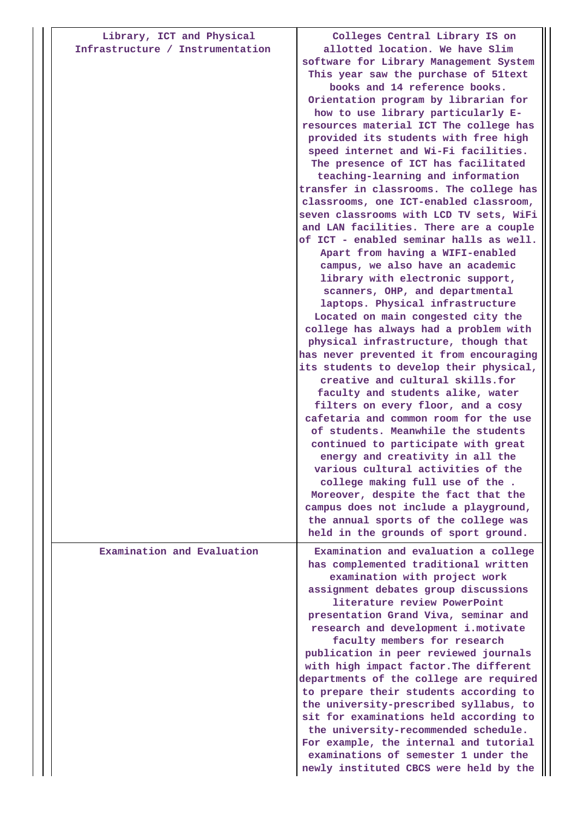| Library, ICT and Physical<br>Infrastructure / Instrumentation | Colleges Central Library IS on<br>allotted location. We have Slim<br>software for Library Management System<br>This year saw the purchase of 51text<br>books and 14 reference books.<br>Orientation program by librarian for<br>how to use library particularly E-<br>resources material ICT The college has<br>provided its students with free high<br>speed internet and Wi-Fi facilities.<br>The presence of ICT has facilitated<br>teaching-learning and information<br>transfer in classrooms. The college has<br>classrooms, one ICT-enabled classroom,<br>seven classrooms with LCD TV sets, WiFi<br>and LAN facilities. There are a couple<br>of ICT - enabled seminar halls as well.<br>Apart from having a WIFI-enabled<br>campus, we also have an academic<br>library with electronic support,<br>scanners, OHP, and departmental<br>laptops. Physical infrastructure<br>Located on main congested city the<br>college has always had a problem with<br>physical infrastructure, though that<br>has never prevented it from encouraging<br>its students to develop their physical,<br>creative and cultural skills.for<br>faculty and students alike, water<br>filters on every floor, and a cosy<br>cafetaria and common room for the use<br>of students. Meanwhile the students<br>continued to participate with great<br>energy and creativity in all the<br>various cultural activities of the<br>college making full use of the.<br>Moreover, despite the fact that the<br>campus does not include a playground,<br>the annual sports of the college was |
|---------------------------------------------------------------|--------------------------------------------------------------------------------------------------------------------------------------------------------------------------------------------------------------------------------------------------------------------------------------------------------------------------------------------------------------------------------------------------------------------------------------------------------------------------------------------------------------------------------------------------------------------------------------------------------------------------------------------------------------------------------------------------------------------------------------------------------------------------------------------------------------------------------------------------------------------------------------------------------------------------------------------------------------------------------------------------------------------------------------------------------------------------------------------------------------------------------------------------------------------------------------------------------------------------------------------------------------------------------------------------------------------------------------------------------------------------------------------------------------------------------------------------------------------------------------------------------------------------------------------------------------------------|
|                                                               | held in the grounds of sport ground.                                                                                                                                                                                                                                                                                                                                                                                                                                                                                                                                                                                                                                                                                                                                                                                                                                                                                                                                                                                                                                                                                                                                                                                                                                                                                                                                                                                                                                                                                                                                     |
| Examination and Evaluation                                    | Examination and evaluation a college<br>has complemented traditional written<br>examination with project work<br>assignment debates group discussions<br>literature review PowerPoint<br>presentation Grand Viva, seminar and<br>research and development i.motivate<br>faculty members for research<br>publication in peer reviewed journals<br>with high impact factor. The different<br>departments of the college are required<br>to prepare their students according to<br>the university-prescribed syllabus, to<br>sit for examinations held according to<br>the university-recommended schedule.<br>For example, the internal and tutorial<br>examinations of semester 1 under the<br>newly instituted CBCS were held by the                                                                                                                                                                                                                                                                                                                                                                                                                                                                                                                                                                                                                                                                                                                                                                                                                                     |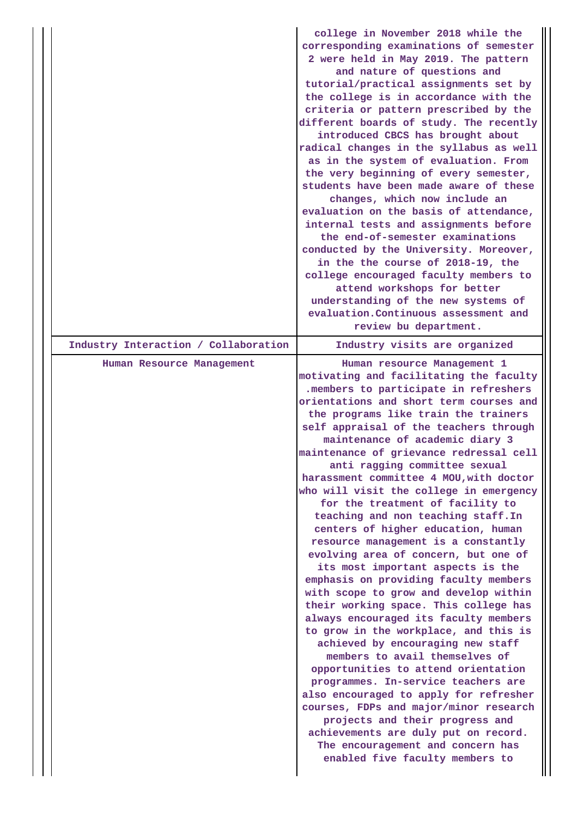|                                      | college in November 2018 while the<br>corresponding examinations of semester<br>2 were held in May 2019. The pattern<br>and nature of questions and<br>tutorial/practical assignments set by<br>the college is in accordance with the<br>criteria or pattern prescribed by the<br>different boards of study. The recently<br>introduced CBCS has brought about<br>radical changes in the syllabus as well<br>as in the system of evaluation. From<br>the very beginning of every semester,<br>students have been made aware of these<br>changes, which now include an<br>evaluation on the basis of attendance,<br>internal tests and assignments before<br>the end-of-semester examinations<br>conducted by the University. Moreover,<br>in the the course of 2018-19, the<br>college encouraged faculty members to<br>attend workshops for better<br>understanding of the new systems of<br>evaluation. Continuous assessment and<br>review bu department.                                                                                                                                                                                                                                                                                                                                    |
|--------------------------------------|-------------------------------------------------------------------------------------------------------------------------------------------------------------------------------------------------------------------------------------------------------------------------------------------------------------------------------------------------------------------------------------------------------------------------------------------------------------------------------------------------------------------------------------------------------------------------------------------------------------------------------------------------------------------------------------------------------------------------------------------------------------------------------------------------------------------------------------------------------------------------------------------------------------------------------------------------------------------------------------------------------------------------------------------------------------------------------------------------------------------------------------------------------------------------------------------------------------------------------------------------------------------------------------------------|
| Industry Interaction / Collaboration | Industry visits are organized                                                                                                                                                                                                                                                                                                                                                                                                                                                                                                                                                                                                                                                                                                                                                                                                                                                                                                                                                                                                                                                                                                                                                                                                                                                                   |
| Human Resource Management            | Human resource Management 1<br>motivating and facilitating the faculty<br>.members to participate in refreshers<br>orientations and short term courses and<br>the programs like train the trainers<br>self appraisal of the teachers through<br>maintenance of academic diary 3<br>maintenance of grievance redressal cell<br>anti ragging committee sexual<br>harassment committee 4 MOU, with doctor<br>who will visit the college in emergency<br>for the treatment of facility to<br>teaching and non teaching staff. In<br>centers of higher education, human<br>resource management is a constantly<br>evolving area of concern, but one of<br>its most important aspects is the<br>emphasis on providing faculty members<br>with scope to grow and develop within<br>their working space. This college has<br>always encouraged its faculty members<br>to grow in the workplace, and this is<br>achieved by encouraging new staff<br>members to avail themselves of<br>opportunities to attend orientation<br>programmes. In-service teachers are<br>also encouraged to apply for refresher<br>courses, FDPs and major/minor research<br>projects and their progress and<br>achievements are duly put on record.<br>The encouragement and concern has<br>enabled five faculty members to |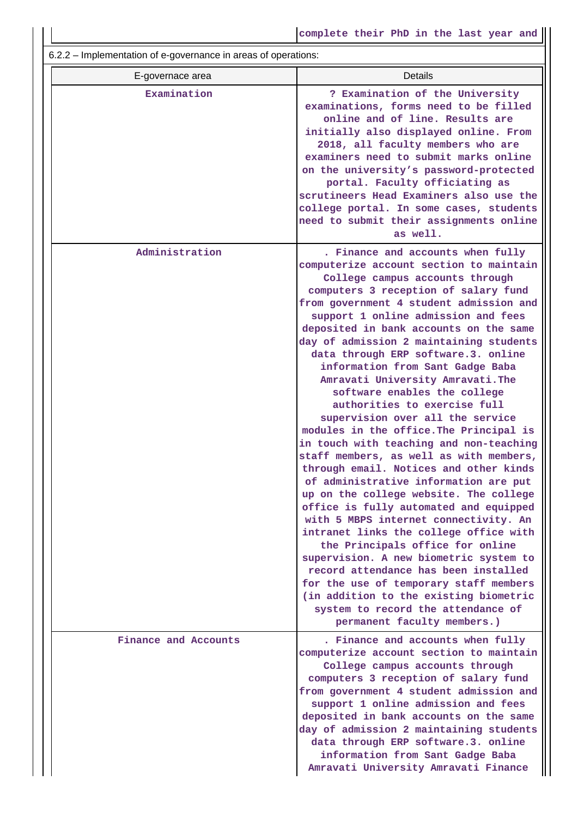6.2.2 – Implementation of e-governance in areas of operations:

| $0.2.2$ implementation or c governance in areas or operations. |                                                                                                                                                                                                                                                                                                                                                                                                                                                                                                                                                                                                                                                                                                                                                                                                                                                                                                                                                                                                                                                                                                                                                                                                                              |
|----------------------------------------------------------------|------------------------------------------------------------------------------------------------------------------------------------------------------------------------------------------------------------------------------------------------------------------------------------------------------------------------------------------------------------------------------------------------------------------------------------------------------------------------------------------------------------------------------------------------------------------------------------------------------------------------------------------------------------------------------------------------------------------------------------------------------------------------------------------------------------------------------------------------------------------------------------------------------------------------------------------------------------------------------------------------------------------------------------------------------------------------------------------------------------------------------------------------------------------------------------------------------------------------------|
| E-governace area                                               | <b>Details</b>                                                                                                                                                                                                                                                                                                                                                                                                                                                                                                                                                                                                                                                                                                                                                                                                                                                                                                                                                                                                                                                                                                                                                                                                               |
| Examination                                                    | ? Examination of the University<br>examinations, forms need to be filled<br>online and of line. Results are<br>initially also displayed online. From<br>2018, all faculty members who are<br>examiners need to submit marks online<br>on the university's password-protected<br>portal. Faculty officiating as<br>scrutineers Head Examiners also use the<br>college portal. In some cases, students<br>need to submit their assignments online<br>as well.                                                                                                                                                                                                                                                                                                                                                                                                                                                                                                                                                                                                                                                                                                                                                                  |
| Administration                                                 | . Finance and accounts when fully<br>computerize account section to maintain<br>College campus accounts through<br>computers 3 reception of salary fund<br>from government 4 student admission and<br>support 1 online admission and fees<br>deposited in bank accounts on the same<br>day of admission 2 maintaining students<br>data through ERP software.3. online<br>information from Sant Gadge Baba<br>Amravati University Amravati. The<br>software enables the college<br>authorities to exercise full<br>supervision over all the service<br>modules in the office. The Principal is<br>in touch with teaching and non-teaching<br>staff members, as well as with members,<br>through email. Notices and other kinds<br>of administrative information are put<br>up on the college website. The college<br>office is fully automated and equipped<br>with 5 MBPS internet connectivity. An<br>intranet links the college office with<br>the Principals office for online<br>supervision. A new biometric system to<br>record attendance has been installed<br>for the use of temporary staff members<br>(in addition to the existing biometric<br>system to record the attendance of<br>permanent faculty members.) |
| Finance and Accounts                                           | . Finance and accounts when fully<br>computerize account section to maintain<br>College campus accounts through<br>computers 3 reception of salary fund<br>from government 4 student admission and<br>support 1 online admission and fees<br>deposited in bank accounts on the same<br>day of admission 2 maintaining students<br>data through ERP software.3. online<br>information from Sant Gadge Baba<br>Amravati University Amravati Finance                                                                                                                                                                                                                                                                                                                                                                                                                                                                                                                                                                                                                                                                                                                                                                            |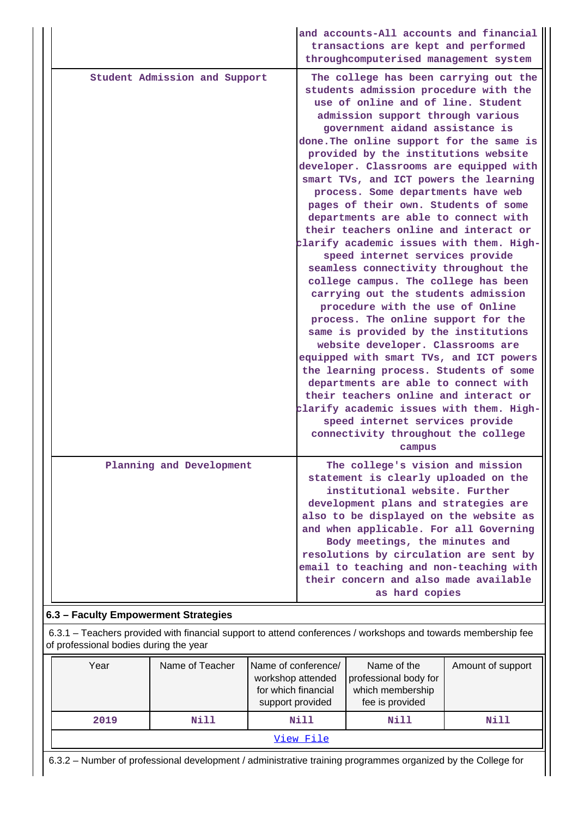|                               | and accounts-All accounts and financial<br>transactions are kept and performed<br>throughcomputerised management system                                                                                                                                                                                                                                                                                                                                                                                                                                                                                                                                                                                                                                                                                                                                                                                                                                                                                                                                                                                                                                                                        |
|-------------------------------|------------------------------------------------------------------------------------------------------------------------------------------------------------------------------------------------------------------------------------------------------------------------------------------------------------------------------------------------------------------------------------------------------------------------------------------------------------------------------------------------------------------------------------------------------------------------------------------------------------------------------------------------------------------------------------------------------------------------------------------------------------------------------------------------------------------------------------------------------------------------------------------------------------------------------------------------------------------------------------------------------------------------------------------------------------------------------------------------------------------------------------------------------------------------------------------------|
| Student Admission and Support | The college has been carrying out the<br>students admission procedure with the<br>use of online and of line. Student<br>admission support through various<br>government aidand assistance is<br>done. The online support for the same is<br>provided by the institutions website<br>developer. Classrooms are equipped with<br>smart TVs, and ICT powers the learning<br>process. Some departments have web<br>pages of their own. Students of some<br>departments are able to connect with<br>their teachers online and interact or<br>clarify academic issues with them. High-<br>speed internet services provide<br>seamless connectivity throughout the<br>college campus. The college has been<br>carrying out the students admission<br>procedure with the use of Online<br>process. The online support for the<br>same is provided by the institutions<br>website developer. Classrooms are<br>equipped with smart TVs, and ICT powers<br>the learning process. Students of some<br>departments are able to connect with<br>their teachers online and interact or<br>clarify academic issues with them. High-<br>speed internet services provide<br>connectivity throughout the college |
| Planning and Development      | campus<br>The college's vision and mission                                                                                                                                                                                                                                                                                                                                                                                                                                                                                                                                                                                                                                                                                                                                                                                                                                                                                                                                                                                                                                                                                                                                                     |
|                               | statement is clearly uploaded on the<br>institutional website. Further<br>development plans and strategies are<br>also to be displayed on the website as<br>and when applicable. For all Governing<br>Body meetings, the minutes and<br>resolutions by circulation are sent by<br>email to teaching and non-teaching with<br>their concern and also made available<br>as hard copies                                                                                                                                                                                                                                                                                                                                                                                                                                                                                                                                                                                                                                                                                                                                                                                                           |

## **6.3 – Faculty Empowerment Strategies**

 6.3.1 – Teachers provided with financial support to attend conferences / workshops and towards membership fee of professional bodies during the year

| Year      | Name of Teacher | Name of conference/<br>workshop attended<br>for which financial<br>support provided | Name of the<br>professional body for<br>which membership<br>fee is provided | Amount of support |  |  |
|-----------|-----------------|-------------------------------------------------------------------------------------|-----------------------------------------------------------------------------|-------------------|--|--|
| 2019      | Nill            |                                                                                     | <b>Nill</b>                                                                 | Nill              |  |  |
| View File |                 |                                                                                     |                                                                             |                   |  |  |

6.3.2 – Number of professional development / administrative training programmes organized by the College for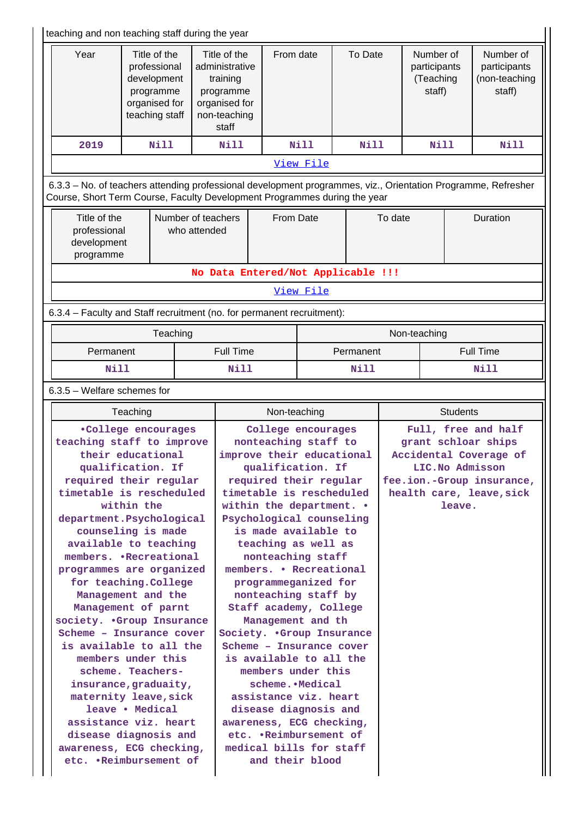| teaching and non teaching staff during the year                                                                                                                                                                                                                                                                                                              |                                                                                                                                                                                                                                                                                                                   |                                    |                                                                                                                                                                                                                                                                                                               |                                                                                                                                                                                                                                                                                                                                                           |                 |                                    |                 |                                                  |          |                                                                                                                               |
|--------------------------------------------------------------------------------------------------------------------------------------------------------------------------------------------------------------------------------------------------------------------------------------------------------------------------------------------------------------|-------------------------------------------------------------------------------------------------------------------------------------------------------------------------------------------------------------------------------------------------------------------------------------------------------------------|------------------------------------|---------------------------------------------------------------------------------------------------------------------------------------------------------------------------------------------------------------------------------------------------------------------------------------------------------------|-----------------------------------------------------------------------------------------------------------------------------------------------------------------------------------------------------------------------------------------------------------------------------------------------------------------------------------------------------------|-----------------|------------------------------------|-----------------|--------------------------------------------------|----------|-------------------------------------------------------------------------------------------------------------------------------|
| Year                                                                                                                                                                                                                                                                                                                                                         | Title of the<br>professional<br>development<br>programme<br>organised for<br>teaching staff                                                                                                                                                                                                                       |                                    | Title of the<br>administrative<br>training<br>programme<br>organised for<br>non-teaching<br>staff                                                                                                                                                                                                             | From date                                                                                                                                                                                                                                                                                                                                                 |                 | To Date                            |                 | Number of<br>participants<br>(Teaching<br>staff) |          | Number of<br>participants<br>(non-teaching<br>staff)                                                                          |
| 2019                                                                                                                                                                                                                                                                                                                                                         | Nill                                                                                                                                                                                                                                                                                                              |                                    | <b>Nill</b>                                                                                                                                                                                                                                                                                                   |                                                                                                                                                                                                                                                                                                                                                           | <b>Nill</b>     | <b>Nill</b>                        |                 | Nill                                             |          | <b>Nill</b>                                                                                                                   |
|                                                                                                                                                                                                                                                                                                                                                              |                                                                                                                                                                                                                                                                                                                   |                                    |                                                                                                                                                                                                                                                                                                               |                                                                                                                                                                                                                                                                                                                                                           | View File       |                                    |                 |                                                  |          |                                                                                                                               |
| 6.3.3 - No. of teachers attending professional development programmes, viz., Orientation Programme, Refresher<br>Course, Short Term Course, Faculty Development Programmes during the year                                                                                                                                                                   |                                                                                                                                                                                                                                                                                                                   |                                    |                                                                                                                                                                                                                                                                                                               |                                                                                                                                                                                                                                                                                                                                                           |                 |                                    |                 |                                                  |          |                                                                                                                               |
| Title of the<br>professional<br>development<br>programme                                                                                                                                                                                                                                                                                                     |                                                                                                                                                                                                                                                                                                                   | Number of teachers<br>who attended |                                                                                                                                                                                                                                                                                                               | From Date                                                                                                                                                                                                                                                                                                                                                 |                 |                                    | To date         |                                                  | Duration |                                                                                                                               |
|                                                                                                                                                                                                                                                                                                                                                              |                                                                                                                                                                                                                                                                                                                   |                                    |                                                                                                                                                                                                                                                                                                               |                                                                                                                                                                                                                                                                                                                                                           |                 | No Data Entered/Not Applicable !!! |                 |                                                  |          |                                                                                                                               |
|                                                                                                                                                                                                                                                                                                                                                              |                                                                                                                                                                                                                                                                                                                   |                                    |                                                                                                                                                                                                                                                                                                               |                                                                                                                                                                                                                                                                                                                                                           | View File       |                                    |                 |                                                  |          |                                                                                                                               |
| 6.3.4 - Faculty and Staff recruitment (no. for permanent recruitment):                                                                                                                                                                                                                                                                                       |                                                                                                                                                                                                                                                                                                                   |                                    |                                                                                                                                                                                                                                                                                                               |                                                                                                                                                                                                                                                                                                                                                           |                 |                                    |                 |                                                  |          |                                                                                                                               |
|                                                                                                                                                                                                                                                                                                                                                              | Teaching                                                                                                                                                                                                                                                                                                          |                                    |                                                                                                                                                                                                                                                                                                               |                                                                                                                                                                                                                                                                                                                                                           |                 |                                    |                 | Non-teaching                                     |          |                                                                                                                               |
| Permanent                                                                                                                                                                                                                                                                                                                                                    |                                                                                                                                                                                                                                                                                                                   |                                    | <b>Full Time</b>                                                                                                                                                                                                                                                                                              |                                                                                                                                                                                                                                                                                                                                                           |                 | Permanent                          |                 |                                                  |          | <b>Full Time</b>                                                                                                              |
| <b>Nill</b>                                                                                                                                                                                                                                                                                                                                                  |                                                                                                                                                                                                                                                                                                                   |                                    | <b>Nill</b><br>Nill                                                                                                                                                                                                                                                                                           |                                                                                                                                                                                                                                                                                                                                                           |                 | <b>Nill</b>                        |                 |                                                  |          |                                                                                                                               |
| $6.3.5$ – Welfare schemes for                                                                                                                                                                                                                                                                                                                                |                                                                                                                                                                                                                                                                                                                   |                                    |                                                                                                                                                                                                                                                                                                               |                                                                                                                                                                                                                                                                                                                                                           |                 |                                    |                 |                                                  |          |                                                                                                                               |
|                                                                                                                                                                                                                                                                                                                                                              | Teaching                                                                                                                                                                                                                                                                                                          |                                    |                                                                                                                                                                                                                                                                                                               | Non-teaching                                                                                                                                                                                                                                                                                                                                              |                 |                                    | <b>Students</b> |                                                  |          |                                                                                                                               |
| teaching staff to improve<br>required their regular<br>timetable is rescheduled<br>department.Psychological<br>available to teaching<br>members. .Recreational<br>programmes are organized<br>society. .Group Insurance<br>Scheme - Insurance cover<br>is available to all the<br>assistance viz. heart<br>disease diagnosis and<br>awareness, ECG checking, | .College encourages<br>their educational<br>qualification. If<br>within the<br>counseling is made<br>for teaching. College<br>Management and the<br>Management of parnt<br>members under this<br>scheme. Teachers-<br>insurance, graduaity,<br>maternity leave, sick<br>leave . Medical<br>etc. .Reimbursement of |                                    | improve their educational<br>required their regular<br>timetable is rescheduled<br>within the department. .<br>Psychological counseling<br>members. • Recreational<br>Society. .Group Insurance<br>Scheme - Insurance cover<br>is available to all the<br>awareness, ECG checking,<br>medical bills for staff | College encourages<br>nonteaching staff to<br>qualification. If<br>is made available to<br>teaching as well as<br>nonteaching staff<br>programmeganized for<br>nonteaching staff by<br>Staff academy, College<br>Management and th<br>members under this<br>scheme. • Medical<br>assistance viz. heart<br>disease diagnosis and<br>etc. .Reimbursement of | and their blood |                                    |                 | LIC. No Admisson                                 | leave.   | Full, free and half<br>grant schloar ships<br>Accidental Coverage of<br>fee.ion.-Group insurance,<br>health care, leave, sick |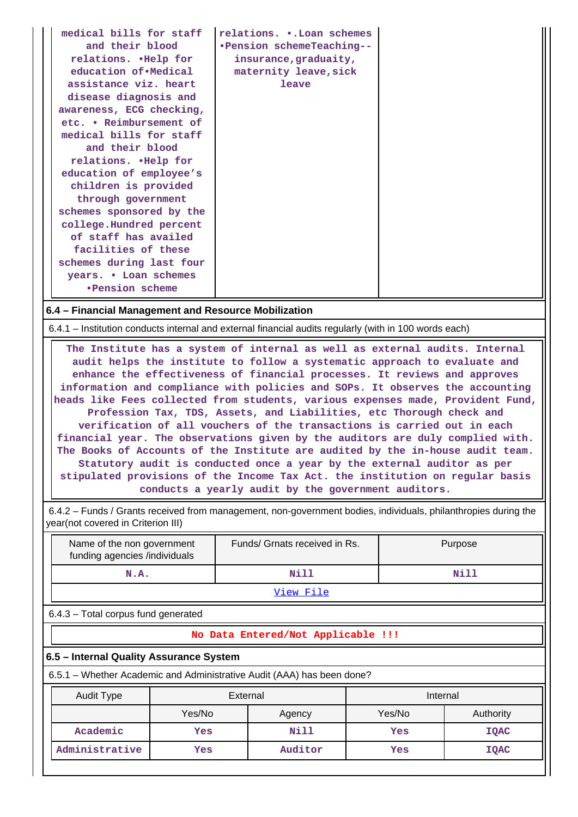| medical bills for staff<br>and their blood<br>relations. . Help for<br>education of Medical<br>assistance viz. heart<br>disease diagnosis and<br>awareness, ECG checking,<br>etc. • Reimbursement of<br>medical bills for staff<br>and their blood<br>relations. . Help for<br>education of employee's<br>children is provided<br>through government<br>schemes sponsored by the<br>college.Hundred percent<br>of staff has availed<br>facilities of these<br>schemes during last four<br>years. . Loan schemes<br>•Pension scheme | relations. . Loan schemes<br>.Pension schemeTeaching--<br>insurance, graduaity,<br>maternity leave, sick<br>leave |  |
|------------------------------------------------------------------------------------------------------------------------------------------------------------------------------------------------------------------------------------------------------------------------------------------------------------------------------------------------------------------------------------------------------------------------------------------------------------------------------------------------------------------------------------|-------------------------------------------------------------------------------------------------------------------|--|
|------------------------------------------------------------------------------------------------------------------------------------------------------------------------------------------------------------------------------------------------------------------------------------------------------------------------------------------------------------------------------------------------------------------------------------------------------------------------------------------------------------------------------------|-------------------------------------------------------------------------------------------------------------------|--|

### **6.4 – Financial Management and Resource Mobilization**

6.4.1 – Institution conducts internal and external financial audits regularly (with in 100 words each)

 **The Institute has a system of internal as well as external audits. Internal audit helps the institute to follow a systematic approach to evaluate and enhance the effectiveness of financial processes. It reviews and approves information and compliance with policies and SOPs. It observes the accounting heads like Fees collected from students, various expenses made, Provident Fund, Profession Tax, TDS, Assets, and Liabilities, etc Thorough check and verification of all vouchers of the transactions is carried out in each financial year. The observations given by the auditors are duly complied with. The Books of Accounts of the Institute are audited by the in-house audit team. Statutory audit is conducted once a year by the external auditor as per stipulated provisions of the Income Tax Act. the institution on regular basis conducts a yearly audit by the government auditors.**

 6.4.2 – Funds / Grants received from management, non-government bodies, individuals, philanthropies during the year(not covered in Criterion III)

| Name of the non government<br>funding agencies /individuals | Funds/ Grnats received in Rs. | Purpose |
|-------------------------------------------------------------|-------------------------------|---------|
| N.A.                                                        | Nill                          | Nill    |
|                                                             | View File                     |         |

6.4.3 – Total corpus fund generated

#### **No Data Entered/Not Applicable !!!**

#### **6.5 – Internal Quality Assurance System**

6.5.1 – Whether Academic and Administrative Audit (AAA) has been done?

| Audit Type     | External         |         | Internal |             |  |
|----------------|------------------|---------|----------|-------------|--|
|                | Yes/No<br>Agency |         | Yes/No   | Authority   |  |
| Academic       | Yes              | Nill    | Yes      | <b>IQAC</b> |  |
| Administrative | Yes              | Auditor | Yes      | <b>IQAC</b> |  |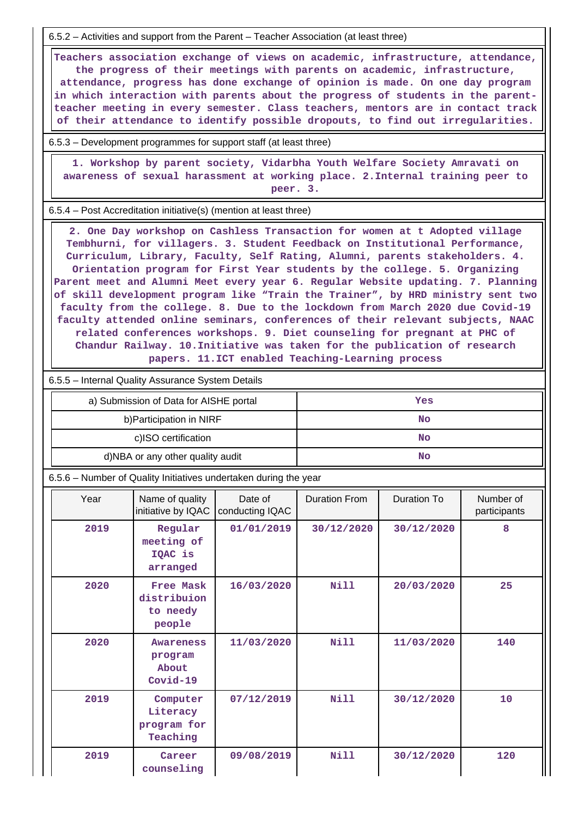6.5.2 – Activities and support from the Parent – Teacher Association (at least three)

 **Teachers association exchange of views on academic, infrastructure, attendance, the progress of their meetings with parents on academic, infrastructure, attendance, progress has done exchange of opinion is made. On one day program in which interaction with parents about the progress of students in the parentteacher meeting in every semester. Class teachers, mentors are in contact track of their attendance to identify possible dropouts, to find out irregularities.**

6.5.3 – Development programmes for support staff (at least three)

 **1. Workshop by parent society, Vidarbha Youth Welfare Society Amravati on awareness of sexual harassment at working place. 2.Internal training peer to peer. 3.**

6.5.4 – Post Accreditation initiative(s) (mention at least three)

 **2. One Day workshop on Cashless Transaction for women at t Adopted village Tembhurni, for villagers. 3. Student Feedback on Institutional Performance, Curriculum, Library, Faculty, Self Rating, Alumni, parents stakeholders. 4. Orientation program for First Year students by the college. 5. Organizing Parent meet and Alumni Meet every year 6. Regular Website updating. 7. Planning of skill development program like "Train the Trainer", by HRD ministry sent two faculty from the college. 8. Due to the lockdown from March 2020 due Covid-19 faculty attended online seminars, conferences of their relevant subjects, NAAC related conferences workshops. 9. Diet counseling for pregnant at PHC of Chandur Railway. 10.Initiative was taken for the publication of research papers. 11.ICT enabled Teaching-Learning process**

6.5.5 – Internal Quality Assurance System Details

| a) Submission of Data for AISHE portal | Yes |
|----------------------------------------|-----|
| b) Participation in NIRF               | No  |
| c)ISO certification                    | No  |
| d)NBA or any other quality audit       | No  |

6.5.6 – Number of Quality Initiatives undertaken during the year

| Year | Name of quality<br>initiative by IQAC            | Date of<br>conducting IQAC | <b>Duration From</b> | Duration To | Number of<br>participants |
|------|--------------------------------------------------|----------------------------|----------------------|-------------|---------------------------|
| 2019 | Regular<br>meeting of<br>IQAC is<br>arranged     | 01/01/2019                 | 30/12/2020           | 30/12/2020  | 8                         |
| 2020 | Free Mask<br>distribuion<br>to needy<br>people   | 16/03/2020                 | <b>Nill</b>          | 20/03/2020  | 25                        |
| 2020 | <b>Awareness</b><br>program<br>About<br>Covid-19 | 11/03/2020                 | <b>Nill</b>          | 11/03/2020  | 140                       |
| 2019 | Computer<br>Literacy<br>program for<br>Teaching  | 07/12/2019                 | <b>Nill</b>          | 30/12/2020  | 10                        |
| 2019 | Career<br>counseling                             | 09/08/2019                 | <b>Nill</b>          | 30/12/2020  | 120                       |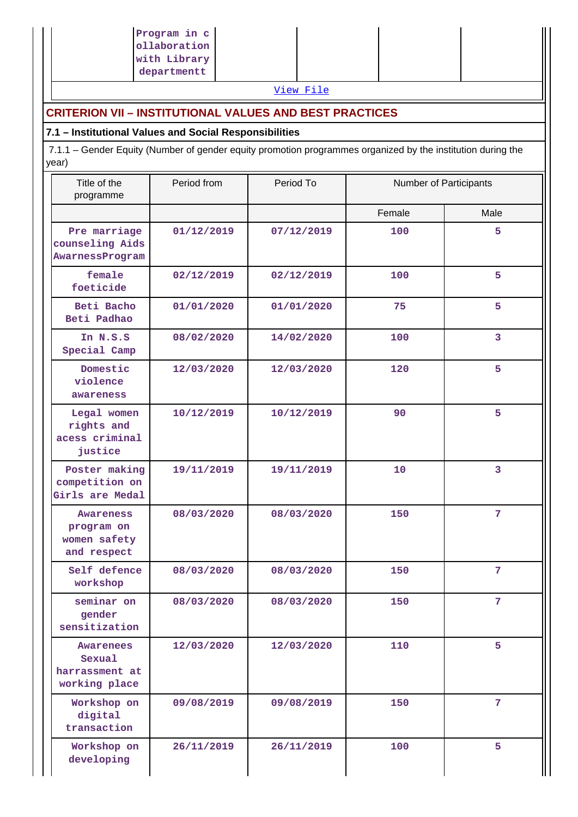|                                                        | Program in c<br>ollaboration<br>with Library                                                                |            |                        |                |  |  |  |  |
|--------------------------------------------------------|-------------------------------------------------------------------------------------------------------------|------------|------------------------|----------------|--|--|--|--|
|                                                        | departmentt                                                                                                 |            |                        |                |  |  |  |  |
|                                                        |                                                                                                             | View File  |                        |                |  |  |  |  |
|                                                        | <b>CRITERION VII - INSTITUTIONAL VALUES AND BEST PRACTICES</b>                                              |            |                        |                |  |  |  |  |
| 7.1 - Institutional Values and Social Responsibilities |                                                                                                             |            |                        |                |  |  |  |  |
| year)                                                  | 7.1.1 - Gender Equity (Number of gender equity promotion programmes organized by the institution during the |            |                        |                |  |  |  |  |
| Title of the<br>programme                              | Period from                                                                                                 | Period To  | Number of Participants |                |  |  |  |  |
|                                                        |                                                                                                             |            | Female                 | Male           |  |  |  |  |
| Pre marriage<br>counseling Aids<br>AwarnessProgram     | 01/12/2019                                                                                                  | 07/12/2019 | 100                    | 5              |  |  |  |  |
| female<br>foeticide                                    | 02/12/2019                                                                                                  | 02/12/2019 | 100                    | 5              |  |  |  |  |
| Beti Bacho<br>Beti Padhao                              | 01/01/2020                                                                                                  | 01/01/2020 | 75                     | 5              |  |  |  |  |
| In N.S.S<br>Special Camp                               | 08/02/2020                                                                                                  | 14/02/2020 | 100                    | 3              |  |  |  |  |
| Domestic<br>violence<br>awareness                      | 12/03/2020                                                                                                  | 12/03/2020 | 120                    | 5              |  |  |  |  |
| Legal women<br>rights and<br>acess criminal<br>justice | 10/12/2019                                                                                                  | 10/12/2019 | 90                     | 5              |  |  |  |  |
| Poster making<br>competition on<br>Girls are Medal     | 19/11/2019                                                                                                  | 19/11/2019 | 10                     | 3              |  |  |  |  |
| Awareness<br>program on<br>women safety<br>and respect | 08/03/2020                                                                                                  | 08/03/2020 | 150                    | 7 <sup>1</sup> |  |  |  |  |
| Self defence<br>workshop                               | 08/03/2020                                                                                                  | 08/03/2020 | 150                    | 7              |  |  |  |  |
| seminar on<br>gender<br>sensitization                  | 08/03/2020                                                                                                  | 08/03/2020 | 150                    | 7              |  |  |  |  |
| Awarenees<br>Sexual<br>harrassment at<br>working place | 12/03/2020                                                                                                  | 12/03/2020 | 110                    | 5              |  |  |  |  |
| Workshop on<br>digital<br>transaction                  | 09/08/2019                                                                                                  | 09/08/2019 | 150                    | 7              |  |  |  |  |
| Workshop on<br>developing                              | 26/11/2019                                                                                                  | 26/11/2019 | 100                    | 5              |  |  |  |  |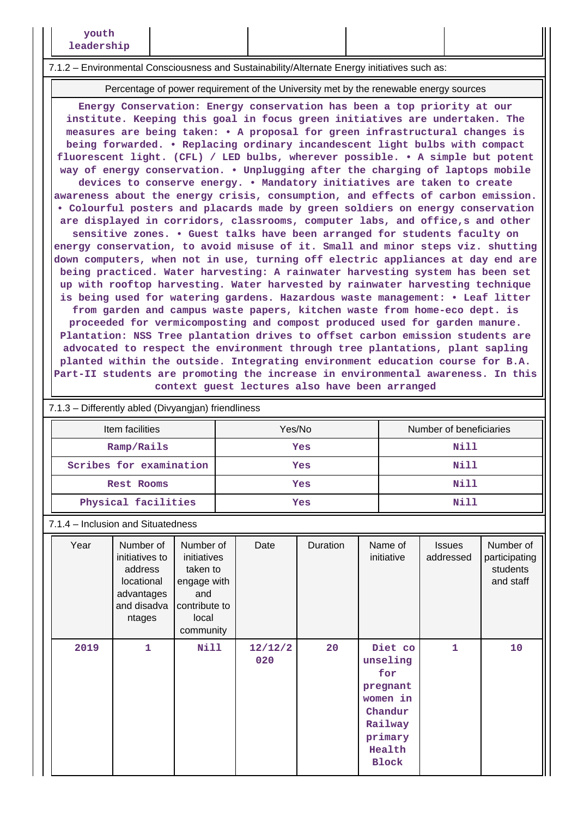#### 7.1.2 – Environmental Consciousness and Sustainability/Alternate Energy initiatives such as:

Percentage of power requirement of the University met by the renewable energy sources

**Energy Conservation: Energy conservation has been a top priority at our institute. Keeping this goal in focus green initiatives are undertaken. The measures are being taken: • A proposal for green infrastructural changes is being forwarded. • Replacing ordinary incandescent light bulbs with compact fluorescent light. (CFL) / LED bulbs, wherever possible. • A simple but potent way of energy conservation. • Unplugging after the charging of laptops mobile devices to conserve energy. • Mandatory initiatives are taken to create awareness about the energy crisis, consumption, and effects of carbon emission. • Colourful posters and placards made by green soldiers on energy conservation are displayed in corridors, classrooms, computer labs, and office,s and other sensitive zones. • Guest talks have been arranged for students faculty on energy conservation, to avoid misuse of it. Small and minor steps viz. shutting down computers, when not in use, turning off electric appliances at day end are being practiced. Water harvesting: A rainwater harvesting system has been set up with rooftop harvesting. Water harvested by rainwater harvesting technique is being used for watering gardens. Hazardous waste management: • Leaf litter from garden and campus waste papers, kitchen waste from home-eco dept. is proceeded for vermicomposting and compost produced used for garden manure. Plantation: NSS Tree plantation drives to offset carbon emission students are advocated to respect the environment through tree plantations, plant sapling planted within the outside. Integrating environment education course for B.A. Part-II students are promoting the increase in environmental awareness. In this context guest lectures also have been arranged**

| 7.1.3 - Differently abled (Divyangjan) friendliness |        |                         |  |  |  |  |
|-----------------------------------------------------|--------|-------------------------|--|--|--|--|
| Item facilities                                     | Yes/No | Number of beneficiaries |  |  |  |  |
| Ramp/Rails                                          | Yes    | Nill                    |  |  |  |  |
| Scribes for examination                             | Yes    | Nill                    |  |  |  |  |
| <b>Rest Rooms</b>                                   | Yes    | Nill                    |  |  |  |  |
| Physical facilities                                 | Yes    | Nill                    |  |  |  |  |

7.1.4 – Inclusion and Situatedness

| Year | Number of<br>initiatives to<br>address<br>locational<br>advantages<br>and disadva<br>ntages | Number of<br>initiatives<br>taken to<br>engage with<br>and<br>contribute to<br>local<br>community | Date           | Duration | Name of<br>initiative                                                                                         | <b>Issues</b><br>addressed | Number of<br>participating<br>students<br>and staff |
|------|---------------------------------------------------------------------------------------------|---------------------------------------------------------------------------------------------------|----------------|----------|---------------------------------------------------------------------------------------------------------------|----------------------------|-----------------------------------------------------|
| 2019 | 1                                                                                           | Nill                                                                                              | 12/12/2<br>020 | 20       | Diet co<br>unseling<br>for<br>pregnant<br>women in<br>Chandur<br>Railway<br>primary<br>Health<br><b>Block</b> | 1                          | 10                                                  |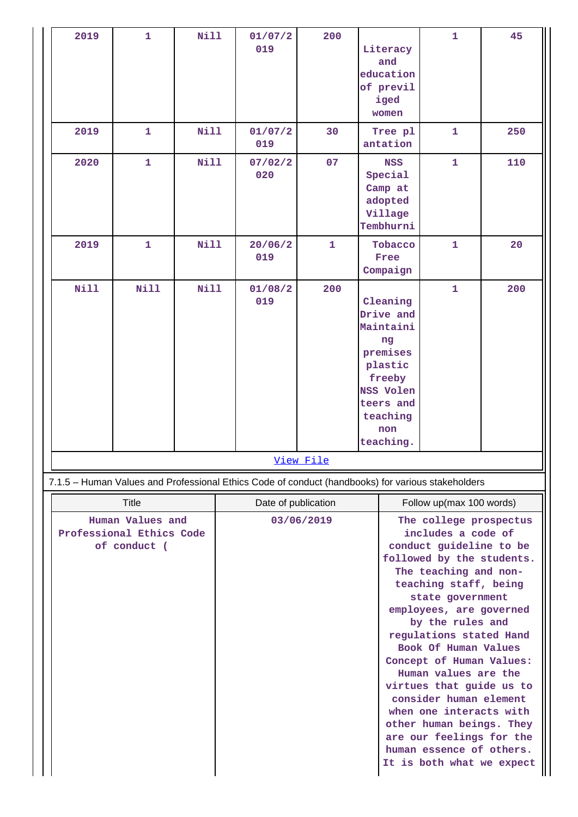| 2019                                                                                              | $\mathbf{1}$ | <b>Nill</b> |                                   | 01/07/2<br>019 | 200              |                                                    | Literacy<br>and<br>education<br>of previl<br>iged                                                                                                                                                                                                                                                                                                                                                                                                                                                        | $\mathbf{1}$ | 45  |
|---------------------------------------------------------------------------------------------------|--------------|-------------|-----------------------------------|----------------|------------------|----------------------------------------------------|----------------------------------------------------------------------------------------------------------------------------------------------------------------------------------------------------------------------------------------------------------------------------------------------------------------------------------------------------------------------------------------------------------------------------------------------------------------------------------------------------------|--------------|-----|
| 2019                                                                                              | $\mathbf{1}$ | <b>Nill</b> |                                   | 01/07/2        | 30               |                                                    | women<br>Tree pl                                                                                                                                                                                                                                                                                                                                                                                                                                                                                         | 1            | 250 |
|                                                                                                   |              |             |                                   | 019            |                  |                                                    | antation                                                                                                                                                                                                                                                                                                                                                                                                                                                                                                 |              |     |
| 2020                                                                                              | $\mathbf{1}$ | <b>Nill</b> |                                   | 07/02/2<br>020 | 07               |                                                    | <b>NSS</b><br>Special<br>Camp at<br>adopted<br>Village<br>Tembhurni                                                                                                                                                                                                                                                                                                                                                                                                                                      | $\mathbf{1}$ | 110 |
| 2019                                                                                              | 1            | <b>Nill</b> |                                   | 20/06/2<br>019 | 1                |                                                    | Tobacco<br>Free<br>Compaign                                                                                                                                                                                                                                                                                                                                                                                                                                                                              | $\mathbf{1}$ | 20  |
| <b>Nill</b>                                                                                       | Nill         | <b>Nill</b> |                                   | 01/08/2<br>019 | 200              |                                                    | Cleaning<br>Drive and<br>Maintaini<br>ng<br>premises<br>plastic<br>freeby<br><b>NSS Volen</b><br>teers and<br>teaching<br>non                                                                                                                                                                                                                                                                                                                                                                            | $\mathbf{1}$ | 200 |
|                                                                                                   |              |             |                                   |                | <u>View File</u> |                                                    | teaching.                                                                                                                                                                                                                                                                                                                                                                                                                                                                                                |              |     |
|                                                                                                   |              |             |                                   |                |                  |                                                    |                                                                                                                                                                                                                                                                                                                                                                                                                                                                                                          |              |     |
| 7.1.5 - Human Values and Professional Ethics Code of conduct (handbooks) for various stakeholders |              |             |                                   |                |                  |                                                    |                                                                                                                                                                                                                                                                                                                                                                                                                                                                                                          |              |     |
|                                                                                                   | Title        |             | Date of publication<br>03/06/2019 |                |                  | Follow up(max 100 words)<br>The college prospectus |                                                                                                                                                                                                                                                                                                                                                                                                                                                                                                          |              |     |
| Human Values and<br>Professional Ethics Code<br>of conduct (                                      |              |             |                                   |                |                  |                                                    | includes a code of<br>conduct guideline to be<br>followed by the students.<br>The teaching and non-<br>teaching staff, being<br>state government<br>employees, are governed<br>by the rules and<br>regulations stated Hand<br>Book Of Human Values<br>Concept of Human Values:<br>Human values are the<br>virtues that guide us to<br>consider human element<br>when one interacts with<br>other human beings. They<br>are our feelings for the<br>human essence of others.<br>It is both what we expect |              |     |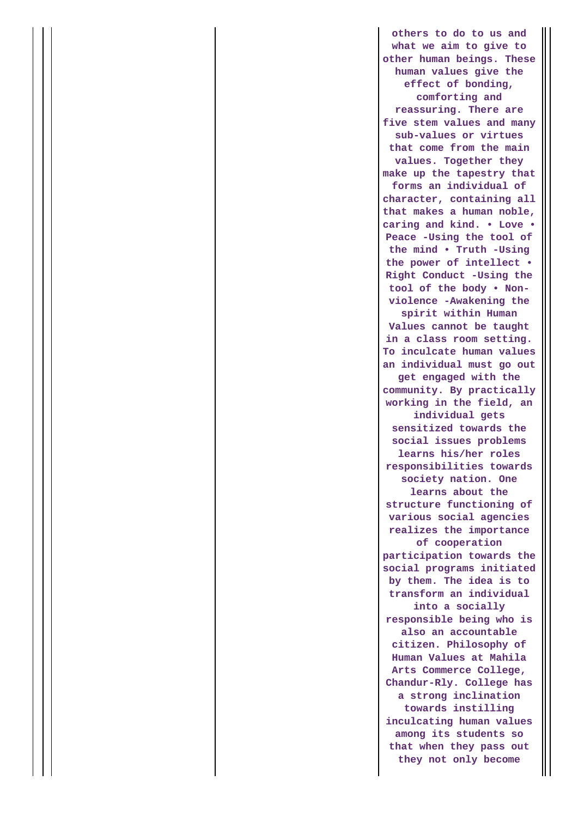**others to do to us and what we aim to give to other human beings. These human values give the effect of bonding, comforting and reassuring. There are five stem values and many sub-values or virtues that come from the main values. Together they make up the tapestry that forms an individual of character, containing all that makes a human noble, caring and kind. • Love • Peace -Using the tool of the mind • Truth -Using the power of intellect • Right Conduct -Using the tool of the body • Nonviolence -Awakening the spirit within Human Values cannot be taught in a class room setting. To inculcate human values an individual must go out get engaged with the community. By practically working in the field, an individual gets sensitized towards the social issues problems learns his/her roles responsibilities towards society nation. One learns about the structure functioning of various social agencies realizes the importance of cooperation participation towards the social programs initiated by them. The idea is to transform an individual into a socially responsible being who is also an accountable citizen. Philosophy of Human Values at Mahila Arts Commerce College, Chandur-Rly. College has a strong inclination towards instilling inculcating human values among its students so that when they pass out they not only become**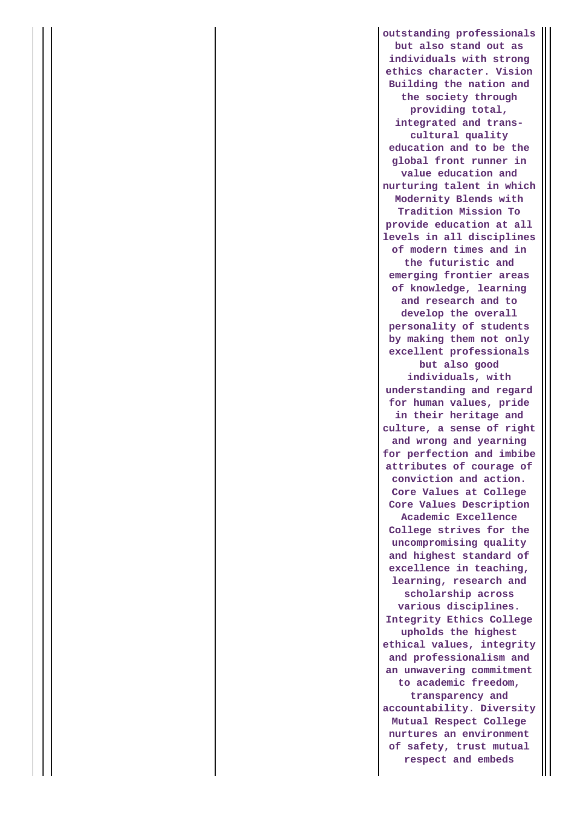**outstanding professionals but also stand out as individuals with strong ethics character. Vision Building the nation and the society through providing total, integrated and transcultural quality education and to be the global front runner in value education and nurturing talent in which Modernity Blends with Tradition Mission To provide education at all levels in all disciplines of modern times and in the futuristic and emerging frontier areas of knowledge, learning and research and to develop the overall personality of students by making them not only excellent professionals but also good individuals, with understanding and regard for human values, pride in their heritage and culture, a sense of right and wrong and yearning for perfection and imbibe attributes of courage of conviction and action. Core Values at College Core Values Description Academic Excellence College strives for the uncompromising quality and highest standard of excellence in teaching, learning, research and scholarship across various disciplines. Integrity Ethics College upholds the highest ethical values, integrity and professionalism and an unwavering commitment to academic freedom, transparency and accountability. Diversity Mutual Respect College nurtures an environment of safety, trust mutual respect and embeds**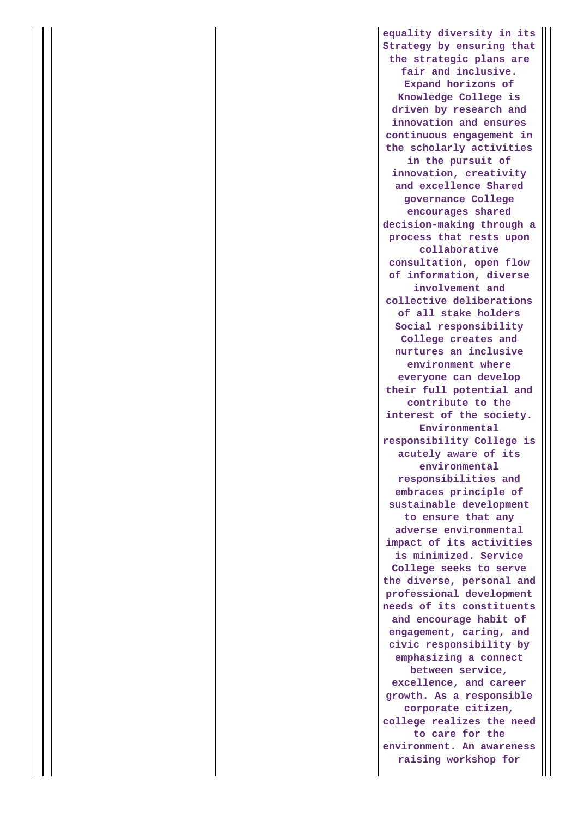**equality diversity in its Strategy by ensuring that the strategic plans are fair and inclusive. Expand horizons of Knowledge College is driven by research and innovation and ensures continuous engagement in the scholarly activities in the pursuit of innovation, creativity and excellence Shared governance College encourages shared decision-making through a process that rests upon collaborative consultation, open flow of information, diverse involvement and collective deliberations of all stake holders Social responsibility College creates and nurtures an inclusive environment where everyone can develop their full potential and contribute to the interest of the society. Environmental responsibility College is acutely aware of its environmental responsibilities and embraces principle of sustainable development to ensure that any adverse environmental impact of its activities is minimized. Service College seeks to serve the diverse, personal and professional development needs of its constituents and encourage habit of engagement, caring, and civic responsibility by emphasizing a connect between service, excellence, and career growth. As a responsible corporate citizen, college realizes the need to care for the environment. An awareness raising workshop for**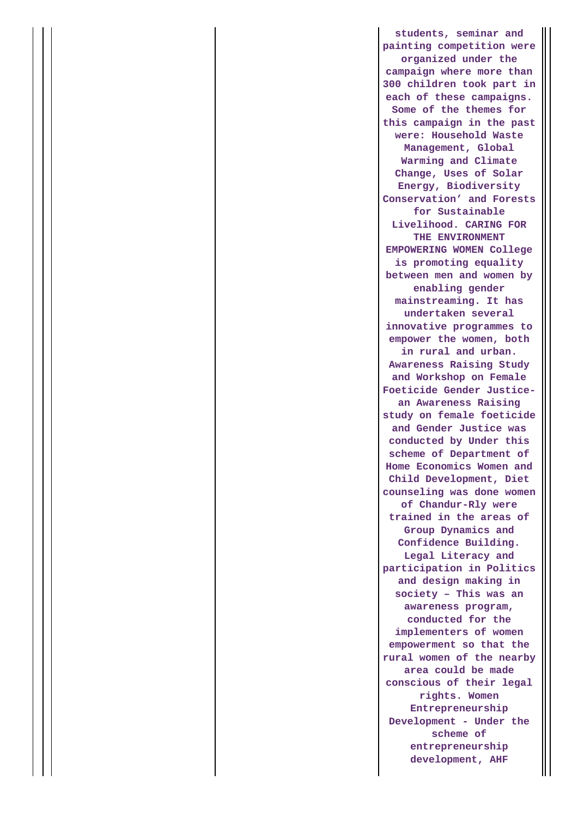**students, seminar and painting competition were organized under the campaign where more than 300 children took part in each of these campaigns. Some of the themes for this campaign in the past were: Household Waste Management, Global Warming and Climate Change, Uses of Solar Energy, Biodiversity Conservation' and Forests for Sustainable Livelihood. CARING FOR THE ENVIRONMENT EMPOWERING WOMEN College is promoting equality between men and women by enabling gender mainstreaming. It has undertaken several innovative programmes to empower the women, both in rural and urban. Awareness Raising Study and Workshop on Female Foeticide Gender Justicean Awareness Raising study on female foeticide and Gender Justice was conducted by Under this scheme of Department of Home Economics Women and Child Development, Diet counseling was done women of Chandur-Rly were trained in the areas of Group Dynamics and Confidence Building. Legal Literacy and participation in Politics and design making in society – This was an awareness program, conducted for the implementers of women empowerment so that the rural women of the nearby area could be made conscious of their legal rights. Women Entrepreneurship Development - Under the scheme of entrepreneurship development, AHF**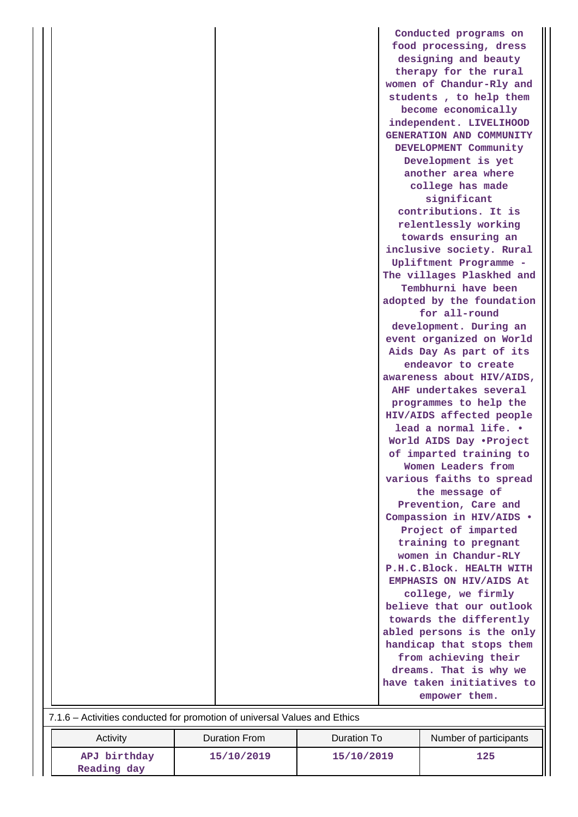|                                                                           |  | Conducted programs on                            |  |  |
|---------------------------------------------------------------------------|--|--------------------------------------------------|--|--|
|                                                                           |  | food processing, dress                           |  |  |
|                                                                           |  | designing and beauty                             |  |  |
|                                                                           |  | therapy for the rural                            |  |  |
|                                                                           |  | women of Chandur-Rly and                         |  |  |
|                                                                           |  | students, to help them                           |  |  |
|                                                                           |  | become economically                              |  |  |
|                                                                           |  | independent. LIVELIHOOD                          |  |  |
|                                                                           |  | GENERATION AND COMMUNITY                         |  |  |
|                                                                           |  | DEVELOPMENT Community                            |  |  |
|                                                                           |  | Development is yet                               |  |  |
|                                                                           |  | another area where                               |  |  |
|                                                                           |  | college has made                                 |  |  |
|                                                                           |  | significant                                      |  |  |
|                                                                           |  | contributions. It is                             |  |  |
|                                                                           |  | relentlessly working                             |  |  |
|                                                                           |  | towards ensuring an                              |  |  |
|                                                                           |  | inclusive society. Rural                         |  |  |
|                                                                           |  | Upliftment Programme -                           |  |  |
|                                                                           |  | The villages Plaskhed and<br>Tembhurni have been |  |  |
|                                                                           |  | adopted by the foundation                        |  |  |
|                                                                           |  | for all-round                                    |  |  |
|                                                                           |  | development. During an                           |  |  |
|                                                                           |  | event organized on World                         |  |  |
|                                                                           |  | Aids Day As part of its                          |  |  |
|                                                                           |  | endeavor to create                               |  |  |
|                                                                           |  | awareness about HIV/AIDS,                        |  |  |
|                                                                           |  | AHF undertakes several                           |  |  |
|                                                                           |  | programmes to help the                           |  |  |
|                                                                           |  | HIV/AIDS affected people                         |  |  |
|                                                                           |  | lead a normal life. .                            |  |  |
|                                                                           |  | World AIDS Day .Project                          |  |  |
|                                                                           |  | of imparted training to                          |  |  |
|                                                                           |  | Women Leaders from                               |  |  |
|                                                                           |  | various faiths to spread                         |  |  |
|                                                                           |  | the message of                                   |  |  |
|                                                                           |  | Prevention, Care and                             |  |  |
|                                                                           |  | Compassion in HIV/AIDS .                         |  |  |
|                                                                           |  | Project of imparted                              |  |  |
|                                                                           |  | training to pregnant<br>women in Chandur-RLY     |  |  |
|                                                                           |  | P.H.C.Block. HEALTH WITH                         |  |  |
|                                                                           |  | EMPHASIS ON HIV/AIDS At                          |  |  |
|                                                                           |  | college, we firmly                               |  |  |
|                                                                           |  | believe that our outlook                         |  |  |
|                                                                           |  | towards the differently                          |  |  |
|                                                                           |  | abled persons is the only                        |  |  |
|                                                                           |  | handicap that stops them                         |  |  |
|                                                                           |  | from achieving their                             |  |  |
|                                                                           |  | dreams. That is why we                           |  |  |
|                                                                           |  | have taken initiatives to                        |  |  |
|                                                                           |  | empower them.                                    |  |  |
| 7.1.6 - Activities conducted for promotion of universal Values and Ethics |  |                                                  |  |  |
|                                                                           |  |                                                  |  |  |

| Activity     | <b>Duration From</b> | Duration To | Number of participants |
|--------------|----------------------|-------------|------------------------|
| APJ birthday | 15/10/2019           | 15/10/2019  | 125                    |
| Reading day  |                      |             |                        |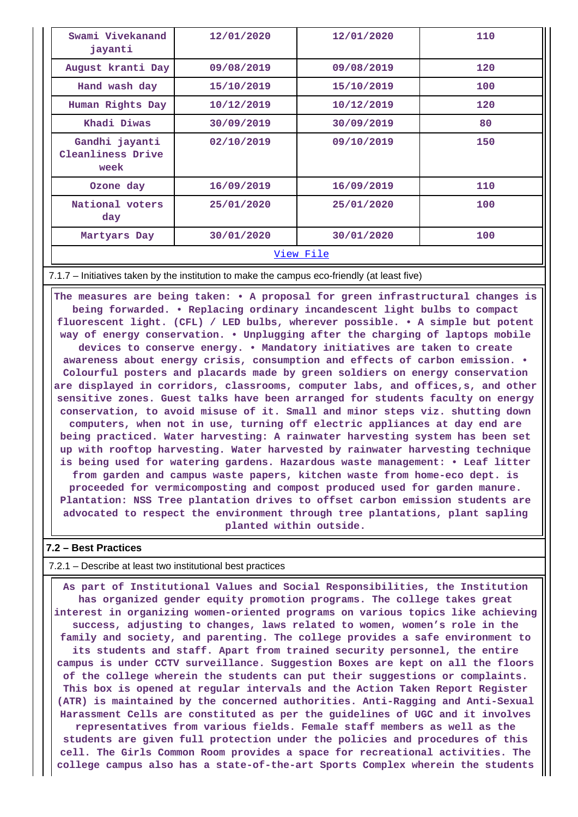| Swami Vivekanand<br>jayanti                 | 12/01/2020 | 12/01/2020 | 110 |  |  |
|---------------------------------------------|------------|------------|-----|--|--|
| August kranti Day                           | 09/08/2019 | 09/08/2019 | 120 |  |  |
| Hand wash day                               | 15/10/2019 | 15/10/2019 | 100 |  |  |
| Human Rights Day                            | 10/12/2019 | 10/12/2019 | 120 |  |  |
| Khadi Diwas                                 | 30/09/2019 | 30/09/2019 | 80  |  |  |
| Gandhi jayanti<br>Cleanliness Drive<br>week | 02/10/2019 | 09/10/2019 | 150 |  |  |
| Ozone day                                   | 16/09/2019 | 16/09/2019 | 110 |  |  |
| National voters<br>day                      | 25/01/2020 | 25/01/2020 | 100 |  |  |
| Martyars Day                                | 30/01/2020 | 30/01/2020 | 100 |  |  |
| View File                                   |            |            |     |  |  |

7.1.7 – Initiatives taken by the institution to make the campus eco-friendly (at least five)

 **The measures are being taken: • A proposal for green infrastructural changes is being forwarded. • Replacing ordinary incandescent light bulbs to compact fluorescent light. (CFL) / LED bulbs, wherever possible. • A simple but potent way of energy conservation. • Unplugging after the charging of laptops mobile devices to conserve energy. • Mandatory initiatives are taken to create awareness about energy crisis, consumption and effects of carbon emission. • Colourful posters and placards made by green soldiers on energy conservation are displayed in corridors, classrooms, computer labs, and offices,s, and other sensitive zones. Guest talks have been arranged for students faculty on energy conservation, to avoid misuse of it. Small and minor steps viz. shutting down computers, when not in use, turning off electric appliances at day end are being practiced. Water harvesting: A rainwater harvesting system has been set up with rooftop harvesting. Water harvested by rainwater harvesting technique is being used for watering gardens. Hazardous waste management: • Leaf litter from garden and campus waste papers, kitchen waste from home-eco dept. is proceeded for vermicomposting and compost produced used for garden manure. Plantation: NSS Tree plantation drives to offset carbon emission students are advocated to respect the environment through tree plantations, plant sapling planted within outside.**

#### **7.2 – Best Practices**

7.2.1 – Describe at least two institutional best practices

 **As part of Institutional Values and Social Responsibilities, the Institution has organized gender equity promotion programs. The college takes great interest in organizing women-oriented programs on various topics like achieving success, adjusting to changes, laws related to women, women's role in the family and society, and parenting. The college provides a safe environment to its students and staff. Apart from trained security personnel, the entire campus is under CCTV surveillance. Suggestion Boxes are kept on all the floors of the college wherein the students can put their suggestions or complaints. This box is opened at regular intervals and the Action Taken Report Register (ATR) is maintained by the concerned authorities. Anti-Ragging and Anti-Sexual Harassment Cells are constituted as per the guidelines of UGC and it involves representatives from various fields. Female staff members as well as the students are given full protection under the policies and procedures of this cell. The Girls Common Room provides a space for recreational activities. The college campus also has a state-of-the-art Sports Complex wherein the students**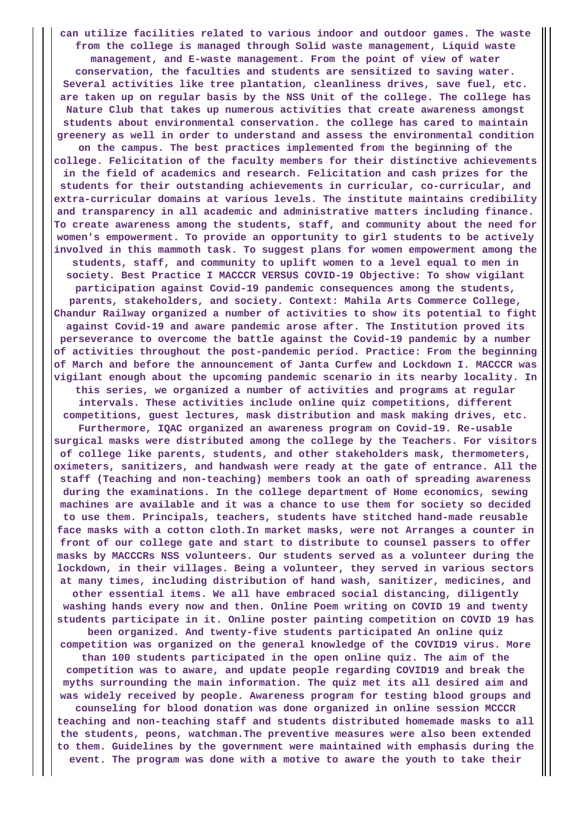**can utilize facilities related to various indoor and outdoor games. The waste from the college is managed through Solid waste management, Liquid waste management, and E-waste management. From the point of view of water conservation, the faculties and students are sensitized to saving water. Several activities like tree plantation, cleanliness drives, save fuel, etc. are taken up on regular basis by the NSS Unit of the college. The college has Nature Club that takes up numerous activities that create awareness amongst students about environmental conservation. the college has cared to maintain greenery as well in order to understand and assess the environmental condition on the campus. The best practices implemented from the beginning of the college. Felicitation of the faculty members for their distinctive achievements in the field of academics and research. Felicitation and cash prizes for the students for their outstanding achievements in curricular, co-curricular, and extra-curricular domains at various levels. The institute maintains credibility and transparency in all academic and administrative matters including finance. To create awareness among the students, staff, and community about the need for women's empowerment. To provide an opportunity to girl students to be actively involved in this mammoth task. To suggest plans for women empowerment among the students, staff, and community to uplift women to a level equal to men in society. Best Practice I MACCCR VERSUS COVID-19 Objective: To show vigilant participation against Covid-19 pandemic consequences among the students, parents, stakeholders, and society. Context: Mahila Arts Commerce College, Chandur Railway organized a number of activities to show its potential to fight against Covid-19 and aware pandemic arose after. The Institution proved its perseverance to overcome the battle against the Covid-19 pandemic by a number of activities throughout the post-pandemic period. Practice: From the beginning of March and before the announcement of Janta Curfew and Lockdown I. MACCCR was vigilant enough about the upcoming pandemic scenario in its nearby locality. In this series, we organized a number of activities and programs at regular intervals. These activities include online quiz competitions, different competitions, guest lectures, mask distribution and mask making drives, etc. Furthermore, IQAC organized an awareness program on Covid-19. Re-usable surgical masks were distributed among the college by the Teachers. For visitors of college like parents, students, and other stakeholders mask, thermometers, oximeters, sanitizers, and handwash were ready at the gate of entrance. All the staff (Teaching and non-teaching) members took an oath of spreading awareness during the examinations. In the college department of Home economics, sewing machines are available and it was a chance to use them for society so decided to use them. Principals, teachers, students have stitched hand-made reusable face masks with a cotton cloth.In market masks, were not Arranges a counter in front of our college gate and start to distribute to counsel passers to offer masks by MACCCRs NSS volunteers. Our students served as a volunteer during the lockdown, in their villages. Being a volunteer, they served in various sectors at many times, including distribution of hand wash, sanitizer, medicines, and other essential items. We all have embraced social distancing, diligently washing hands every now and then. Online Poem writing on COVID 19 and twenty students participate in it. Online poster painting competition on COVID 19 has been organized. And twenty-five students participated An online quiz competition was organized on the general knowledge of the COVID19 virus. More than 100 students participated in the open online quiz. The aim of the competition was to aware, and update people regarding COVID19 and break the myths surrounding the main information. The quiz met its all desired aim and was widely received by people. Awareness program for testing blood groups and counseling for blood donation was done organized in online session MCCCR teaching and non-teaching staff and students distributed homemade masks to all the students, peons, watchman.The preventive measures were also been extended to them. Guidelines by the government were maintained with emphasis during the event. The program was done with a motive to aware the youth to take their**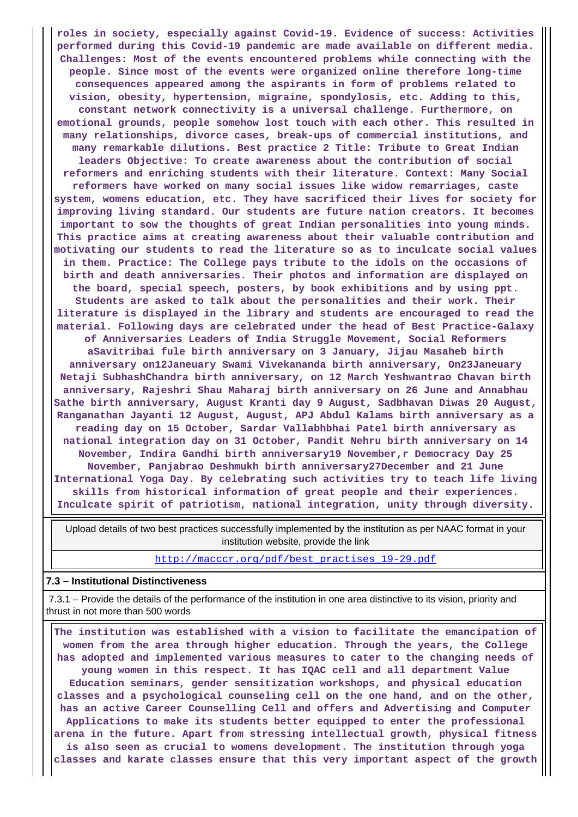**roles in society, especially against Covid-19. Evidence of success: Activities performed during this Covid-19 pandemic are made available on different media. Challenges: Most of the events encountered problems while connecting with the people. Since most of the events were organized online therefore long-time consequences appeared among the aspirants in form of problems related to vision, obesity, hypertension, migraine, spondylosis, etc. Adding to this, constant network connectivity is a universal challenge. Furthermore, on emotional grounds, people somehow lost touch with each other. This resulted in many relationships, divorce cases, break-ups of commercial institutions, and many remarkable dilutions. Best practice 2 Title: Tribute to Great Indian leaders Objective: To create awareness about the contribution of social reformers and enriching students with their literature. Context: Many Social reformers have worked on many social issues like widow remarriages, caste system, womens education, etc. They have sacrificed their lives for society for improving living standard. Our students are future nation creators. It becomes important to sow the thoughts of great Indian personalities into young minds. This practice aims at creating awareness about their valuable contribution and motivating our students to read the literature so as to inculcate social values in them. Practice: The College pays tribute to the idols on the occasions of birth and death anniversaries. Their photos and information are displayed on the board, special speech, posters, by book exhibitions and by using ppt. Students are asked to talk about the personalities and their work. Their literature is displayed in the library and students are encouraged to read the material. Following days are celebrated under the head of Best Practice-Galaxy of Anniversaries Leaders of India Struggle Movement, Social Reformers aSavitribai fule birth anniversary on 3 January, Jijau Masaheb birth anniversary on12Janeuary Swami Vivekananda birth anniversary, On23Janeuary Netaji SubhashChandra birth anniversary, on 12 March Yeshwantrao Chavan birth anniversary, Rajeshri Shau Maharaj birth anniversary on 26 June and Annabhau Sathe birth anniversary, August Kranti day 9 August, Sadbhavan Diwas 20 August, Ranganathan Jayanti 12 August, August, APJ Abdul Kalams birth anniversary as a reading day on 15 October, Sardar Vallabhbhai Patel birth anniversary as national integration day on 31 October, Pandit Nehru birth anniversary on 14 November, Indira Gandhi birth anniversary19 November,r Democracy Day 25 November, Panjabrao Deshmukh birth anniversary27December and 21 June International Yoga Day. By celebrating such activities try to teach life living skills from historical information of great people and their experiences. Inculcate spirit of patriotism, national integration, unity through diversity.**

 Upload details of two best practices successfully implemented by the institution as per NAAC format in your institution website, provide the link

[http://macccr.org/pdf/best\\_practises\\_19-29.pdf](http://macccr.org/pdf/best_practises_19-29.pdf)

#### **7.3 – Institutional Distinctiveness**

 7.3.1 – Provide the details of the performance of the institution in one area distinctive to its vision, priority and thrust in not more than 500 words

 **The institution was established with a vision to facilitate the emancipation of women from the area through higher education. Through the years, the College has adopted and implemented various measures to cater to the changing needs of young women in this respect. It has IQAC cell and all department Value Education seminars, gender sensitization workshops, and physical education classes and a psychological counseling cell on the one hand, and on the other, has an active Career Counselling Cell and offers and Advertising and Computer Applications to make its students better equipped to enter the professional arena in the future. Apart from stressing intellectual growth, physical fitness is also seen as crucial to womens development. The institution through yoga classes and karate classes ensure that this very important aspect of the growth**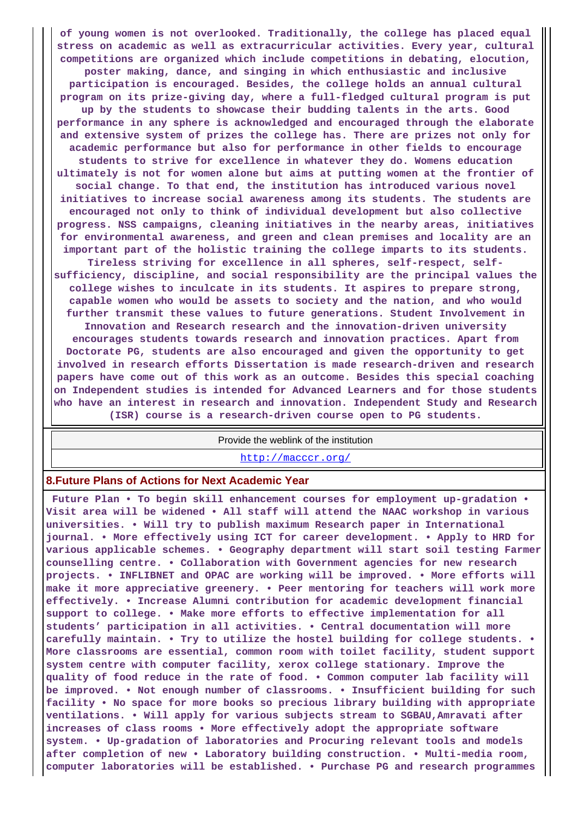**of young women is not overlooked. Traditionally, the college has placed equal stress on academic as well as extracurricular activities. Every year, cultural competitions are organized which include competitions in debating, elocution, poster making, dance, and singing in which enthusiastic and inclusive participation is encouraged. Besides, the college holds an annual cultural program on its prize-giving day, where a full-fledged cultural program is put up by the students to showcase their budding talents in the arts. Good performance in any sphere is acknowledged and encouraged through the elaborate and extensive system of prizes the college has. There are prizes not only for academic performance but also for performance in other fields to encourage students to strive for excellence in whatever they do. Womens education ultimately is not for women alone but aims at putting women at the frontier of social change. To that end, the institution has introduced various novel initiatives to increase social awareness among its students. The students are encouraged not only to think of individual development but also collective progress. NSS campaigns, cleaning initiatives in the nearby areas, initiatives for environmental awareness, and green and clean premises and locality are an important part of the holistic training the college imparts to its students. Tireless striving for excellence in all spheres, self-respect, selfsufficiency, discipline, and social responsibility are the principal values the college wishes to inculcate in its students. It aspires to prepare strong, capable women who would be assets to society and the nation, and who would further transmit these values to future generations. Student Involvement in Innovation and Research research and the innovation-driven university encourages students towards research and innovation practices. Apart from Doctorate PG, students are also encouraged and given the opportunity to get involved in research efforts Dissertation is made research-driven and research papers have come out of this work as an outcome. Besides this special coaching on Independent studies is intended for Advanced Learners and for those students who have an interest in research and innovation. Independent Study and Research**

**(ISR) course is a research-driven course open to PG students.**

Provide the weblink of the institution

<http://macccr.org/>

#### **8.Future Plans of Actions for Next Academic Year**

 **Future Plan • To begin skill enhancement courses for employment up-gradation • Visit area will be widened • All staff will attend the NAAC workshop in various universities. • Will try to publish maximum Research paper in International journal. • More effectively using ICT for career development. • Apply to HRD for various applicable schemes. • Geography department will start soil testing Farmer counselling centre. • Collaboration with Government agencies for new research projects. • INFLIBNET and OPAC are working will be improved. • More efforts will make it more appreciative greenery. • Peer mentoring for teachers will work more effectively. • Increase Alumni contribution for academic development financial support to college. • Make more efforts to effective implementation for all students' participation in all activities. • Central documentation will more carefully maintain. • Try to utilize the hostel building for college students. • More classrooms are essential, common room with toilet facility, student support system centre with computer facility, xerox college stationary. Improve the quality of food reduce in the rate of food. • Common computer lab facility will be improved. • Not enough number of classrooms. • Insufficient building for such facility • No space for more books so precious library building with appropriate ventilations. • Will apply for various subjects stream to SGBAU,Amravati after increases of class rooms • More effectively adopt the appropriate software system. • Up-gradation of laboratories and Procuring relevant tools and models after completion of new • Laboratory building construction. • Multi-media room, computer laboratories will be established. • Purchase PG and research programmes**